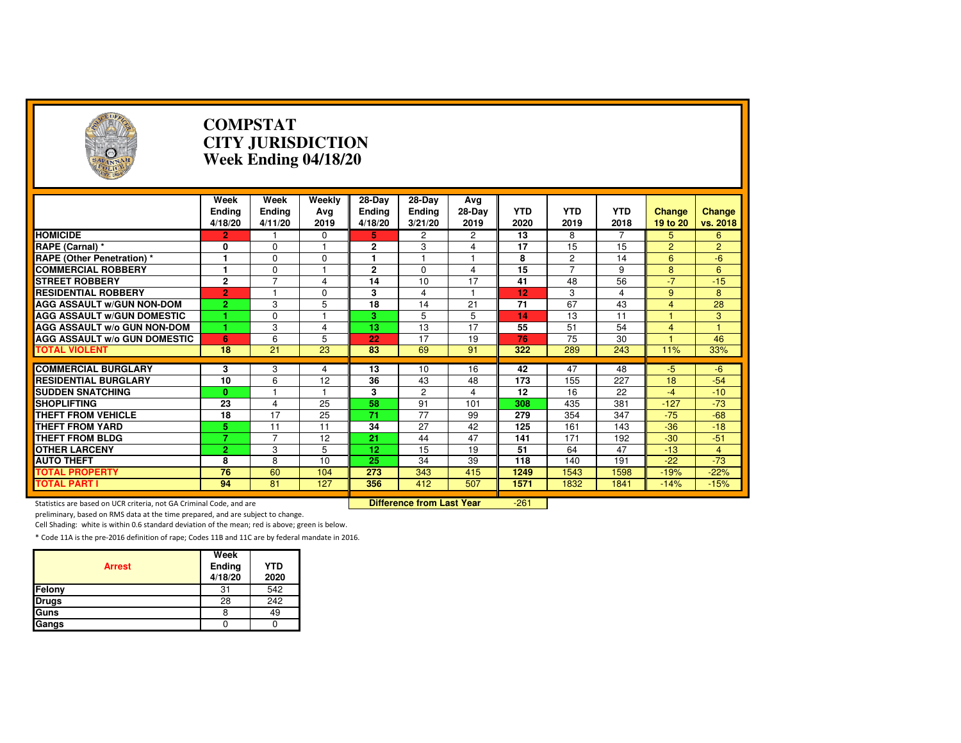| A                                                                   | <b>COMPSTAT</b><br><b>CITY JURISDICTION</b><br>Week Ending 04/18/20 |                                  |                       |                             |                                  |                       |                    |                    |                    |                           |                    |
|---------------------------------------------------------------------|---------------------------------------------------------------------|----------------------------------|-----------------------|-----------------------------|----------------------------------|-----------------------|--------------------|--------------------|--------------------|---------------------------|--------------------|
|                                                                     | Week<br><b>Ending</b><br>4/18/20                                    | <b>Week</b><br>Ending<br>4/11/20 | Weekly<br>Avg<br>2019 | 28-Day<br>Ending<br>4/18/20 | 28-Day<br>Ending<br>3/21/20      | Avg<br>28-Day<br>2019 | <b>YTD</b><br>2020 | <b>YTD</b><br>2019 | <b>YTD</b><br>2018 | <b>Change</b><br>19 to 20 | Change<br>vs. 2018 |
| <b>HOMICIDE</b>                                                     | 2                                                                   |                                  | 0                     | 5                           | 2                                | 2                     | 13                 | 8                  |                    | 5                         | 6                  |
| RAPE (Carnal) *                                                     | 0                                                                   | 0                                |                       | 2                           | 3                                | 4                     | 17                 | 15                 | 15                 | $\overline{2}$            | $\overline{2}$     |
| <b>RAPE (Other Penetration) *</b>                                   | $\overline{1}$                                                      | $\Omega$                         | $\Omega$              | 1                           | 1                                | $\mathbf{1}$          | 8                  | $\overline{2}$     | 14                 | 6                         | $-6$               |
| <b>COMMERCIAL ROBBERY</b>                                           | $\blacksquare$                                                      | $\Omega$                         | $\overline{1}$        | $\mathbf{2}$                | $\Omega$                         | $\overline{4}$        | 15                 | 7                  | 9                  | 8                         | 6                  |
| <b>STREET ROBBERY</b>                                               | $\overline{2}$                                                      | $\overline{7}$                   | 4                     | 14                          | 10                               | 17                    | 41                 | 48                 | 56                 | $-7$                      | $-15$              |
| <b>RESIDENTIAL ROBBERY</b>                                          | $\overline{2}$                                                      |                                  | $\Omega$              | 3                           | 4                                | 1                     | 12                 | 3                  | 4                  | 9                         | 8                  |
| <b>AGG ASSAULT W/GUN NON-DOM</b>                                    | $\overline{2}$                                                      | 3                                | 5                     | $\overline{18}$             | $\overline{14}$                  | $\overline{21}$       | $\overline{71}$    | 67                 | 43                 | $\overline{4}$            | 28                 |
| <b>AGG ASSAULT W/GUN DOMESTIC</b>                                   |                                                                     | $\Omega$                         |                       | 3.                          | 5                                | 5                     | 14                 | 13                 | 11                 |                           | 3                  |
| <b>AGG ASSAULT w/o GUN NON-DOM</b>                                  |                                                                     | 3                                | 4                     | 13                          | 13                               | 17                    | 55                 | 51                 | 54                 | $\overline{4}$            | 1                  |
| <b>AGG ASSAULT W/o GUN DOMESTIC</b>                                 | 6                                                                   | 6                                | 5                     | 22                          | 17                               | 19                    | 76                 | 75                 | 30                 |                           | 46                 |
| <b>TOTAL VIOLENT</b>                                                | 18                                                                  | 21                               | 23                    | 83                          | 69                               | 91                    | 322                | 289                | 243                | 11%                       | 33%                |
|                                                                     |                                                                     |                                  |                       |                             |                                  |                       |                    |                    |                    |                           |                    |
| <b>COMMERCIAL BURGLARY</b>                                          | 3                                                                   | 3                                | 4                     | 13                          | 10                               | 16                    | 42                 | 47                 | 48                 | $-5$                      | $-6$               |
| <b>RESIDENTIAL BURGLARY</b>                                         | 10                                                                  | 6                                | 12                    | 36                          | 43                               | 48                    | 173                | 155                | 227                | 18                        | $-54$              |
| <b>SUDDEN SNATCHING</b>                                             | $\mathbf{0}$                                                        |                                  |                       | 3                           | 2                                | $\overline{4}$        | $\overline{12}$    | 16                 | 22                 | $-4$                      | $-10$              |
| <b>SHOPLIFTING</b>                                                  | 23                                                                  | 4                                | 25                    | 58                          | 91                               | 101                   | 308                | 435                | 381                | $-127$                    | $-73$              |
| <b>THEFT FROM VEHICLE</b>                                           | 18                                                                  | 17                               | 25                    | 71                          | 77                               | 99                    | 279                | 354                | 347                | $-75$                     | $-68$              |
| <b>THEFT FROM YARD</b>                                              | 5                                                                   | 11                               | 11                    | 34                          | 27                               | 42                    | 125                | 161                | 143                | $-36$                     | $-18$              |
| <b>THEFT FROM BLDG</b>                                              | $\overline{7}$                                                      | $\overline{7}$                   | 12                    | $\overline{21}$             | 44                               | 47                    | 141                | 171                | 192                | $-30$                     | $-51$              |
| <b>OTHER LARCENY</b>                                                | $\overline{2}$                                                      | 3                                | 5                     | 12                          | 15                               | 19                    | 51                 | 64                 | 47                 | $-13$                     | $\overline{4}$     |
| <b>AUTO THEFT</b>                                                   | 8                                                                   | 8                                | 10                    | 25                          | 34                               | 39                    | 118                | 140                | 191                | $-22$                     | $-73$              |
| <b>TOTAL PROPERTY</b>                                               | 76                                                                  | 60                               | 104                   | 273                         | 343                              | 415                   | 1249               | 1543               | 1598               | $-19%$                    | $-22%$             |
| <b>TOTAL PART I</b>                                                 | 94                                                                  | 81                               | 127                   | 356                         | 412                              | 507                   | 1571               | 1832               | 1841               | $-14%$                    | $-15%$             |
| Statistics are based on UCR criteria, not GA Criminal Code, and are |                                                                     |                                  |                       |                             | <b>Difference from Last Year</b> |                       | $-261$             |                    |                    |                           |                    |

Statistics are based on UCR criteria, not GA Criminal Code, and are **Difference from Last Year** 

preliminary, based on RMS data at the time prepared, and are subject to change.

Cell Shading: white is within 0.6 standard deviation of the mean; red is above; green is below.

| <b>Arrest</b> | Week<br>Ending<br>4/18/20 | <b>YTD</b><br>2020 |
|---------------|---------------------------|--------------------|
| Felony        | 31                        | 542                |
| <b>Drugs</b>  | 28                        | 242                |
| Guns          | 8                         | 49                 |
| Gangs         |                           |                    |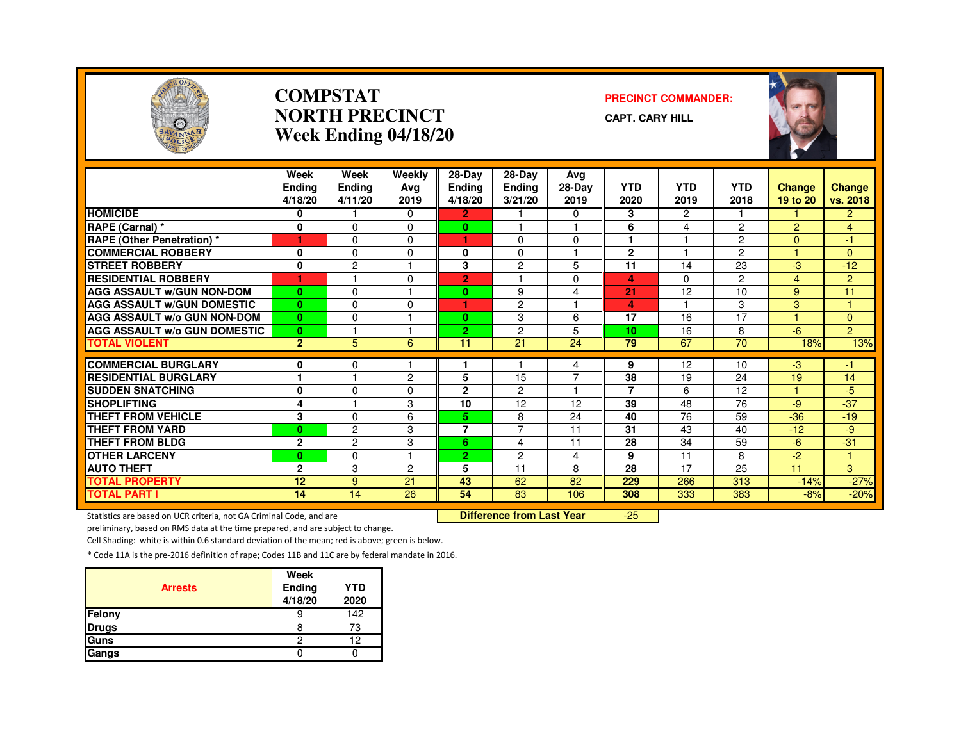

### **COMPSTATNORTH PRECINCTWeek Ending 04/18/20**

#### **PRECINCT COMMANDER:**

**CAPT. CARY HILL**



|                                     | Week<br><b>Endina</b><br>4/18/20 | Week<br><b>Ending</b><br>4/11/20 | Weekly<br>Ava<br>2019 | $28-Dav$<br><b>Ending</b><br>4/18/20 | 28-Day<br><b>Ending</b><br>3/21/20 | Avg<br>28-Day<br>2019 | <b>YTD</b><br>2020 | YTD<br>2019             | <b>YTD</b><br>2018 | Change<br>19 to 20 | Change<br>vs. 2018 |
|-------------------------------------|----------------------------------|----------------------------------|-----------------------|--------------------------------------|------------------------------------|-----------------------|--------------------|-------------------------|--------------------|--------------------|--------------------|
| <b>HOMICIDE</b>                     | 0                                |                                  | $\Omega$              | $\overline{2}$                       |                                    | $\Omega$              | 3                  | 2                       |                    |                    | $\overline{2}$     |
| RAPE (Carnal) *                     | 0                                | $\Omega$                         | $\Omega$              | $\bf{0}$                             |                                    |                       | 6                  | 4                       | $\overline{2}$     | $\overline{2}$     | $\overline{4}$     |
| <b>RAPE (Other Penetration) *</b>   | 1                                | $\Omega$                         | $\Omega$              | ٠                                    | $\Omega$                           | $\Omega$              |                    |                         | $\overline{2}$     | $\overline{0}$     | -1                 |
| <b>COMMERCIAL ROBBERY</b>           | 0                                | $\Omega$                         | $\Omega$              | 0                                    | $\Omega$                           |                       | $\overline{2}$     |                         | $\overline{2}$     |                    | $\Omega$           |
| <b>STREET ROBBERY</b>               | $\bf{0}$                         | $\overline{c}$                   |                       | 3                                    | $\overline{c}$                     | 5                     | 11                 | 14                      | 23                 | $-3$               | $-12$              |
| <b>RESIDENTIAL ROBBERY</b>          | ٠                                |                                  | $\Omega$              | $\overline{2}$                       |                                    | $\Omega$              | 4                  | $\Omega$                | $\overline{2}$     | 4                  | $\overline{2}$     |
| <b>AGG ASSAULT W/GUN NON-DOM</b>    | $\bf{0}$                         | $\Omega$                         |                       | $\mathbf{0}$                         | 9                                  | 4                     | 21                 | 12                      | 10                 | 9                  | 11                 |
| <b>AGG ASSAULT W/GUN DOMESTIC</b>   | $\mathbf{0}$                     | $\Omega$                         | $\Omega$              | и                                    | $\overline{c}$                     | $\overline{ }$        | 4                  | $\overline{\mathbf{1}}$ | 3                  | 3                  | и                  |
| <b>AGG ASSAULT W/o GUN NON-DOM</b>  | $\bf{0}$                         | $\Omega$                         |                       | $\bf{0}$                             | 3                                  | 6                     | 17                 | 16                      | 17                 |                    | $\Omega$           |
| <b>AGG ASSAULT W/o GUN DOMESTIC</b> | $\mathbf{0}$                     |                                  |                       | 2.                                   | $\overline{c}$                     | 5                     | 10                 | 16                      | 8                  | $-6$               | $\overline{2}$     |
| <b>TOTAL VIOLENT</b>                | $\overline{2}$                   | 5 <sup>5</sup>                   | 6                     | 11                                   | 21                                 | 24                    | 79                 | 67                      | 70                 | 18%                | 13%                |
|                                     |                                  |                                  |                       |                                      |                                    |                       |                    |                         |                    |                    |                    |
| <b>COMMERCIAL BURGLARY</b>          | 0<br>и                           | 0<br>н                           |                       |                                      |                                    | 4                     | 9                  | 12                      | 10                 | $-3$               | -1                 |
| <b>RESIDENTIAL BURGLARY</b>         |                                  |                                  | $\overline{2}$        | 5                                    | 15                                 | $\overline{7}$        | 38                 | 19                      | 24                 | 19                 | 14                 |
| <b>SUDDEN SNATCHING</b>             | 0                                | $\Omega$                         | $\Omega$              | 2                                    | $\overline{c}$                     | 1                     | 7                  | 6                       | 12                 |                    | $-5$               |
| <b>SHOPLIFTING</b>                  | 4                                |                                  | 3                     | 10                                   | 12                                 | 12                    | 39                 | 48                      | 76                 | $-9$               | $-37$              |
| <b>THEFT FROM VEHICLE</b>           | 3                                | $\Omega$                         | 6                     | 5.                                   | 8                                  | 24                    | 40                 | 76                      | 59                 | $-36$              | $-19$              |
| <b>THEFT FROM YARD</b>              | $\bf{0}$                         | $\overline{c}$                   | 3                     | $\overline{7}$                       | $\overline{7}$                     | 11                    | 31                 | 43                      | 40                 | $-12$              | -9                 |
| <b>THEFT FROM BLDG</b>              | $\mathbf{2}$                     | $\overline{c}$                   | 3                     | 6                                    | 4                                  | 11                    | 28                 | 34                      | 59                 | $-6$               | $-31$              |
| <b>OTHER LARCENY</b>                | $\bf{0}$                         | $\Omega$                         |                       | $\overline{2}$                       | $\overline{2}$                     | 4                     | 9                  | 11                      | 8                  | $-2$               | ٠                  |
| <b>AUTO THEFT</b>                   | $\mathbf{2}$                     | 3                                | 2                     | 5                                    | 11                                 | 8                     | 28                 | 17                      | 25                 | 11                 | 3                  |
| <b>TOTAL PROPERTY</b>               | 12                               | 9                                | 21                    | 43                                   | 62                                 | 82                    | 229                | 266                     | 313                | $-14%$             | $-27%$             |
| <b>TOTAL PART I</b>                 | 14                               | 14                               | 26                    | 54                                   | 83                                 | 106                   | 308                | 333                     | 383                | $-8%$              | $-20%$             |

Statistics are based on UCR criteria, not GA Criminal Code, and are **Difference from Last Year** 

-25

preliminary, based on RMS data at the time prepared, and are subject to change.

Cell Shading: white is within 0.6 standard deviation of the mean; red is above; green is below.

| <b>Arrests</b> | Week<br>Ending<br>4/18/20 | <b>YTD</b><br>2020 |
|----------------|---------------------------|--------------------|
| Felony         |                           | 142                |
| <b>Drugs</b>   | 8                         | 73                 |
| Guns           | 2                         | 12                 |
| Gangs          |                           |                    |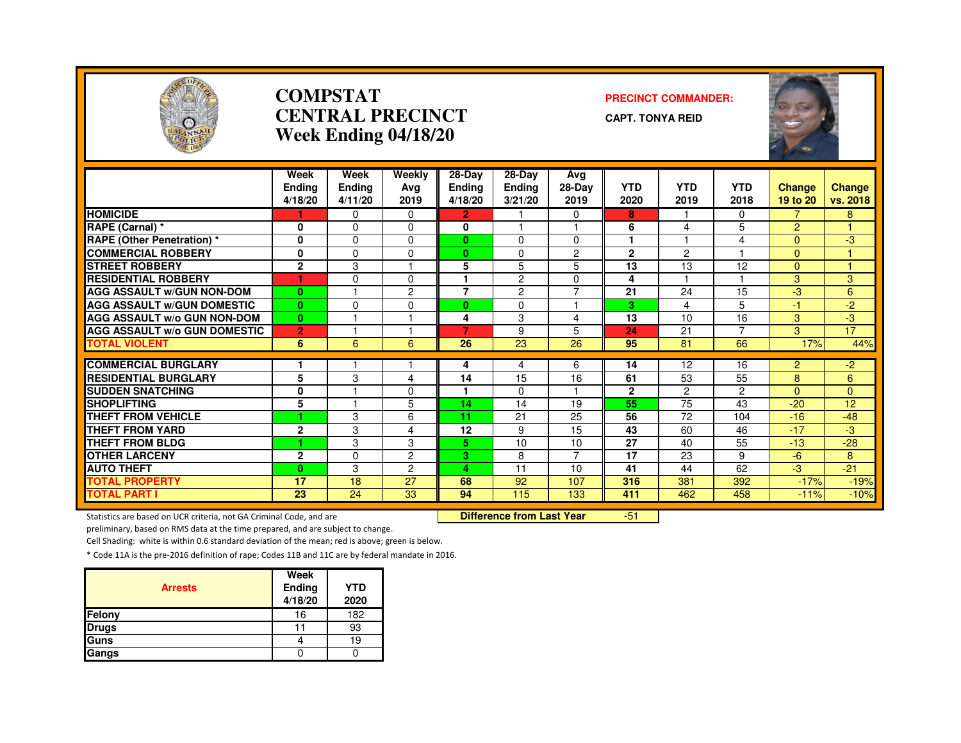

### **COMPSTATCENTRAL PRECINCTWeek Ending 04/18/20**

#### **PRECINCT COMMANDER:**

**CAPT. TONYA REID**



|                                     | Week<br><b>Ending</b> | Week<br><b>Ending</b> | Weekly<br>Avg  | 28-Day<br><b>Ending</b> | $28-Dav$<br>Ending | Avg<br>28-Day  | <b>YTD</b>   | <b>YTD</b>     | <b>YTD</b>     | <b>Change</b>  | <b>Change</b>   |
|-------------------------------------|-----------------------|-----------------------|----------------|-------------------------|--------------------|----------------|--------------|----------------|----------------|----------------|-----------------|
|                                     | 4/18/20               | 4/11/20               | 2019           | 4/18/20                 | 3/21/20            | 2019           | 2020         | 2019           | 2018           | 19 to 20       | vs. 2018        |
| <b>HOMICIDE</b>                     |                       | $\Omega$              | $\Omega$       | $\overline{2}$          |                    | $\Omega$       | 8            |                | $\Omega$       | $\overline{7}$ | 8               |
| <b>RAPE (Carnal) *</b>              | 0                     | $\Omega$              | 0              | 0                       |                    |                | 6            | 4              | 5              | $\overline{2}$ |                 |
| <b>RAPE (Other Penetration) *</b>   | $\mathbf{0}$          | $\Omega$              | $\Omega$       | $\mathbf{0}$            | $\Omega$           | $\Omega$       |              |                | 4              | $\Omega$       | لې.             |
| <b>COMMERCIAL ROBBERY</b>           | $\mathbf{0}$          | $\Omega$              | 0              | 0                       | $\Omega$           | $\overline{c}$ | $\mathbf{2}$ | $\mathcal{P}$  |                | $\overline{0}$ |                 |
| <b>STREET ROBBERY</b>               | $\mathbf{2}$          | 3                     |                | 5                       | 5                  | 5              | 13           | 13             | 12             | 0              |                 |
| <b>RESIDENTIAL ROBBERY</b>          | ٠                     | $\Omega$              | $\Omega$       |                         | $\overline{c}$     | $\Omega$       | 4            |                |                | 3              | 3               |
| <b>AGG ASSAULT W/GUN NON-DOM</b>    | $\bf{0}$              |                       | $\overline{2}$ | $\overline{7}$          | $\overline{2}$     | $\overline{7}$ | 21           | 24             | 15             | $-3$           | 6               |
| <b>AGG ASSAULT W/GUN DOMESTIC</b>   | $\mathbf{0}$          | $\Omega$              | 0              | 0                       | $\Omega$           | 1              | 3            | 4              | 5              | $-1$           | $-2$            |
| <b>AGG ASSAULT W/o GUN NON-DOM</b>  | $\mathbf{0}$          |                       |                | 4                       | 3                  | 4              | 13           | 10             | 16             | 3              | $-3$            |
| <b>AGG ASSAULT W/o GUN DOMESTIC</b> | $\overline{2}$        |                       |                | 7                       | 9                  | 5              | 24           | 21             | $\overline{ }$ | 3              | 17              |
| <b>TOTAL VIOLENT</b>                | 6                     | 6                     | 6              | 26                      | 23                 | 26             | 95           | 81             | 66             | 17%            | 44%             |
|                                     |                       |                       |                |                         |                    |                |              |                |                |                |                 |
| <b>COMMERCIAL BURGLARY</b>          | 1                     |                       |                | 4                       | 4                  | 6              | 14           | 12             | 16             | $\overline{2}$ | $-2$            |
| <b>RESIDENTIAL BURGLARY</b>         | 5                     | 3                     | 4              | 14                      | 15                 | 16             | 61           | 53             | 55             | 8              | 6               |
| <b>SUDDEN SNATCHING</b>             | $\bf{0}$              |                       | 0              |                         | $\Omega$           |                | $\mathbf{2}$ | $\overline{2}$ | $\overline{c}$ | $\Omega$       | $\Omega$        |
| <b>SHOPLIFTING</b>                  | 5                     |                       | 5              | 14                      | 14                 | 19             | 55           | 75             | 43             | $-20$          | 12 <sub>2</sub> |
| <b>THEFT FROM VEHICLE</b>           | ٠                     | 3                     | 6              | 11                      | 21                 | 25             | 56           | 72             | 104            | $-16$          | $-48$           |
| <b>THEFT FROM YARD</b>              | $\mathbf{2}$          | 3                     | 4              | 12                      | 9                  | 15             | 43           | 60             | 46             | $-17$          | -3              |
| <b>THEFT FROM BLDG</b>              | 1                     | 3                     | 3              | 5.                      | 10                 | 10             | 27           | 40             | 55             | $-13$          | $-28$           |
| <b>OTHER LARCENY</b>                | $\mathbf{2}$          | $\Omega$              | $\overline{c}$ | 3.                      | 8                  | $\overline{7}$ | 17           | 23             | 9              | $-6$           | 8               |
| <b>AUTO THEFT</b>                   | $\mathbf{0}$          | 3                     | $\overline{2}$ | $\overline{\mathbf{A}}$ | 11                 | 10             | 41           | 44             | 62             | $-3$           | $-21$           |
| <b>TOTAL PROPERTY</b>               | 17                    | 18                    | 27             | 68                      | 92                 | 107            | 316          | 381            | 392            | $-17%$         | $-19%$          |
| <b>TOTAL PART I</b>                 | 23                    | 24                    | 33             | 94                      | 115                | 133            | 411          | 462            | 458            | $-11%$         | $-10%$          |

Statistics are based on UCR criteria, not GA Criminal Code, and are **Difference from Last Year** 

-51

preliminary, based on RMS data at the time prepared, and are subject to change.

Cell Shading: white is within 0.6 standard deviation of the mean; red is above; green is below.

|                | Week              |                    |
|----------------|-------------------|--------------------|
| <b>Arrests</b> | Ending<br>4/18/20 | <b>YTD</b><br>2020 |
| <b>Felony</b>  | 16                | 182                |
| <b>Drugs</b>   |                   | 93                 |
| <b>Guns</b>    |                   | 19                 |
| Gangs          |                   |                    |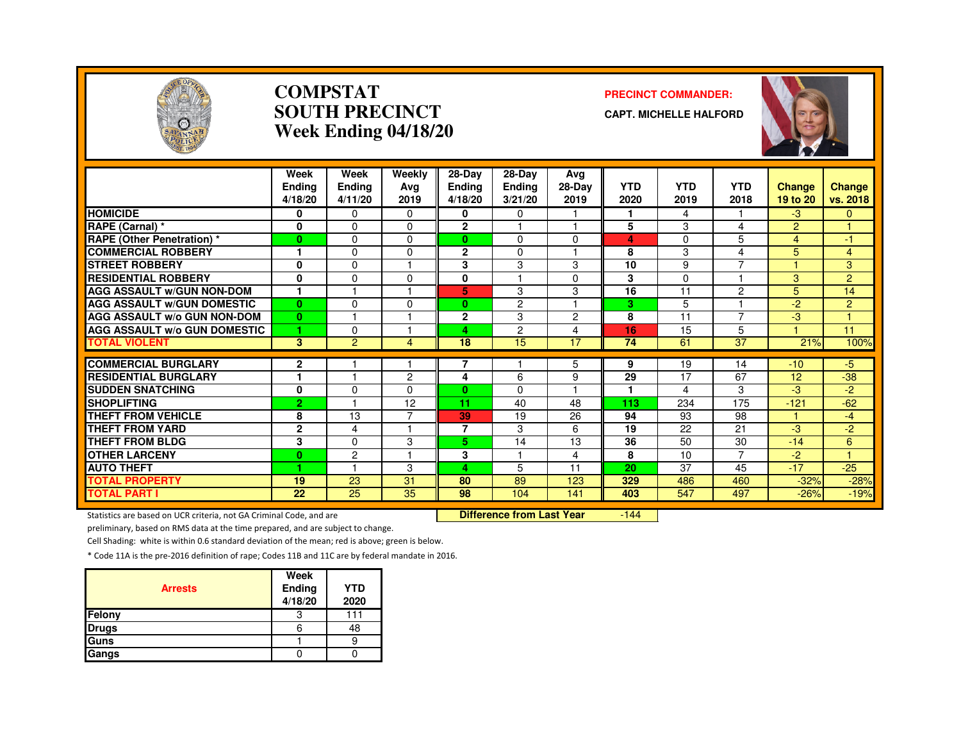

### **COMPSTATSOUTH PRECINCTWeek Ending 04/18/20**

### **PRECINCT COMMANDER:**

**CAPT. MICHELLE HALFORD**



|                                                           | Week<br><b>Ending</b><br>4/18/20 | Week<br>Ending<br>4/11/20 | Weekly<br>Avg<br>2019 | 28-Day<br><b>Ending</b><br>4/18/20 | $28$ -Day<br><b>Ending</b><br>3/21/20 | Ava<br>28-Day<br>2019 | <b>YTD</b><br>2020 | <b>YTD</b><br>2019 | <b>YTD</b><br>2018       | <b>Change</b><br>19 to 20 | Change<br>vs. 2018 |
|-----------------------------------------------------------|----------------------------------|---------------------------|-----------------------|------------------------------------|---------------------------------------|-----------------------|--------------------|--------------------|--------------------------|---------------------------|--------------------|
| <b>HOMICIDE</b>                                           | 0                                | $\Omega$                  | $\Omega$              | 0                                  | $\Omega$                              |                       | 1                  | 4                  |                          | $-3$                      | $\mathbf{0}$       |
| RAPE (Carnal) *                                           | $\mathbf 0$                      | $\Omega$                  | $\Omega$              | $\mathbf{2}$                       |                                       |                       | 5                  | 3                  | 4                        | 2                         | $\overline{1}$     |
| <b>RAPE (Other Penetration)</b> *                         | $\mathbf{0}$                     | $\Omega$                  | $\Omega$              | 0                                  | $\Omega$                              | $\Omega$              | 4                  | 0                  | 5                        | 4                         | -1                 |
| <b>COMMERCIAL ROBBERY</b>                                 |                                  | $\Omega$                  | $\Omega$              | $\mathbf{2}$                       | $\Omega$                              |                       | 8                  | 3                  | 4                        | 5                         | $\overline{4}$     |
| <b>STREET ROBBERY</b>                                     | $\mathbf 0$                      | $\Omega$                  |                       | 3                                  | 3                                     | 3                     | 10                 | 9                  | $\overline{\phantom{a}}$ |                           | 3                  |
| <b>RESIDENTIAL ROBBERY</b>                                | $\mathbf{0}$                     | $\Omega$                  | $\Omega$              | 0                                  |                                       | $\Omega$              | 3                  | $\Omega$           |                          | 3                         | $\overline{2}$     |
| <b>AGG ASSAULT W/GUN NON-DOM</b>                          |                                  |                           |                       | 5                                  | 3                                     | 3                     | 16                 | 11                 | 2                        | 5                         | 14                 |
| <b>AGG ASSAULT W/GUN DOMESTIC</b>                         | $\bf{0}$                         | $\Omega$                  | $\Omega$              | 0                                  | 2                                     |                       | 3                  | 5                  |                          | $-2$                      | 2                  |
| <b>AGG ASSAULT w/o GUN NON-DOM</b>                        | $\bf{0}$                         |                           |                       | $\mathbf{2}$                       | 3                                     | $\overline{2}$        | 8                  | 11                 | 7                        | -3                        |                    |
| <b>AGG ASSAULT w/o GUN DOMESTIC</b>                       | 1                                | $\Omega$                  |                       | 4                                  | 2                                     | $\overline{4}$        | 16                 | 15                 | 5                        |                           | 11                 |
| <b>TOTAL VIOLENT</b>                                      | $\overline{3}$                   | $\overline{2}$            | 4                     | 18                                 | 15                                    | 17                    | 74                 | 61                 | 37                       | 21%                       | 100%               |
|                                                           |                                  |                           |                       |                                    |                                       |                       |                    |                    |                          |                           |                    |
| <b>COMMERCIAL BURGLARY</b><br><b>RESIDENTIAL BURGLARY</b> | $\mathbf{2}$<br>1                |                           | $\overline{2}$        | 7                                  |                                       | 5                     | 9<br>29            | 19<br>17           | 14<br>67                 | $-10$<br>12               | $-5$               |
|                                                           |                                  |                           |                       | 4                                  | 6                                     | 9                     |                    |                    |                          |                           | $-38$              |
| <b>SUDDEN SNATCHING</b><br><b>SHOPLIFTING</b>             | 0                                | $\Omega$                  | 0                     | 0                                  | $\Omega$                              |                       |                    | 4                  | 3                        | -3                        | -2                 |
|                                                           | $\overline{2}$                   |                           | 12<br>⇁               | 11                                 | 40                                    | 48                    | 113                | 234                | 175                      | $-121$                    | $-62$              |
| THEFT FROM VEHICLE                                        | 8                                | 13                        |                       | 39                                 | 19                                    | 26                    | 94                 | 93                 | 98                       |                           | $-4$               |
| <b>THEFT FROM YARD</b>                                    | $\mathbf{2}$                     | 4                         |                       | $\overline{7}$                     | 3                                     | 6                     | 19                 | 22                 | 21                       | -3                        | $-2$               |
| <b>THEFT FROM BLDG</b>                                    | 3                                | $\Omega$                  | 3                     | 5.                                 | 14                                    | 13                    | 36                 | 50                 | 30                       | $-14$                     | 6                  |
| <b>OTHER LARCENY</b>                                      | $\bf{0}$                         | $\overline{2}$            |                       | 3                                  |                                       | 4                     | 8                  | 10                 | $\overline{7}$           | $-2$                      | и                  |
| <b>AUTO THEFT</b>                                         | 1                                |                           | 3                     | 4                                  | 5                                     | 11                    | 20                 | 37                 | 45                       | $-17$                     | $-25$              |
| <b>TOTAL PROPERTY</b>                                     | 19                               | 23                        | 31                    | 80                                 | 89                                    | 123                   | 329                | 486                | 460                      | $-32%$                    | $-28%$             |
| <b>TOTAL PART I</b>                                       | 22                               | 25                        | 35                    | 98                                 | 104                                   | 141                   | 403                | 547                | 497                      | $-26%$                    | $-19%$             |

Statistics are based on UCR criteria, not GA Criminal Code, and are **Difference from Last Year** 

 $-144$ 

preliminary, based on RMS data at the time prepared, and are subject to change.

Cell Shading: white is within 0.6 standard deviation of the mean; red is above; green is below.

| <b>Arrests</b> | Week<br>Ending<br>4/18/20 | <b>YTD</b><br>2020 |
|----------------|---------------------------|--------------------|
| Felony         |                           | 111                |
| <b>Drugs</b>   |                           | 48                 |
| Guns           |                           |                    |
| Gangs          |                           |                    |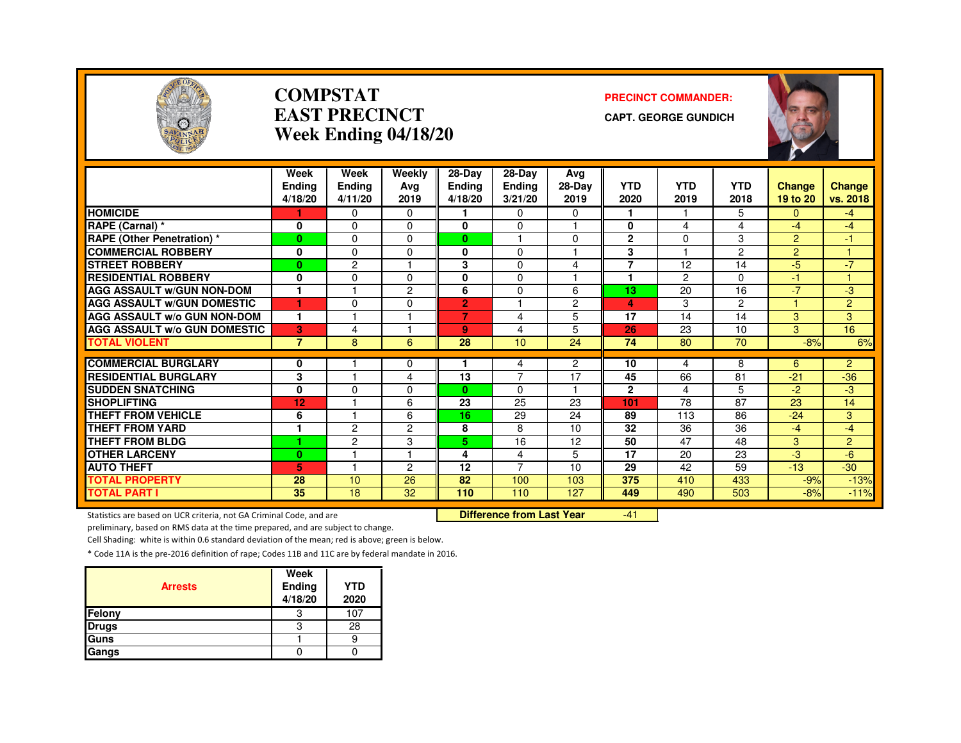

### **COMPSTATEAST PRECINCTWeek Ending 04/18/20**

#### **PRECINCT COMMANDER:**

**CAPT. GEORGE GUNDICH**



|                                     | Week           | Week           | Weekly   | 28-Day         | $28-Dav$             | Avg            |                 |            |                 |                |                |
|-------------------------------------|----------------|----------------|----------|----------------|----------------------|----------------|-----------------|------------|-----------------|----------------|----------------|
|                                     | <b>Endina</b>  | Ending         | Ava      | <b>Ending</b>  | <b>Ending</b>        | 28-Day         | <b>YTD</b>      | <b>YTD</b> | <b>YTD</b>      | <b>Change</b>  | <b>Change</b>  |
|                                     | 4/18/20        | 4/11/20        | 2019     | 4/18/20        | 3/21/20              | 2019           | 2020            | 2019       | 2018            | 19 to 20       | vs. 2018       |
| <b>HOMICIDE</b>                     |                | $\Omega$       | $\Omega$ |                | 0                    | 0              |                 |            | 5.              | 0              | $-4$           |
| RAPE (Carnal) *                     | 0              | $\Omega$       | $\Omega$ | $\bf{0}$       | 0                    | ٠              | 0               | 4          | 4               | $-4$           | $-4$           |
| <b>RAPE (Other Penetration) *</b>   | $\mathbf{0}$   | $\Omega$       | $\Omega$ | $\mathbf{0}$   | $\blacktriangleleft$ | $\Omega$       | $\mathbf{2}$    | $\Omega$   | 3               | $\overline{2}$ | 47             |
| <b>COMMERCIAL ROBBERY</b>           | 0              | $\Omega$       | $\Omega$ | $\bf{0}$       | 0                    | ٠              | 3               |            | $\overline{2}$  | $\overline{2}$ |                |
| <b>STREET ROBBERY</b>               | $\bf{0}$       | $\overline{c}$ |          | 3              | 0                    | 4              | 7               | 12         | 14              | $-5$           | $-7$           |
| <b>RESIDENTIAL ROBBERY</b>          | 0              | $\Omega$       | $\Omega$ | $\bf{0}$       | 0                    |                |                 | 2          | $\Omega$        | $-1$           |                |
| <b>AGG ASSAULT W/GUN NON-DOM</b>    | 1              |                | 2        | 6              | 0                    | 6              | 13              | 20         | 16              | $-7$           | -3             |
| <b>AGG ASSAULT W/GUN DOMESTIC</b>   | 1              | $\Omega$       | $\Omega$ | $\overline{2}$ |                      | $\overline{c}$ | 4               | 3          | $\overline{2}$  |                | $\overline{2}$ |
| <b>AGG ASSAULT w/o GUN NON-DOM</b>  | $\mathbf{1}$   |                | ٠        | $\overline{7}$ | 4                    | 5              | 17              | 14         | 14              | 3              | 3              |
| <b>AGG ASSAULT W/o GUN DOMESTIC</b> | 3              | 4              |          | 9              | 4                    | 5              | 26              | 23         | 10              | 3              | 16             |
| <b>TOTAL VIOLENT</b>                | $\overline{7}$ | 8              | 6        | 28             | 10 <sup>1</sup>      | 24             | 74              | 80         | 70              | $-8%$          | 6%             |
|                                     |                |                |          |                |                      |                |                 |            |                 |                |                |
| <b>COMMERCIAL BURGLARY</b>          | 0              |                | $\Omega$ |                | 4<br>7               | $\overline{2}$ | 10              | 4          | 8               | 6              | $\overline{2}$ |
| <b>RESIDENTIAL BURGLARY</b>         | 3              |                | 4        | 13             |                      | 17<br>1        | 45              | 66         | 81              | $-21$          | $-36$          |
| <b>SUDDEN SNATCHING</b>             | 0              | $\Omega$       | $\Omega$ | $\mathbf{0}$   | 0                    |                | $\mathbf{2}$    | 4          | 5               | $-2$           | $-3$           |
| <b>SHOPLIFTING</b>                  | 12             |                | 6        | 23             | 25                   | 23             | 101             | 78         | 87              | 23             | 14             |
| <b>THEFT FROM VEHICLE</b>           | 6              |                | 6        | 16             | 29                   | 24             | 89              | 113        | 86              | $-24$          | 3              |
| <b>THEFT FROM YARD</b>              |                | $\overline{c}$ | 2        | 8              | 8                    | 10             | $\overline{32}$ | 36         | $\overline{36}$ | $-4$           | $-4$           |
| <b>THEFT FROM BLDG</b>              | ٠              | $\overline{c}$ | 3        | 5.             | 16                   | 12             | 50              | 47         | 48              | 3              | $\overline{2}$ |
| <b>OTHER LARCENY</b>                | $\bf{0}$       |                | и        | 4              | 4                    | 5              | 17              | 20         | 23              | $-3$           | $-6$           |
| <b>AUTO THEFT</b>                   | 5.             |                | 2        | 12             | 7                    | 10             | 29              | 42         | 59              | $-13$          | $-30$          |
| <b>TOTAL PROPERTY</b>               | 28             | 10             | 26       | 82             | 100                  | 103            | 375             | 410        | 433             | $-9%$          | $-13%$         |
| <b>TOTAL PART I</b>                 | 35             | 18             | 32       | 110            | 110                  | 127            | 449             | 490        | 503             | $-8%$          | $-11%$         |

Statistics are based on UCR criteria, not GA Criminal Code, and are **Difference from Last Year** 

-41

preliminary, based on RMS data at the time prepared, and are subject to change.

Cell Shading: white is within 0.6 standard deviation of the mean; red is above; green is below.

| <b>Arrests</b> | Week<br>Ending<br>4/18/20 | <b>YTD</b><br>2020 |
|----------------|---------------------------|--------------------|
| Felony         | З                         | 107                |
| <b>Drugs</b>   | 3                         | 28                 |
| Guns           |                           |                    |
| Gangs          |                           |                    |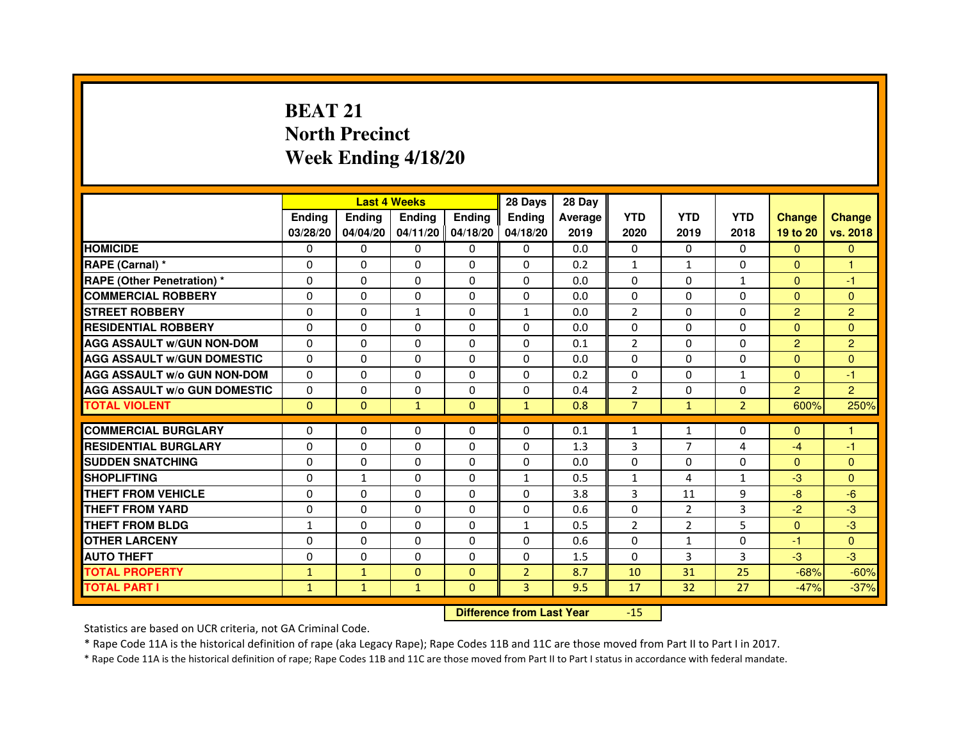# **BEAT 21 North PrecinctWeek Ending 4/18/20**

|                                     |              |                                  | <b>Last 4 Weeks</b> |                | 28 Days        | 28 Day  |                |                |                |                |                |
|-------------------------------------|--------------|----------------------------------|---------------------|----------------|----------------|---------|----------------|----------------|----------------|----------------|----------------|
|                                     | Ending       | Ending                           | <b>Ending</b>       | <b>Ending</b>  | Ending         | Average | <b>YTD</b>     | <b>YTD</b>     | <b>YTD</b>     | <b>Change</b>  | <b>Change</b>  |
|                                     | 03/28/20     | 04/04/20                         | 04/11/20 04/18/20   |                | 04/18/20       | 2019    | 2020           | 2019           | 2018           | 19 to 20       | vs. 2018       |
| <b>HOMICIDE</b>                     | 0            | 0                                | $\mathbf{0}$        | 0              | 0              | 0.0     | $\Omega$       | $\Omega$       | $\Omega$       | $\Omega$       | $\mathbf{0}$   |
| RAPE (Carnal) *                     | 0            | 0                                | 0                   | 0              | 0              | 0.2     | 1              | $\mathbf{1}$   | $\Omega$       | $\Omega$       | 1              |
| <b>RAPE (Other Penetration) *</b>   | $\Omega$     | $\mathbf 0$                      | $\Omega$            | 0              | 0              | 0.0     | $\Omega$       | $\mathbf{0}$   | $\mathbf{1}$   | $\Omega$       | $-1$           |
| <b>COMMERCIAL ROBBERY</b>           | $\mathbf 0$  | 0                                | $\Omega$            | 0              | 0              | 0.0     | $\mathbf{0}$   | $\mathbf{0}$   | $\Omega$       | $\Omega$       | $\mathbf{0}$   |
| <b>STREET ROBBERY</b>               | $\Omega$     | $\Omega$                         | $\mathbf{1}$        | $\Omega$       | 1              | 0.0     | $\overline{2}$ | $\Omega$       | $\Omega$       | $\overline{2}$ | $\overline{2}$ |
| <b>RESIDENTIAL ROBBERY</b>          | $\Omega$     | $\mathbf 0$                      | $\Omega$            | 0              | 0              | 0.0     | $\Omega$       | $\mathbf{0}$   | 0              | $\Omega$       | $\Omega$       |
| <b>AGG ASSAULT w/GUN NON-DOM</b>    | $\Omega$     | $\Omega$                         | $\Omega$            | $\Omega$       | 0              | 0.1     | $\overline{2}$ | $\mathbf{0}$   | 0              | $\overline{2}$ | $\overline{2}$ |
| <b>AGG ASSAULT W/GUN DOMESTIC</b>   | $\Omega$     | $\Omega$                         | $\mathbf 0$         | $\Omega$       | $\Omega$       | 0.0     | $\Omega$       | $\mathbf{0}$   | $\Omega$       | $\Omega$       | $\Omega$       |
| <b>AGG ASSAULT W/o GUN NON-DOM</b>  | $\Omega$     | $\Omega$                         | $\Omega$            | $\Omega$       | $\Omega$       | 0.2     | $\Omega$       | $\Omega$       | $\mathbf{1}$   | $\Omega$       | $-1$           |
| <b>AGG ASSAULT w/o GUN DOMESTIC</b> | $\Omega$     | $\mathbf 0$                      | $\Omega$            | 0              | 0              | 0.4     | $\overline{2}$ | $\mathbf{0}$   | 0              | $\overline{2}$ | $\overline{2}$ |
| <b>TOTAL VIOLENT</b>                | $\mathbf{0}$ | $\mathbf{0}$                     | $\mathbf{1}$        | $\mathbf{0}$   | $\mathbf{1}$   | 0.8     | $\overline{7}$ | $\mathbf{1}$   | $\overline{2}$ | 600%           | 250%           |
| <b>COMMERCIAL BURGLARY</b>          | 0            | 0                                | 0                   | 0              | 0              | 0.1     | 1              | 1              | 0              | $\Omega$       | 1              |
| <b>RESIDENTIAL BURGLARY</b>         | 0            | $\mathbf 0$                      | 0                   | 0              | 0              | 1.3     | 3              | 7              | 4              | $-4$           | $-1$           |
| <b>SUDDEN SNATCHING</b>             | $\Omega$     | $\mathbf 0$                      | $\Omega$            | $\Omega$       | $\Omega$       | 0.0     | $\Omega$       | $\Omega$       | $\Omega$       | $\Omega$       | $\Omega$       |
| <b>SHOPLIFTING</b>                  | 0            | $\mathbf{1}$                     | 0                   | 0              | 1              | 0.5     | $\mathbf{1}$   | 4              | $\mathbf{1}$   | $-3$           | $\Omega$       |
| THEFT FROM VEHICLE                  | $\Omega$     | $\Omega$                         | $\Omega$            | 0              | 0              | 3.8     | 3              | 11             | 9              | $-8$           | $-6$           |
| <b>THEFT FROM YARD</b>              | $\Omega$     | 0                                | $\mathbf 0$         | 0              | $\Omega$       | 0.6     | $\Omega$       | $\overline{2}$ | 3              | $-2$           | $-3$           |
| <b>THEFT FROM BLDG</b>              | $\mathbf{1}$ | $\Omega$                         | $\Omega$            | $\Omega$       | $\mathbf{1}$   | 0.5     | $\overline{2}$ | $\overline{2}$ | 5              | $\Omega$       | $-3$           |
| <b>OTHER LARCENY</b>                | $\Omega$     | $\Omega$                         | $\Omega$            | $\Omega$       | 0              | 0.6     | $\Omega$       | $\mathbf{1}$   | $\Omega$       | $-1$           | $\Omega$       |
| <b>AUTO THEFT</b>                   | $\Omega$     | 0                                | $\mathbf 0$         | $\Omega$       | $\Omega$       | 1.5     | $\Omega$       | 3              | 3              | $-3$           | $-3$           |
| <b>TOTAL PROPERTY</b>               | $\mathbf{1}$ | $\mathbf{1}$                     | $\Omega$            | $\mathbf{0}$   | $\overline{2}$ | 8.7     | 10             | 31             | 25             | $-68%$         | $-60%$         |
| <b>TOTAL PART I</b>                 | $\mathbf{1}$ | $\mathbf{1}$                     | $\mathbf{1}$        | $\overline{0}$ | 3              | 9.5     | 17             | 32             | 27             | $-47%$         | $-37%$         |
|                                     |              | <b>Difference from Last Year</b> |                     | $-15$          |                |         |                |                |                |                |                |

 **Difference from Last Year**

Statistics are based on UCR criteria, not GA Criminal Code.

\* Rape Code 11A is the historical definition of rape (aka Legacy Rape); Rape Codes 11B and 11C are those moved from Part II to Part I in 2017.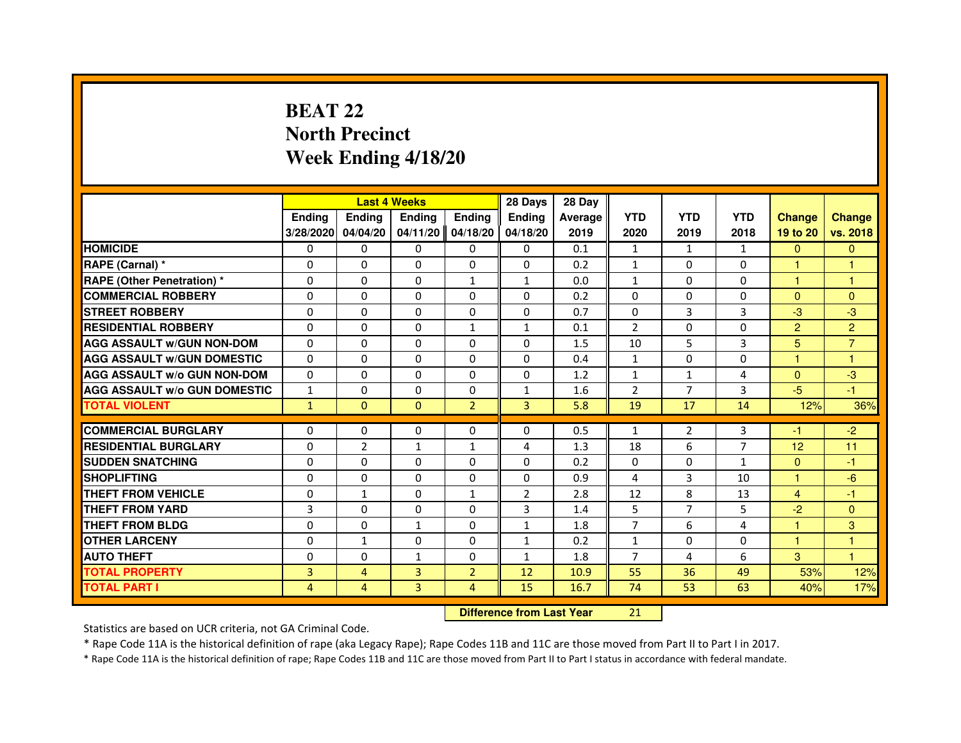# **BEAT 22 North PrecinctWeek Ending 4/18/20**

|                                     |                | <b>Last 4 Weeks</b> |                |                | 28 Days        | 28 Day  |                |                |                |                |                |
|-------------------------------------|----------------|---------------------|----------------|----------------|----------------|---------|----------------|----------------|----------------|----------------|----------------|
|                                     | <b>Ending</b>  | Ending              | <b>Ending</b>  | <b>Ending</b>  | Ending         | Average | <b>YTD</b>     | <b>YTD</b>     | <b>YTD</b>     | <b>Change</b>  | <b>Change</b>  |
|                                     | 3/28/2020      | 04/04/20            | 04/11/20       | 04/18/20       | 04/18/20       | 2019    | 2020           | 2019           | 2018           | 19 to 20       | vs. 2018       |
| <b>HOMICIDE</b>                     | 0              | $\Omega$            | 0              | 0              | $\mathbf{0}$   | 0.1     | $\mathbf{1}$   | $\mathbf{1}$   | $\mathbf{1}$   | $\mathbf{0}$   | $\mathbf{0}$   |
| RAPE (Carnal) *                     | 0              | 0                   | 0              | 0              | 0              | 0.2     | $\mathbf{1}$   | 0              | 0              | 1              | 1              |
| RAPE (Other Penetration) *          | $\Omega$       | 0                   | $\Omega$       | $\mathbf{1}$   | $\mathbf{1}$   | 0.0     | $\mathbf{1}$   | $\Omega$       | $\Omega$       | 1              | 1              |
| <b>COMMERCIAL ROBBERY</b>           | 0              | $\Omega$            | $\Omega$       | $\Omega$       | $\Omega$       | 0.2     | $\Omega$       | $\Omega$       | $\Omega$       | $\Omega$       | $\mathbf{0}$   |
| <b>STREET ROBBERY</b>               | $\Omega$       | $\Omega$            | $\Omega$       | $\Omega$       | $\Omega$       | 0.7     | $\Omega$       | $\overline{3}$ | 3              | $-3$           | $-3$           |
| <b>RESIDENTIAL ROBBERY</b>          | 0              | 0                   | 0              | $\mathbf{1}$   | $\mathbf{1}$   | 0.1     | 2              | 0              | $\Omega$       | $\overline{2}$ | $\overline{2}$ |
| <b>AGG ASSAULT w/GUN NON-DOM</b>    | $\Omega$       | $\Omega$            | $\Omega$       | $\Omega$       | $\Omega$       | 1.5     | 10             | 5              | 3              | 5              | $\overline{7}$ |
| <b>AGG ASSAULT W/GUN DOMESTIC</b>   | $\Omega$       | $\Omega$            | $\Omega$       | $\Omega$       | $\Omega$       | 0.4     | $\mathbf{1}$   | $\Omega$       | 0              | $\mathbf{1}$   | $\mathbf{1}$   |
| <b>AGG ASSAULT W/o GUN NON-DOM</b>  | $\Omega$       | $\Omega$            | $\Omega$       | $\Omega$       | $\Omega$       | 1.2     | $\mathbf{1}$   | $\mathbf{1}$   | 4              | $\Omega$       | $-3$           |
| <b>AGG ASSAULT w/o GUN DOMESTIC</b> | $\mathbf{1}$   | $\Omega$            | $\Omega$       | $\Omega$       | $\mathbf{1}$   | 1.6     | $\overline{2}$ | $\overline{7}$ | 3              | $-5$           | $-1$           |
| <b>TOTAL VIOLENT</b>                | $\mathbf{1}$   | $\mathbf{0}$        | $\mathbf{0}$   | $\overline{2}$ | $\overline{3}$ | 5.8     | 19             | 17             | 14             | 12%            | 36%            |
| <b>COMMERCIAL BURGLARY</b>          | 0              | 0                   | 0              | 0              | 0              | 0.5     | $\mathbf{1}$   | $\overline{2}$ | 3              | -1             | $-2$           |
| <b>RESIDENTIAL BURGLARY</b>         | 0              | $\overline{2}$      | $\mathbf{1}$   | 1              | 4              | 1.3     | 18             | 6              | $\overline{7}$ | 12             | 11             |
| <b>SUDDEN SNATCHING</b>             | $\Omega$       | $\Omega$            | $\Omega$       | $\Omega$       | $\Omega$       | 0.2     | $\Omega$       | $\Omega$       | $\mathbf{1}$   | $\Omega$       | $-1$           |
| <b>SHOPLIFTING</b>                  | 0              | $\Omega$            | $\Omega$       | $\Omega$       | $\Omega$       | 0.9     | 4              | 3              | 10             | 1              | $-6$           |
| <b>THEFT FROM VEHICLE</b>           | 0              | $\mathbf{1}$        | $\Omega$       | $\mathbf{1}$   | $\overline{2}$ | 2.8     | 12             | 8              | 13             | 4              | -1             |
| <b>THEFT FROM YARD</b>              | 3              | $\Omega$            | $\Omega$       | $\Omega$       | 3              | 1.4     | 5              | $\overline{7}$ | 5              | $-2$           | $\mathbf{0}$   |
| <b>THEFT FROM BLDG</b>              | $\Omega$       | $\Omega$            | $\mathbf{1}$   | $\Omega$       | $\mathbf{1}$   | 1.8     | $\overline{7}$ | 6              | 4              | $\mathbf{1}$   | 3              |
| <b>OTHER LARCENY</b>                | 0              | $\mathbf{1}$        | $\Omega$       | $\Omega$       | $\mathbf{1}$   | 0.2     | $\mathbf{1}$   | 0              | 0              | $\mathbf{1}$   | 1              |
| <b>AUTO THEFT</b>                   | $\Omega$       | $\Omega$            | $\mathbf{1}$   | $\Omega$       | $\mathbf{1}$   | 1.8     | $\overline{7}$ | 4              | 6              | 3              | $\mathbf{1}$   |
| <b>TOTAL PROPERTY</b>               | $\overline{3}$ | $\overline{4}$      | $\overline{3}$ | $\overline{2}$ | 12             | 10.9    | 55             | 36             | 49             | 53%            | 12%            |
| <b>TOTAL PART I</b>                 | $\overline{4}$ | $\overline{4}$      | 3              | $\overline{4}$ | 15             | 16.7    | 74             | 53             | 63             | 40%            | 17%            |
|                                     |                |                     |                |                |                |         |                |                |                |                |                |

 **Difference from Last Year**

Statistics are based on UCR criteria, not GA Criminal Code.

\* Rape Code 11A is the historical definition of rape (aka Legacy Rape); Rape Codes 11B and 11C are those moved from Part II to Part I in 2017.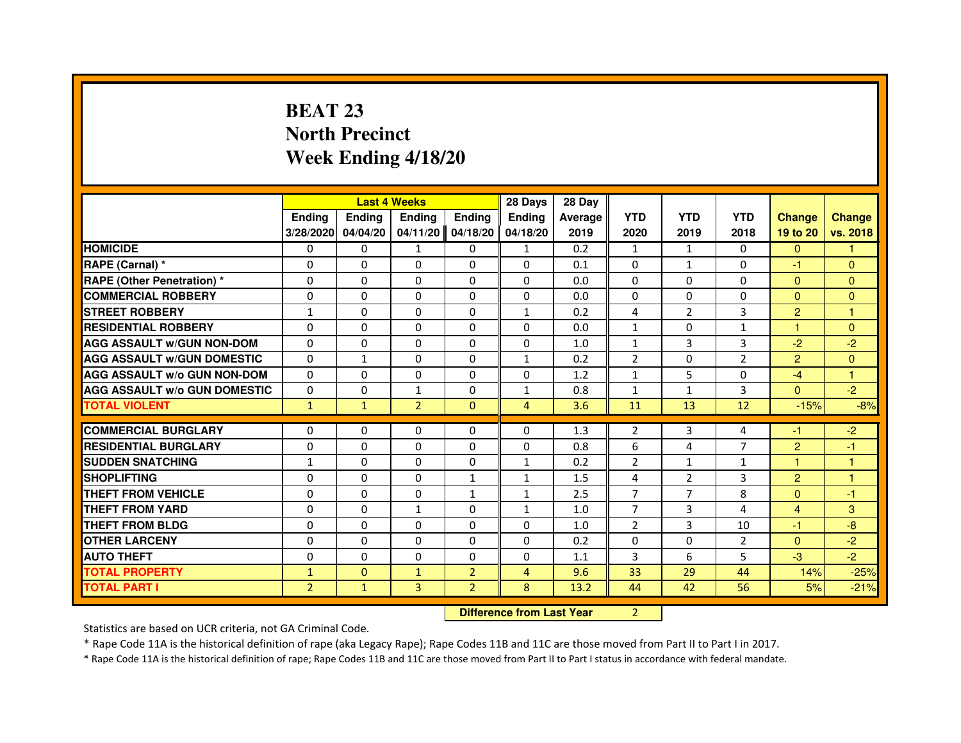# **BEAT 23 North PrecinctWeek Ending 4/18/20**

|                                     |                | <b>Last 4 Weeks</b>              |                |                | 28 Days        | 28 Day  |                |                |                |                      |               |
|-------------------------------------|----------------|----------------------------------|----------------|----------------|----------------|---------|----------------|----------------|----------------|----------------------|---------------|
|                                     | <b>Ending</b>  | Ending                           | <b>Ending</b>  | <b>Ending</b>  | Ending         | Average | <b>YTD</b>     | <b>YTD</b>     | <b>YTD</b>     | <b>Change</b>        | <b>Change</b> |
|                                     | 3/28/2020      | 04/04/20                         | 04/11/20       | 04/18/20       | 04/18/20       | 2019    | 2020           | 2019           | 2018           | 19 to 20             | vs. 2018      |
| <b>HOMICIDE</b>                     | $\Omega$       | $\Omega$                         | $\mathbf{1}$   | $\Omega$       | 1              | 0.2     | $\mathbf{1}$   | 1              | $\Omega$       | $\Omega$             | 1.            |
| RAPE (Carnal) *                     | 0              | $\Omega$                         | $\Omega$       | $\Omega$       | $\Omega$       | 0.1     | $\Omega$       | $\mathbf{1}$   | 0              | $-1$                 | $\mathbf{0}$  |
| <b>RAPE (Other Penetration) *</b>   | $\Omega$       | $\Omega$                         | $\Omega$       | $\Omega$       | $\Omega$       | 0.0     | $\Omega$       | $\Omega$       | $\Omega$       | $\Omega$             | $\mathbf{0}$  |
| <b>COMMERCIAL ROBBERY</b>           | 0              | $\Omega$                         | $\Omega$       | $\Omega$       | $\Omega$       | 0.0     | $\Omega$       | $\Omega$       | $\Omega$       | $\Omega$             | $\mathbf{0}$  |
| <b>STREET ROBBERY</b>               | $\mathbf{1}$   | $\Omega$                         | $\Omega$       | $\Omega$       | $\mathbf{1}$   | 0.2     | 4              | 2              | 3              | $\overline{2}$       | $\mathbf{1}$  |
| <b>RESIDENTIAL ROBBERY</b>          | $\Omega$       | $\Omega$                         | $\Omega$       | $\Omega$       | $\Omega$       | 0.0     | $\mathbf{1}$   | $\Omega$       | $\mathbf{1}$   | $\blacktriangleleft$ | $\mathbf{0}$  |
| <b>AGG ASSAULT w/GUN NON-DOM</b>    | $\Omega$       | $\Omega$                         | $\Omega$       | $\Omega$       | $\Omega$       | 1.0     | $\mathbf{1}$   | $\overline{3}$ | 3              | $-2$                 | $-2$          |
| <b>AGG ASSAULT w/GUN DOMESTIC</b>   | $\Omega$       | $\mathbf{1}$                     | $\Omega$       | $\Omega$       | $\mathbf{1}$   | 0.2     | $\overline{2}$ | $\Omega$       | $\overline{2}$ | $\overline{2}$       | $\mathbf{0}$  |
| <b>AGG ASSAULT W/o GUN NON-DOM</b>  | $\Omega$       | $\Omega$                         | $\Omega$       | 0              | 0              | 1.2     | $\mathbf{1}$   | 5              | 0              | $-4$                 | 1             |
| <b>AGG ASSAULT W/o GUN DOMESTIC</b> | $\Omega$       | 0                                | $\mathbf{1}$   | $\Omega$       | $\mathbf{1}$   | 0.8     | $\mathbf{1}$   | $\mathbf{1}$   | 3              | $\overline{0}$       | $-2$          |
| <b>TOTAL VIOLENT</b>                | $\mathbf{1}$   | $\mathbf{1}$                     | $\overline{2}$ | $\mathbf{0}$   | $\overline{4}$ | 3.6     | 11             | 13             | 12             | $-15%$               | $-8%$         |
| <b>COMMERCIAL BURGLARY</b>          | $\Omega$       | 0                                | 0              | 0              | $\Omega$       | 1.3     | 2              | 3              | 4              | $-1$                 | $-2$          |
| <b>RESIDENTIAL BURGLARY</b>         | $\Omega$       | $\Omega$                         | $\Omega$       | $\Omega$       | $\Omega$       | 0.8     | 6              | 4              | $\overline{7}$ | $\overline{2}$       | $-1$          |
| <b>SUDDEN SNATCHING</b>             | $\mathbf{1}$   | $\Omega$                         | $\Omega$       | $\Omega$       | $\mathbf{1}$   | 0.2     | $\overline{2}$ | $\mathbf{1}$   | $\mathbf{1}$   | 1                    | 1             |
| <b>SHOPLIFTING</b>                  | 0              | 0                                | 0              | $\mathbf{1}$   | $\mathbf{1}$   | 1.5     | 4              | $\overline{2}$ | 3              | $\overline{2}$       | 1             |
| <b>THEFT FROM VEHICLE</b>           | $\Omega$       | $\Omega$                         | $\Omega$       | $\mathbf{1}$   | $\mathbf{1}$   | 2.5     | $\overline{7}$ | $\overline{7}$ | 8              | $\Omega$             | $-1$          |
| <b>THEFT FROM YARD</b>              | 0              | 0                                | $\mathbf{1}$   | 0              | $\mathbf{1}$   | 1.0     | $\overline{7}$ | 3              | 4              | 4                    | 3             |
| <b>THEFT FROM BLDG</b>              | $\Omega$       | $\Omega$                         | $\Omega$       | $\Omega$       | $\Omega$       | 1.0     | $\overline{2}$ | 3              | 10             | $-1$                 | $-8$          |
| <b>OTHER LARCENY</b>                | $\Omega$       | $\Omega$                         | $\Omega$       | $\Omega$       | $\Omega$       | 0.2     | $\Omega$       | $\Omega$       | $\overline{2}$ | $\Omega$             | $-2$          |
| <b>AUTO THEFT</b>                   | $\Omega$       | $\Omega$                         | $\Omega$       | $\Omega$       | $\Omega$       | 1.1     | 3              | 6              | 5              | $-3$                 | $-2$          |
| <b>TOTAL PROPERTY</b>               | $\mathbf{1}$   | $\mathbf{0}$                     | $\mathbf{1}$   | $\overline{2}$ | $\overline{4}$ | 9.6     | 33             | 29             | 44             | 14%                  | $-25%$        |
| <b>TOTAL PART I</b>                 | $\overline{2}$ | $\mathbf{1}$                     | 3              | $\overline{2}$ | 8              | 13.2    | 44             | 42             | 56             | 5%                   | $-21%$        |
|                                     |                | <b>Difference from Last Year</b> |                | $\overline{2}$ |                |         |                |                |                |                      |               |

 **Difference from Last Year**

Statistics are based on UCR criteria, not GA Criminal Code.

\* Rape Code 11A is the historical definition of rape (aka Legacy Rape); Rape Codes 11B and 11C are those moved from Part II to Part I in 2017.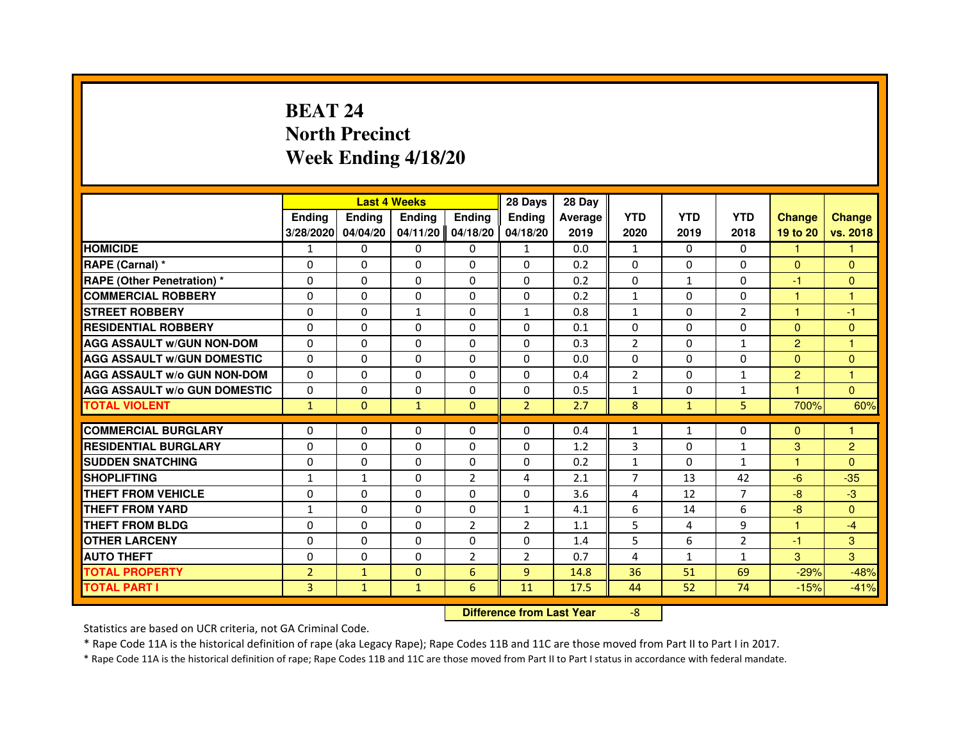# **BEAT 24 North PrecinctWeek Ending 4/18/20**

|                                     |                | <b>Last 4 Weeks</b> |                                  |                | 28 Days        | 28 Day  |                |              |                |                |                |
|-------------------------------------|----------------|---------------------|----------------------------------|----------------|----------------|---------|----------------|--------------|----------------|----------------|----------------|
|                                     | <b>Ending</b>  | Ending              | Ending                           | <b>Ending</b>  | Ending         | Average | <b>YTD</b>     | <b>YTD</b>   | <b>YTD</b>     | <b>Change</b>  | <b>Change</b>  |
|                                     | 3/28/2020      | 04/04/20            | 04/11/20                         | 04/18/20       | 04/18/20       | 2019    | 2020           | 2019         | 2018           | 19 to 20       | vs. 2018       |
| <b>HOMICIDE</b>                     | $\mathbf{1}$   | $\Omega$            | $\Omega$                         | $\Omega$       | 1              | 0.0     | $\mathbf{1}$   | $\Omega$     | $\Omega$       | 1.             | 1              |
| RAPE (Carnal) *                     | 0              | $\Omega$            | $\Omega$                         | $\Omega$       | $\Omega$       | 0.2     | $\Omega$       | $\Omega$     | $\Omega$       | $\mathbf{0}$   | $\mathbf{0}$   |
| <b>RAPE (Other Penetration) *</b>   | $\Omega$       | $\Omega$            | $\Omega$                         | $\Omega$       | $\Omega$       | 0.2     | $\Omega$       | $\mathbf{1}$ | $\Omega$       | -1             | $\mathbf{0}$   |
| <b>COMMERCIAL ROBBERY</b>           | 0              | $\Omega$            | $\Omega$                         | $\Omega$       | 0              | 0.2     | $\mathbf{1}$   | $\Omega$     | $\Omega$       | $\mathbf{1}$   | $\mathbf{1}$   |
| <b>STREET ROBBERY</b>               | $\Omega$       | $\Omega$            | $\mathbf{1}$                     | $\Omega$       | $\mathbf{1}$   | 0.8     | $\mathbf{1}$   | $\Omega$     | $\overline{2}$ | $\mathbf{1}$   | $-1$           |
| <b>RESIDENTIAL ROBBERY</b>          | $\Omega$       | $\Omega$            | $\Omega$                         | $\Omega$       | $\Omega$       | 0.1     | $\Omega$       | $\Omega$     | $\Omega$       | $\Omega$       | $\mathbf{0}$   |
| <b>AGG ASSAULT w/GUN NON-DOM</b>    | $\Omega$       | $\Omega$            | $\Omega$                         | $\Omega$       | $\Omega$       | 0.3     | $\overline{2}$ | $\Omega$     | $\mathbf{1}$   | $\overline{2}$ | $\mathbf{1}$   |
| <b>AGG ASSAULT w/GUN DOMESTIC</b>   | $\Omega$       | $\Omega$            | $\Omega$                         | $\Omega$       | $\Omega$       | 0.0     | $\Omega$       | $\Omega$     | $\Omega$       | $\Omega$       | $\mathbf{0}$   |
| <b>AGG ASSAULT W/o GUN NON-DOM</b>  | $\Omega$       | $\Omega$            | $\Omega$                         | 0              | $\Omega$       | 0.4     | 2              | 0            | $\mathbf{1}$   | $\overline{2}$ | 1              |
| <b>AGG ASSAULT w/o GUN DOMESTIC</b> | $\Omega$       | 0                   | $\Omega$                         | $\Omega$       | $\Omega$       | 0.5     | $\mathbf{1}$   | $\Omega$     | 1              | $\overline{1}$ | $\Omega$       |
| <b>TOTAL VIOLENT</b>                | $\mathbf{1}$   | $\mathbf{0}$        | $\mathbf{1}$                     | $\overline{0}$ | $\overline{2}$ | 2.7     | 8              | $\mathbf{1}$ | 5              | 700%           | 60%            |
| <b>COMMERCIAL BURGLARY</b>          | $\Omega$       | 0                   | 0                                | 0              | $\Omega$       | 0.4     | $\mathbf{1}$   | $\mathbf{1}$ | 0              | $\Omega$       | 1              |
| <b>RESIDENTIAL BURGLARY</b>         | $\Omega$       | $\Omega$            | $\Omega$                         | $\Omega$       | $\Omega$       | 1.2     | 3              | $\Omega$     | $\mathbf{1}$   | 3              | $\overline{2}$ |
| <b>SUDDEN SNATCHING</b>             | $\Omega$       | $\Omega$            | $\Omega$                         | $\Omega$       | $\Omega$       | 0.2     | $\mathbf{1}$   | $\Omega$     | $\mathbf{1}$   | 1              | $\Omega$       |
| <b>SHOPLIFTING</b>                  | $\mathbf{1}$   | 1                   | 0                                | $\overline{2}$ | 4              | 2.1     | 7              | 13           | 42             | $-6$           | $-35$          |
| <b>THEFT FROM VEHICLE</b>           | 0              | $\Omega$            | $\Omega$                         | $\Omega$       | $\Omega$       | 3.6     | 4              | 12           | $\overline{7}$ | $-8-$          | $-3$           |
| <b>THEFT FROM YARD</b>              | $\mathbf{1}$   | $\Omega$            | $\Omega$                         | 0              | $\mathbf{1}$   | 4.1     | 6              | 14           | 6              | $-8$           | $\overline{0}$ |
| <b>THEFT FROM BLDG</b>              | $\Omega$       | $\Omega$            | $\Omega$                         | $\overline{2}$ | $\overline{2}$ | 1.1     | 5              | 4            | 9              | $\mathbf{1}$   | $-4$           |
| <b>OTHER LARCENY</b>                | $\Omega$       | $\Omega$            | $\Omega$                         | $\Omega$       | $\Omega$       | 1.4     | 5              | 6            | $\overline{2}$ | $-1$           | 3              |
| <b>AUTO THEFT</b>                   | $\Omega$       | $\Omega$            | $\Omega$                         | $\overline{2}$ | $\overline{2}$ | 0.7     | 4              | $\mathbf{1}$ | $\mathbf{1}$   | 3              | 3              |
| <b>TOTAL PROPERTY</b>               | $\overline{2}$ | $\mathbf{1}$        | $\Omega$                         | 6              | $\overline{9}$ | 14.8    | 36             | 51           | 69             | $-29%$         | $-48%$         |
| <b>TOTAL PART I</b>                 | $\overline{3}$ | $\mathbf{1}$        | $\mathbf{1}$                     | 6              | 11             | 17.5    | 44             | 52           | 74             | $-15%$         | $-41%$         |
|                                     |                |                     | <b>Difference from Last Year</b> |                | $-8$           |         |                |              |                |                |                |

 **Difference from Last Year**

Statistics are based on UCR criteria, not GA Criminal Code.

\* Rape Code 11A is the historical definition of rape (aka Legacy Rape); Rape Codes 11B and 11C are those moved from Part II to Part I in 2017.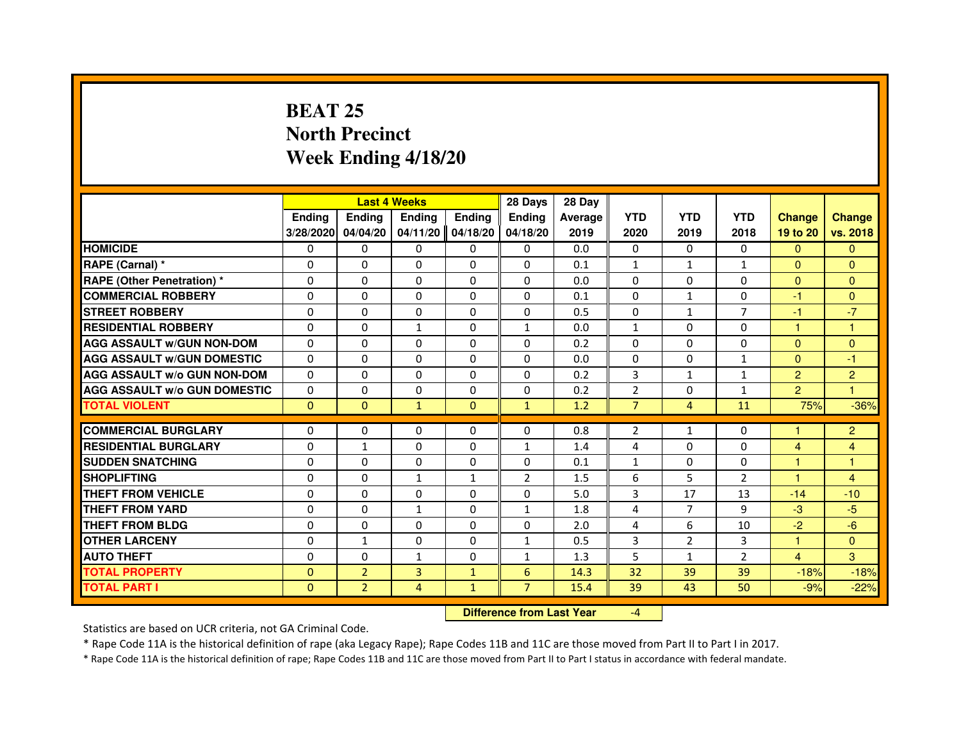# **BEAT 25 North PrecinctWeek Ending 4/18/20**

|                                     |               |                | <b>Last 4 Weeks</b> |               | 28 Days        | 28 Day  |                |                |                |                |                |
|-------------------------------------|---------------|----------------|---------------------|---------------|----------------|---------|----------------|----------------|----------------|----------------|----------------|
|                                     | <b>Ending</b> | <b>Endina</b>  | <b>Endina</b>       | <b>Ending</b> | <b>Endina</b>  | Average | <b>YTD</b>     | <b>YTD</b>     | <b>YTD</b>     | <b>Change</b>  | <b>Change</b>  |
|                                     | 3/28/2020     | 04/04/20       | 04/11/20            | 04/18/20      | 04/18/20       | 2019    | 2020           | 2019           | 2018           | 19 to 20       | vs. 2018       |
| <b>HOMICIDE</b>                     | 0             | 0              | 0                   | 0             | 0              | 0.0     | 0              | 0              | 0              | $\Omega$       | $\mathbf{0}$   |
| RAPE (Carnal) *                     | $\Omega$      | $\Omega$       | $\Omega$            | $\Omega$      | $\Omega$       | 0.1     | $\mathbf{1}$   | $\mathbf{1}$   | $\mathbf{1}$   | $\Omega$       | $\Omega$       |
| <b>RAPE (Other Penetration) *</b>   | $\Omega$      | $\Omega$       | $\Omega$            | $\Omega$      | $\Omega$       | 0.0     | $\Omega$       | $\Omega$       | $\Omega$       | $\Omega$       | $\Omega$       |
| <b>COMMERCIAL ROBBERY</b>           | 0             | 0              | 0                   | $\mathbf{0}$  | 0              | 0.1     | 0              | 1              | 0              | $-1$           | $\Omega$       |
| <b>STREET ROBBERY</b>               | $\Omega$      | $\Omega$       | 0                   | $\Omega$      | $\Omega$       | 0.5     | $\Omega$       | $\mathbf{1}$   | $\overline{7}$ | $-1$           | $-7$           |
| <b>RESIDENTIAL ROBBERY</b>          | $\Omega$      | $\Omega$       | 1                   | $\Omega$      | 1              | 0.0     | 1              | $\Omega$       | $\Omega$       | $\mathbf{1}$   | 1              |
| <b>AGG ASSAULT w/GUN NON-DOM</b>    | $\Omega$      | $\Omega$       | $\Omega$            | $\Omega$      | $\Omega$       | 0.2     | $\Omega$       | $\Omega$       | $\Omega$       | $\Omega$       | $\mathbf{0}$   |
| <b>AGG ASSAULT W/GUN DOMESTIC</b>   | $\Omega$      | $\Omega$       | $\Omega$            | $\Omega$      | $\Omega$       | 0.0     | $\Omega$       | $\Omega$       | $\mathbf{1}$   | $\Omega$       | $-1$           |
| <b>AGG ASSAULT W/o GUN NON-DOM</b>  | 0             | 0              | $\Omega$            | 0             | $\Omega$       | 0.2     | 3              | 1              | 1              | $\overline{2}$ | $\overline{2}$ |
| <b>AGG ASSAULT W/o GUN DOMESTIC</b> | $\Omega$      | 0              | 0                   | $\Omega$      | 0              | 0.2     | $\overline{2}$ | 0              | $\mathbf{1}$   | $\overline{2}$ | 1              |
| <b>TOTAL VIOLENT</b>                | $\mathbf{0}$  | $\mathbf{0}$   | $\mathbf{1}$        | $\Omega$      | $\mathbf{1}$   | 1.2     | $\overline{7}$ | $\overline{4}$ | 11             | 75%            | $-36%$         |
|                                     |               |                |                     |               |                |         |                |                |                |                |                |
| <b>COMMERCIAL BURGLARY</b>          | 0             | 0              | 0                   | $\mathbf{0}$  | $\mathbf{0}$   | 0.8     | $\overline{2}$ | $\mathbf{1}$   | 0              | 1              | $\overline{2}$ |
| <b>RESIDENTIAL BURGLARY</b>         | 0             | 1              | 0                   | 0             | $\mathbf{1}$   | 1.4     | 4              | 0              | 0              | 4              | 4              |
| <b>SUDDEN SNATCHING</b>             | $\mathbf 0$   | $\Omega$       | 0                   | $\Omega$      | 0              | 0.1     | $\mathbf{1}$   | $\Omega$       | $\Omega$       | 1              | 1              |
| <b>SHOPLIFTING</b>                  | $\Omega$      | $\Omega$       | $\mathbf{1}$        | $\mathbf{1}$  | $\overline{2}$ | 1.5     | 6              | 5              | $\overline{2}$ | $\mathbf{1}$   | 4              |
| <b>THEFT FROM VEHICLE</b>           | $\Omega$      | $\Omega$       | $\Omega$            | $\Omega$      | $\Omega$       | 5.0     | 3              | 17             | 13             | $-14$          | $-10$          |
| <b>THEFT FROM YARD</b>              | $\Omega$      | $\Omega$       | $\mathbf{1}$        | $\Omega$      | $\mathbf{1}$   | 1.8     | 4              | $\overline{7}$ | 9              | $-3$           | $-5$           |
| <b>THEFT FROM BLDG</b>              | $\Omega$      | 0              | 0                   | 0             | $\Omega$       | 2.0     | 4              | 6              | 10             | $-2$           | $-6$           |
| <b>OTHER LARCENY</b>                | 0             | $\mathbf{1}$   | 0                   | 0             | $\mathbf{1}$   | 0.5     | 3              | 2              | 3              | $\mathbf{1}$   | $\Omega$       |
| <b>AUTO THEFT</b>                   | $\Omega$      | $\Omega$       | $\mathbf{1}$        | $\Omega$      | $\mathbf{1}$   | 1.3     | 5              | $\mathbf{1}$   | $\overline{2}$ | $\overline{4}$ | 3              |
| <b>TOTAL PROPERTY</b>               | $\mathbf{0}$  | $\overline{2}$ | 3                   | $\mathbf{1}$  | 6              | 14.3    | 32             | 39             | 39             | $-18%$         | $-18%$         |
| <b>TOTAL PART I</b>                 | $\Omega$      | $\overline{2}$ | 4                   | $\mathbf{1}$  | $\overline{7}$ | 15.4    | 39             | 43             | 50             | $-9%$          | $-22%$         |

 **Difference from Last Year**

-4

Statistics are based on UCR criteria, not GA Criminal Code.

\* Rape Code 11A is the historical definition of rape (aka Legacy Rape); Rape Codes 11B and 11C are those moved from Part II to Part I in 2017.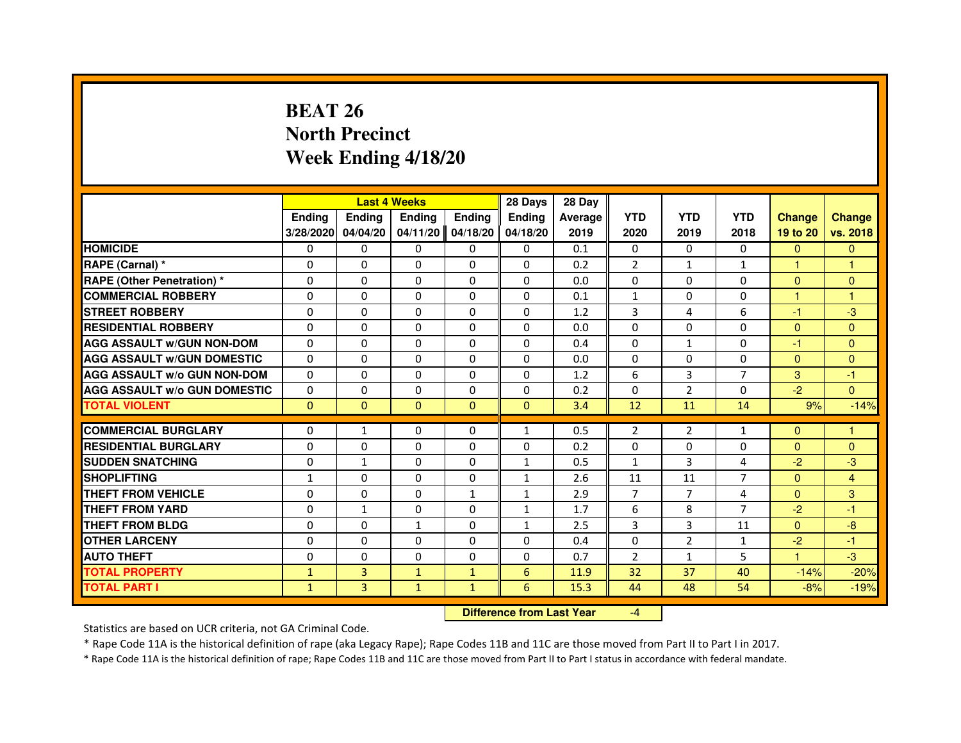# **BEAT 26 North PrecinctWeek Ending 4/18/20**

|                                     |               | <b>Last 4 Weeks</b> |                                  |               | 28 Days      | 28 Day  |                |                |                |               |               |
|-------------------------------------|---------------|---------------------|----------------------------------|---------------|--------------|---------|----------------|----------------|----------------|---------------|---------------|
|                                     | <b>Ending</b> | Ending              | Ending                           | <b>Ending</b> | Ending       | Average | <b>YTD</b>     | <b>YTD</b>     | <b>YTD</b>     | <b>Change</b> | <b>Change</b> |
|                                     | 3/28/2020     | 04/04/20            | 04/11/20                         | 04/18/20      | 04/18/20     | 2019    | 2020           | 2019           | 2018           | 19 to 20      | vs. 2018      |
| <b>HOMICIDE</b>                     | $\Omega$      | $\Omega$            | $\Omega$                         | $\Omega$      | $\mathbf{0}$ | 0.1     | $\Omega$       | $\Omega$       | $\Omega$       | $\Omega$      | $\mathbf{0}$  |
| RAPE (Carnal) *                     | 0             | $\Omega$            | $\Omega$                         | $\Omega$      | $\Omega$     | 0.2     | $\overline{2}$ | $\mathbf{1}$   | $\mathbf{1}$   | $\mathbf{1}$  | 1             |
| <b>RAPE (Other Penetration) *</b>   | $\Omega$      | $\Omega$            | $\Omega$                         | $\Omega$      | $\Omega$     | 0.0     | $\Omega$       | $\Omega$       | $\Omega$       | $\Omega$      | $\mathbf{0}$  |
| <b>COMMERCIAL ROBBERY</b>           | $\Omega$      | $\Omega$            | $\Omega$                         | $\Omega$      | $\Omega$     | 0.1     | $\mathbf{1}$   | $\Omega$       | $\Omega$       | $\mathbf{1}$  | $\mathbf{1}$  |
| <b>STREET ROBBERY</b>               | $\Omega$      | $\Omega$            | $\Omega$                         | $\Omega$      | $\Omega$     | 1.2     | 3              | 4              | 6              | $-1$          | $-3$          |
| <b>RESIDENTIAL ROBBERY</b>          | $\Omega$      | $\Omega$            | $\Omega$                         | $\Omega$      | $\Omega$     | 0.0     | $\Omega$       | $\Omega$       | $\Omega$       | $\Omega$      | $\Omega$      |
| <b>AGG ASSAULT w/GUN NON-DOM</b>    | $\Omega$      | $\Omega$            | $\Omega$                         | $\Omega$      | $\Omega$     | 0.4     | $\Omega$       | $\mathbf{1}$   | $\Omega$       | -1            | $\mathbf{0}$  |
| <b>AGG ASSAULT w/GUN DOMESTIC</b>   | $\Omega$      | $\Omega$            | $\Omega$                         | $\Omega$      | $\Omega$     | 0.0     | $\Omega$       | $\Omega$       | $\Omega$       | $\Omega$      | $\mathbf{0}$  |
| <b>AGG ASSAULT W/o GUN NON-DOM</b>  | $\Omega$      | $\Omega$            | $\Omega$                         | 0             | $\Omega$     | 1.2     | 6              | 3              | $\overline{7}$ | 3             | -1            |
| <b>AGG ASSAULT W/o GUN DOMESTIC</b> | $\Omega$      | $\Omega$            | $\Omega$                         | $\Omega$      | $\Omega$     | 0.2     | $\Omega$       | 2              | $\Omega$       | $-2$          | $\Omega$      |
| <b>TOTAL VIOLENT</b>                | $\mathbf{0}$  | $\mathbf{0}$        | $\mathbf{0}$                     | $\mathbf{0}$  | $\mathbf{0}$ | 3.4     | 12             | 11             | 14             | 9%            | $-14%$        |
| <b>COMMERCIAL BURGLARY</b>          | $\Omega$      | 1                   | 0                                | 0             | $\mathbf{1}$ | 0.5     | 2              | 2              | $\mathbf{1}$   | $\Omega$      | 1             |
| <b>RESIDENTIAL BURGLARY</b>         | $\Omega$      | $\Omega$            | $\Omega$                         | $\Omega$      | $\Omega$     | 0.2     | $\mathbf 0$    | $\Omega$       | 0              | $\Omega$      | $\mathbf{0}$  |
| <b>SUDDEN SNATCHING</b>             | $\Omega$      | $\mathbf{1}$        | $\Omega$                         | $\Omega$      | $\mathbf{1}$ | 0.5     | $\mathbf{1}$   | 3              | 4              | $-2$          | $-3$          |
| <b>SHOPLIFTING</b>                  | $\mathbf{1}$  | 0                   | 0                                | 0             | $\mathbf{1}$ | 2.6     | 11             | 11             | 7              | $\mathbf{0}$  | 4             |
| <b>THEFT FROM VEHICLE</b>           | $\Omega$      | $\Omega$            | $\Omega$                         | $\mathbf{1}$  | $\mathbf{1}$ | 2.9     | $\overline{7}$ | $\overline{7}$ | 4              | $\Omega$      | 3             |
| <b>THEFT FROM YARD</b>              | 0             | $\mathbf{1}$        | 0                                | 0             | $\mathbf{1}$ | 1.7     | 6              | 8              | $\overline{7}$ | $-2$          | $-1$          |
| <b>THEFT FROM BLDG</b>              | $\Omega$      | $\Omega$            | $\mathbf{1}$                     | $\Omega$      | $\mathbf{1}$ | 2.5     | 3              | 3              | 11             | $\Omega$      | $-8$          |
| <b>OTHER LARCENY</b>                | $\Omega$      | $\Omega$            | $\Omega$                         | $\Omega$      | $\Omega$     | 0.4     | $\Omega$       | $\overline{2}$ | $\mathbf{1}$   | $-2$          | $-1$          |
| <b>AUTO THEFT</b>                   | $\Omega$      | $\Omega$            | $\Omega$                         | $\Omega$      | $\Omega$     | 0.7     | $\overline{2}$ | $\mathbf{1}$   | 5              | $\mathbf{1}$  | $-3$          |
| <b>TOTAL PROPERTY</b>               | $\mathbf{1}$  | 3                   | $\mathbf{1}$                     | $\mathbf{1}$  | 6            | 11.9    | 32             | 37             | 40             | $-14%$        | $-20%$        |
| <b>TOTAL PART I</b>                 | $\mathbf{1}$  | 3                   | $\mathbf{1}$                     | $\mathbf{1}$  | 6            | 15.3    | 44             | 48             | 54             | $-8%$         | $-19%$        |
|                                     |               |                     | <b>Difference from Last Year</b> |               | $-4$         |         |                |                |                |               |               |

 **Difference from Last Year**

Statistics are based on UCR criteria, not GA Criminal Code.

\* Rape Code 11A is the historical definition of rape (aka Legacy Rape); Rape Codes 11B and 11C are those moved from Part II to Part I in 2017.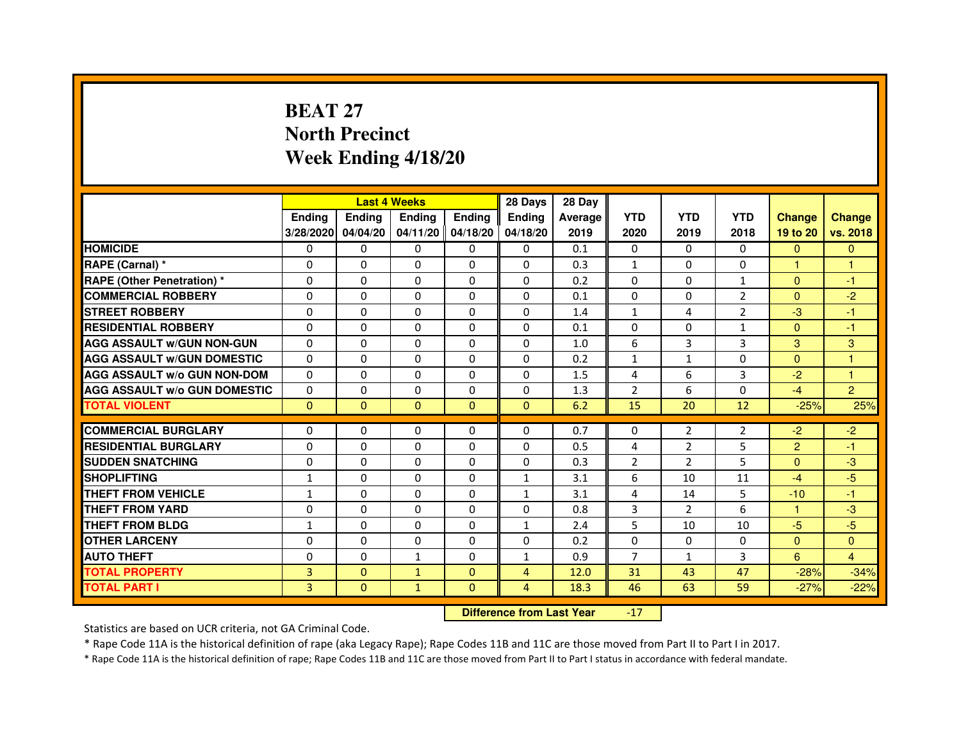# **BEAT 27 North PrecinctWeek Ending 4/18/20**

|                                     |               | <b>Last 4 Weeks</b> |               |                   | 28 Days        | 28 Day  |                |                |                |                |                |
|-------------------------------------|---------------|---------------------|---------------|-------------------|----------------|---------|----------------|----------------|----------------|----------------|----------------|
|                                     | <b>Ending</b> | <b>Endina</b>       | <b>Endina</b> | Ending            | <b>Endina</b>  | Average | <b>YTD</b>     | <b>YTD</b>     | <b>YTD</b>     | <b>Change</b>  | <b>Change</b>  |
|                                     | 3/28/2020     | 04/04/20            |               | 04/11/20 04/18/20 | 04/18/20       | 2019    | 2020           | 2019           | 2018           | 19 to 20       | vs. 2018       |
| <b>HOMICIDE</b>                     | 0             | $\mathbf{0}$        | 0             | 0                 | 0              | 0.1     | $\mathbf{0}$   | 0              | $\mathbf{0}$   | $\mathbf{0}$   | $\mathbf{0}$   |
| RAPE (Carnal) *                     | 0             | $\Omega$            | $\Omega$      | $\Omega$          | $\Omega$       | 0.3     | $\mathbf{1}$   | $\Omega$       | $\Omega$       | $\mathbf{1}$   | $\mathbf{1}$   |
| <b>RAPE (Other Penetration) *</b>   | 0             | $\Omega$            | 0             | $\Omega$          | $\Omega$       | 0.2     | $\Omega$       | $\Omega$       | $\mathbf{1}$   | $\Omega$       | $-1$           |
| <b>COMMERCIAL ROBBERY</b>           | 0             | 0                   | 0             | 0                 | $\Omega$       | 0.1     | $\Omega$       | 0              | 2              | $\mathbf{0}$   | $-2$           |
| <b>STREET ROBBERY</b>               | 0             | 0                   | 0             | 0                 | 0              | 1.4     | $\mathbf{1}$   | 4              | $\overline{2}$ | $-3$           | $-1$           |
| <b>RESIDENTIAL ROBBERY</b>          | 0             | $\Omega$            | $\Omega$      | $\Omega$          | $\Omega$       | 0.1     | $\Omega$       | $\Omega$       | 1              | $\Omega$       | $-1$           |
| <b>AGG ASSAULT W/GUN NON-GUN</b>    | $\Omega$      | $\mathbf 0$         | $\Omega$      | $\Omega$          | $\Omega$       | 1.0     | 6              | $\overline{3}$ | 3              | 3              | 3              |
| <b>AGG ASSAULT W/GUN DOMESTIC</b>   | 0             | 0                   | 0             | 0                 | $\Omega$       | 0.2     | $\mathbf{1}$   | $\mathbf{1}$   | $\Omega$       | $\mathbf{0}$   | 1              |
| <b>AGG ASSAULT W/o GUN NON-DOM</b>  | $\Omega$      | 0                   | $\Omega$      | $\Omega$          | $\Omega$       | 1.5     | 4              | 6              | 3              | $-2$           | 1              |
| <b>AGG ASSAULT W/o GUN DOMESTIC</b> | $\Omega$      | $\Omega$            | 0             | $\Omega$          | 0              | 1.3     | $\overline{2}$ | 6              | 0              | $-4$           | $\overline{2}$ |
| <b>TOTAL VIOLENT</b>                | $\Omega$      | $\Omega$            | $\Omega$      | $\Omega$          | $\Omega$       | 6.2     | 15             | 20             | 12             | $-25%$         | 25%            |
|                                     |               |                     |               |                   |                |         |                |                |                |                |                |
| <b>COMMERCIAL BURGLARY</b>          | 0             | 0                   | 0             | 0                 | $\Omega$       | 0.7     | 0              | 2              | 2              | $-2$           | $-2$           |
| <b>RESIDENTIAL BURGLARY</b>         | 0             | $\Omega$            | 0             | $\Omega$          | 0              | 0.5     | 4              | 2              | 5              | $\overline{2}$ | $-1$           |
| <b>SUDDEN SNATCHING</b>             | 0             | 0                   | 0             | 0                 | $\Omega$       | 0.3     | $\overline{2}$ | $\overline{2}$ | 5              | $\Omega$       | -3             |
| <b>SHOPLIFTING</b>                  | $\mathbf{1}$  | 0                   | 0             | $\Omega$          | $\mathbf{1}$   | 3.1     | 6              | 10             | 11             | $-4$           | $-5$           |
| <b>THEFT FROM VEHICLE</b>           | $\mathbf{1}$  | $\Omega$            | $\Omega$      | $\Omega$          | $\mathbf{1}$   | 3.1     | 4              | 14             | 5              | $-10$          | $-1$           |
| <b>THEFT FROM YARD</b>              | $\Omega$      | $\Omega$            | $\Omega$      | $\Omega$          | $\Omega$       | 0.8     | 3              | $\mathcal{P}$  | 6              | 1.             | -3             |
| <b>THEFT FROM BLDG</b>              | 1             | 0                   | 0             | 0                 | 1              | 2.4     | 5              | 10             | 10             | $-5$           | $-5$           |
| <b>OTHER LARCENY</b>                | 0             | 0                   | $\Omega$      | $\Omega$          | $\Omega$       | 0.2     | $\Omega$       | $\Omega$       | $\Omega$       | $\Omega$       | $\Omega$       |
| <b>AUTO THEFT</b>                   | $\mathbf 0$   | 0                   | $\mathbf{1}$  | $\Omega$          | $\mathbf{1}$   | 0.9     | $\overline{7}$ | $\mathbf{1}$   | 3              | 6              | $\overline{4}$ |
| <b>TOTAL PROPERTY</b>               | 3             | $\mathbf{0}$        | $\mathbf{1}$  | $\mathbf{0}$      | $\overline{4}$ | 12.0    | 31             | 43             | 47             | $-28%$         | $-34%$         |
| <b>TOTAL PART I</b>                 | 3             | $\overline{0}$      | $\mathbf{1}$  | $\Omega$          | $\overline{4}$ | 18.3    | 46             | 63             | 59             | $-27%$         | $-22%$         |

 **Difference from Last Year**-17

Statistics are based on UCR criteria, not GA Criminal Code.

\* Rape Code 11A is the historical definition of rape (aka Legacy Rape); Rape Codes 11B and 11C are those moved from Part II to Part I in 2017.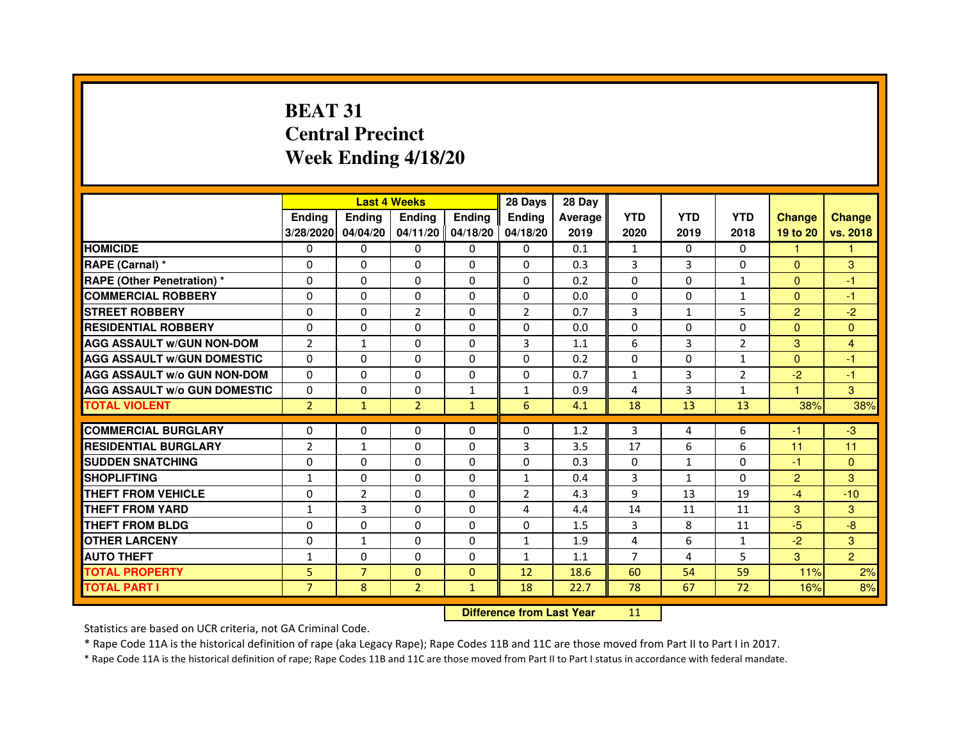# **BEAT 31 Central PrecinctWeek Ending 4/18/20**

|                                     |                | <b>Last 4 Weeks</b> |                |                   | 28 Days        | 28 Day  |                |              |                |                |                |
|-------------------------------------|----------------|---------------------|----------------|-------------------|----------------|---------|----------------|--------------|----------------|----------------|----------------|
|                                     | <b>Endina</b>  | <b>Ending</b>       | <b>Ending</b>  | <b>Endina</b>     | <b>Endina</b>  | Average | <b>YTD</b>     | <b>YTD</b>   | <b>YTD</b>     | <b>Change</b>  | <b>Change</b>  |
|                                     | 3/28/2020      | 04/04/20            |                | 04/11/20 04/18/20 | 04/18/20       | 2019    | 2020           | 2019         | 2018           | 19 to 20       | vs. 2018       |
| <b>HOMICIDE</b>                     | 0              | 0                   | 0              | 0                 | 0              | 0.1     | $\mathbf{1}$   | 0            | 0              | $\mathbf{1}$   | 1              |
| RAPE (Carnal) *                     | $\Omega$       | $\Omega$            | $\Omega$       | $\Omega$          | $\Omega$       | 0.3     | 3              | 3            | $\Omega$       | $\Omega$       | 3              |
| <b>RAPE (Other Penetration) *</b>   | $\Omega$       | $\Omega$            | $\Omega$       | $\Omega$          | $\Omega$       | 0.2     | $\Omega$       | $\Omega$     | $\mathbf{1}$   | $\Omega$       | $-1$           |
| <b>COMMERCIAL ROBBERY</b>           | 0              | 0                   | $\Omega$       | 0                 | $\Omega$       | 0.0     | $\Omega$       | $\Omega$     | $\mathbf{1}$   | $\Omega$       | $-1$           |
| <b>STREET ROBBERY</b>               | $\Omega$       | 0                   | $\overline{2}$ | 0                 | $\overline{2}$ | 0.7     | 3              | 1            | 5              | $\overline{2}$ | $-2$           |
| <b>RESIDENTIAL ROBBERY</b>          | $\Omega$       | $\mathbf 0$         | $\Omega$       | $\Omega$          | 0              | 0.0     | 0              | $\Omega$     | $\Omega$       | $\Omega$       | $\Omega$       |
| <b>AGG ASSAULT w/GUN NON-DOM</b>    | $\overline{2}$ | $\mathbf 1$         | $\mathbf 0$    | 0                 | 3              | 1.1     | 6              | 3            | $\overline{2}$ | 3              | $\overline{4}$ |
| <b>AGG ASSAULT W/GUN DOMESTIC</b>   | $\Omega$       | 0                   | 0              | 0                 | 0              | 0.2     | 0              | $\mathbf{0}$ | $\mathbf{1}$   | $\mathbf{0}$   | $-1$           |
| <b>AGG ASSAULT W/o GUN NON-DOM</b>  | $\Omega$       | $\Omega$            | $\Omega$       | $\Omega$          | $\Omega$       | 0.7     | $\mathbf{1}$   | 3            | $\overline{2}$ | $-2$           | $-1$           |
| <b>AGG ASSAULT W/o GUN DOMESTIC</b> | $\Omega$       | $\Omega$            | $\Omega$       | $\mathbf{1}$      | 1              | 0.9     | 4              | 3            | 1              | 1.             | 3              |
| <b>TOTAL VIOLENT</b>                | $\overline{2}$ | $\mathbf{1}$        | $\overline{2}$ | $\mathbf{1}$      | 6              | 4.1     | 18             | 13           | 13             | 38%            | 38%            |
|                                     |                |                     |                |                   |                |         |                |              |                |                |                |
| <b>COMMERCIAL BURGLARY</b>          | $\Omega$       | $\Omega$            | $\Omega$       | $\Omega$          | $\Omega$       | 1.2     | 3              | 4            | 6              | $-1$           | $-3$           |
| <b>RESIDENTIAL BURGLARY</b>         | $\overline{2}$ | 1                   | $\Omega$       | 0                 | 3              | 3.5     | 17             | 6            | 6              | 11             | 11             |
| <b>SUDDEN SNATCHING</b>             | 0              | $\Omega$            | 0              | 0                 | 0              | 0.3     | $\Omega$       | $\mathbf{1}$ | $\Omega$       | $-1$           | $\Omega$       |
| <b>SHOPLIFTING</b>                  | $\mathbf{1}$   | $\mathbf 0$         | 0              | 0                 | $\mathbf{1}$   | 0.4     | 3              | $\mathbf{1}$ | $\Omega$       | $\overline{2}$ | 3              |
| <b>THEFT FROM VEHICLE</b>           | $\Omega$       | $\overline{2}$      | $\Omega$       | $\Omega$          | $\overline{2}$ | 4.3     | 9              | 13           | 19             | $-4$           | $-10$          |
| <b>THEFT FROM YARD</b>              | $\mathbf{1}$   | 3                   | $\Omega$       | $\Omega$          | $\overline{a}$ | 4.4     | 14             | 11           | 11             | 3              | 3              |
| <b>THEFT FROM BLDG</b>              | $\Omega$       | $\Omega$            | 0              | $\Omega$          | 0              | 1.5     | 3              | 8            | 11             | -5             | -8             |
| <b>OTHER LARCENY</b>                | $\Omega$       | $\mathbf{1}$        | $\Omega$       | 0                 | $\mathbf{1}$   | 1.9     | 4              | 6            | $\mathbf{1}$   | $-2$           | 3              |
| <b>AUTO THEFT</b>                   | 1              | $\mathbf 0$         | $\Omega$       | 0                 | $\mathbf{1}$   | 1.1     | $\overline{7}$ | 4            | 5              | 3              | $\overline{2}$ |
| <b>TOTAL PROPERTY</b>               | 5              | $\overline{7}$      | $\Omega$       | $\mathbf{0}$      | 12             | 18.6    | 60             | 54           | 59             | 11%            | 2%             |
| <b>TOTAL PART I</b>                 | $\overline{7}$ | 8                   | $\overline{2}$ | $\mathbf{1}$      | 18             | 22.7    | 78             | 67           | 72             | 16%            | 8%             |

 **Difference from Last Year**

<sup>11</sup>

Statistics are based on UCR criteria, not GA Criminal Code.

\* Rape Code 11A is the historical definition of rape (aka Legacy Rape); Rape Codes 11B and 11C are those moved from Part II to Part I in 2017.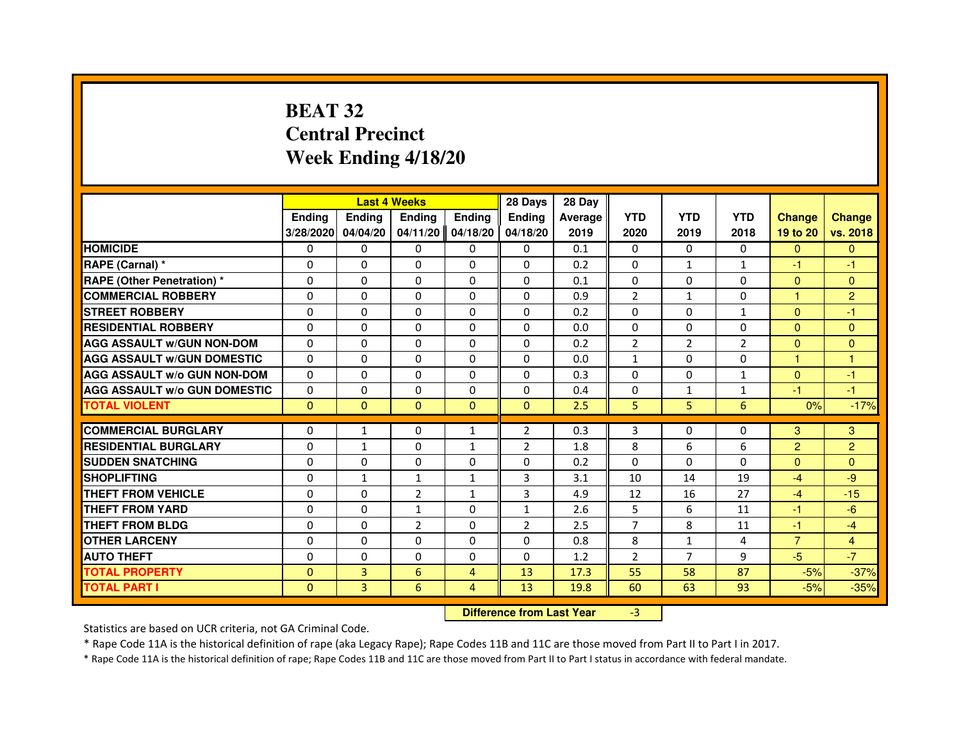# **BEAT 32 Central PrecinctWeek Ending 4/18/20**

|                                     |               | <b>Last 4 Weeks</b>              |                |              | 28 Days        | 28 Day  |                |                |                |                |                |
|-------------------------------------|---------------|----------------------------------|----------------|--------------|----------------|---------|----------------|----------------|----------------|----------------|----------------|
|                                     | <b>Ending</b> | Ending                           | Ending         | Ending       | Ending         | Average | <b>YTD</b>     | <b>YTD</b>     | <b>YTD</b>     | <b>Change</b>  | <b>Change</b>  |
|                                     | 3/28/2020     | 04/04/20                         | 04/11/20       | 04/18/20     | 04/18/20       | 2019    | 2020           | 2019           | 2018           | 19 to 20       | vs. 2018       |
| <b>HOMICIDE</b>                     | 0             | $\Omega$                         | 0              | 0            | $\mathbf{0}$   | 0.1     | $\mathbf{0}$   | $\Omega$       | $\Omega$       | $\mathbf{0}$   | $\mathbf{0}$   |
| RAPE (Carnal) *                     | 0             | 0                                | 0              | 0            | 0              | 0.2     | 0              | $\mathbf{1}$   | $\mathbf{1}$   | $-1$           | -1             |
| RAPE (Other Penetration) *          | $\Omega$      | 0                                | $\Omega$       | $\Omega$     | $\Omega$       | 0.1     | $\Omega$       | $\Omega$       | $\Omega$       | $\Omega$       | $\overline{0}$ |
| <b>COMMERCIAL ROBBERY</b>           | 0             | $\Omega$                         | $\Omega$       | $\Omega$     | $\Omega$       | 0.9     | $\overline{2}$ | $\mathbf{1}$   | $\Omega$       | $\mathbf{1}$   | $\overline{2}$ |
| <b>STREET ROBBERY</b>               | $\Omega$      | $\Omega$                         | $\Omega$       | $\Omega$     | $\Omega$       | 0.2     | $\Omega$       | $\Omega$       | $\mathbf{1}$   | $\Omega$       | $-1$           |
| <b>RESIDENTIAL ROBBERY</b>          | 0             | 0                                | 0              | 0            | 0              | 0.0     | 0              | 0              | 0              | $\overline{0}$ | $\mathbf{0}$   |
| <b>AGG ASSAULT w/GUN NON-DOM</b>    | $\Omega$      | $\Omega$                         | $\Omega$       | $\Omega$     | $\Omega$       | 0.2     | $\overline{2}$ | $\overline{2}$ | $\overline{2}$ | $\Omega$       | $\Omega$       |
| <b>AGG ASSAULT W/GUN DOMESTIC</b>   | $\Omega$      | $\Omega$                         | $\Omega$       | $\Omega$     | $\Omega$       | 0.0     | $\mathbf{1}$   | $\Omega$       | 0              | $\mathbf{1}$   | $\mathbf{1}$   |
| <b>AGG ASSAULT W/o GUN NON-DOM</b>  | $\Omega$      | $\Omega$                         | $\Omega$       | $\Omega$     | $\Omega$       | 0.3     | $\Omega$       | $\Omega$       | $\mathbf{1}$   | $\Omega$       | $-1$           |
| <b>AGG ASSAULT w/o GUN DOMESTIC</b> | $\Omega$      | $\Omega$                         | $\Omega$       | $\Omega$     | $\Omega$       | 0.4     | $\Omega$       | $\mathbf{1}$   | $\mathbf{1}$   | -1             | $-1$           |
| <b>TOTAL VIOLENT</b>                | $\mathbf{0}$  | $\mathbf{0}$                     | $\mathbf{0}$   | $\mathbf{0}$ | $\mathbf{0}$   | 2.5     | 5              | 5              | 6              | 0%             | $-17%$         |
| <b>COMMERCIAL BURGLARY</b>          | 0             | 1                                | 0              | $\mathbf{1}$ | $\overline{2}$ | 0.3     | 3              | 0              | 0              | 3              | 3              |
| <b>RESIDENTIAL BURGLARY</b>         | 0             | 1                                | $\Omega$       | 1            | $\overline{2}$ | 1.8     | 8              | 6              | 6              | $\overline{c}$ | $\overline{2}$ |
| <b>SUDDEN SNATCHING</b>             | $\Omega$      | $\Omega$                         | $\Omega$       | $\Omega$     | $\Omega$       | 0.2     | $\Omega$       | $\Omega$       | $\Omega$       | $\Omega$       | $\Omega$       |
| <b>SHOPLIFTING</b>                  | 0             | $\mathbf{1}$                     | $\mathbf{1}$   | 1            | 3              | 3.1     | 10             | 14             | 19             | $-4$           | $-9$           |
| <b>THEFT FROM VEHICLE</b>           | 0             | 0                                | $\overline{2}$ | $\mathbf{1}$ | 3              | 4.9     | 12             | 16             | 27             | $-4$           | $-15$          |
| <b>THEFT FROM YARD</b>              | $\Omega$      | $\Omega$                         | $\mathbf{1}$   | $\Omega$     | $\mathbf{1}$   | 2.6     | 5              | 6              | 11             | $-1$           | $-6$           |
| <b>THEFT FROM BLDG</b>              | $\Omega$      | $\Omega$                         | $\overline{2}$ | $\Omega$     | $\overline{2}$ | 2.5     | $\overline{7}$ | 8              | 11             | $-1$           | $-4$           |
| <b>OTHER LARCENY</b>                | 0             | $\Omega$                         | $\Omega$       | $\Omega$     | $\Omega$       | 0.8     | 8              | $\mathbf{1}$   | 4              | $\overline{7}$ | $\overline{4}$ |
| <b>AUTO THEFT</b>                   | $\Omega$      | $\Omega$                         | $\Omega$       | $\Omega$     | $\Omega$       | 1.2     | $\overline{2}$ | $\overline{7}$ | 9              | $-5$           | $-7$           |
| <b>TOTAL PROPERTY</b>               | $\Omega$      | 3                                | 6              | 4            | 13             | 17.3    | 55             | 58             | 87             | $-5%$          | $-37%$         |
| <b>TOTAL PART I</b>                 | $\mathbf{0}$  | 3                                | 6              | 4            | 13             | 19.8    | 60             | 63             | 93             | $-5%$          | $-35%$         |
|                                     |               | <b>Difference from Last Year</b> |                | $-3$         |                |         |                |                |                |                |                |

 **Difference from Last Year**

Statistics are based on UCR criteria, not GA Criminal Code.

\* Rape Code 11A is the historical definition of rape (aka Legacy Rape); Rape Codes 11B and 11C are those moved from Part II to Part I in 2017.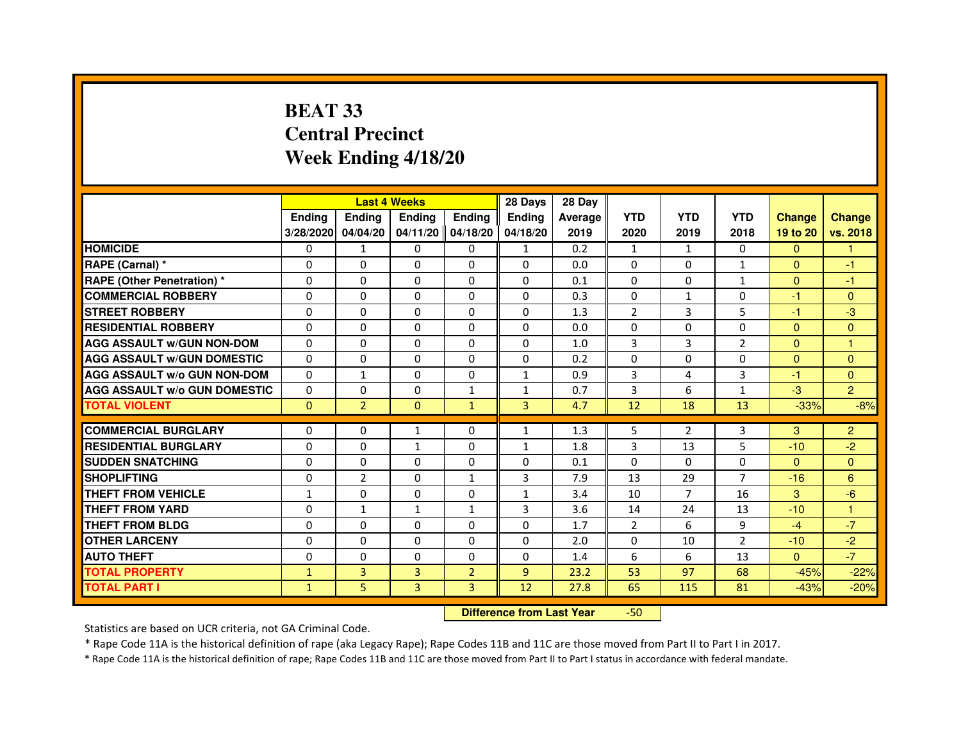# **BEAT 33 Central PrecinctWeek Ending 4/18/20**

|                                     |               | <b>Last 4 Weeks</b> |                |                   | 28 Days       | 28 Day  |                |                |                |               |                |
|-------------------------------------|---------------|---------------------|----------------|-------------------|---------------|---------|----------------|----------------|----------------|---------------|----------------|
|                                     | <b>Endina</b> | <b>Ending</b>       | <b>Endina</b>  | <b>Endina</b>     | <b>Endina</b> | Average | <b>YTD</b>     | <b>YTD</b>     | <b>YTD</b>     | <b>Change</b> | <b>Change</b>  |
|                                     | 3/28/2020     | 04/04/20            |                | 04/11/20 04/18/20 | 04/18/20      | 2019    | 2020           | 2019           | 2018           | 19 to 20      | vs. 2018       |
| <b>HOMICIDE</b>                     | 0             | $\mathbf{1}$        | 0              | 0                 | 1             | 0.2     | $\mathbf{1}$   | $\mathbf{1}$   | 0              | $\Omega$      |                |
| RAPE (Carnal) *                     | $\Omega$      | $\Omega$            | $\Omega$       | $\Omega$          | $\Omega$      | 0.0     | $\Omega$       | $\Omega$       | $\mathbf{1}$   | $\Omega$      | $-1$           |
| <b>RAPE (Other Penetration)*</b>    | $\Omega$      | $\Omega$            | $\Omega$       | $\Omega$          | $\Omega$      | 0.1     | $\Omega$       | $\Omega$       | $\mathbf{1}$   | $\Omega$      | $-1$           |
| <b>COMMERCIAL ROBBERY</b>           | 0             | $\Omega$            | 0              | 0                 | $\Omega$      | 0.3     | $\Omega$       | $\mathbf{1}$   | 0              | -1            | $\mathbf{0}$   |
| <b>STREET ROBBERY</b>               | 0             | 0                   | 0              | 0                 | 0             | 1.3     | $\overline{2}$ | 3              | 5              | $-1$          | -3             |
| <b>RESIDENTIAL ROBBERY</b>          | $\Omega$      | $\Omega$            | 0              | $\Omega$          | $\Omega$      | 0.0     | $\Omega$       | $\Omega$       | $\Omega$       | $\Omega$      | $\Omega$       |
| <b>AGG ASSAULT W/GUN NON-DOM</b>    | $\Omega$      | $\Omega$            | $\Omega$       | $\mathbf{0}$      | $\Omega$      | 1.0     | 3              | 3              | $\overline{2}$ | $\Omega$      | $\overline{1}$ |
| <b>AGG ASSAULT W/GUN DOMESTIC</b>   | $\Omega$      | $\Omega$            | $\Omega$       | 0                 | $\Omega$      | 0.2     | $\Omega$       | $\Omega$       | $\Omega$       | $\Omega$      | $\Omega$       |
| <b>AGG ASSAULT W/o GUN NON-DOM</b>  | $\Omega$      | $\mathbf{1}$        | $\Omega$       | $\Omega$          | 1             | 0.9     | 3              | 4              | 3              | -1            | $\mathbf{0}$   |
| <b>AGG ASSAULT W/o GUN DOMESTIC</b> | $\Omega$      | $\Omega$            | 0              | $\mathbf{1}$      | $\mathbf{1}$  | 0.7     | 3              | 6              | $\mathbf{1}$   | $-3$          | $\overline{2}$ |
| <b>TOTAL VIOLENT</b>                | $\Omega$      | $\overline{2}$      | $\Omega$       | $\mathbf{1}$      | 3             | 4.7     | 12             | 18             | 13             | $-33%$        | $-8%$          |
|                                     |               |                     |                |                   |               |         |                |                |                |               |                |
| <b>COMMERCIAL BURGLARY</b>          | 0             | 0                   | 1              | 0                 | $\mathbf{1}$  | 1.3     | 5              | 2              | 3              | 3             | $\overline{2}$ |
| <b>RESIDENTIAL BURGLARY</b>         | $\Omega$      | 0                   | $\mathbf{1}$   | 0                 | $\mathbf{1}$  | 1.8     | 3              | 13             | 5              | $-10$         | $-2$           |
| <b>SUDDEN SNATCHING</b>             | $\Omega$      | $\Omega$            | $\Omega$       | $\Omega$          | $\Omega$      | 0.1     | $\Omega$       | $\Omega$       | $\Omega$       | $\Omega$      | $\Omega$       |
| <b>SHOPLIFTING</b>                  | $\Omega$      | $\overline{2}$      | $\overline{0}$ | $\mathbf{1}$      | 3             | 7.9     | 13             | 29             | $\overline{7}$ | $-16$         | 6              |
| <b>THEFT FROM VEHICLE</b>           | $\mathbf{1}$  | 0                   | 0              | 0                 | $\mathbf{1}$  | 3.4     | 10             | $\overline{7}$ | 16             | 3             | $-6$           |
| <b>THEFT FROM YARD</b>              | $\Omega$      | $\mathbf{1}$        | 1              | $\mathbf{1}$      | 3             | 3.6     | 14             | 24             | 13             | $-10$         | $\overline{1}$ |
| THEFT FROM BLDG                     | $\Omega$      | $\Omega$            | 0              | $\mathbf{0}$      | $\Omega$      | 1.7     | $\overline{2}$ | 6              | 9              | $-4$          | $-7$           |
| <b>OTHER LARCENY</b>                | $\Omega$      | $\Omega$            | $\Omega$       | $\Omega$          | $\Omega$      | 2.0     | $\Omega$       | 10             | $\overline{2}$ | $-10$         | $-2$           |
| <b>AUTO THEFT</b>                   | 0             | 0                   | 0              | $\mathbf{0}$      | $\Omega$      | 1.4     | 6              | 6              | 13             | $\mathbf{0}$  | $-7$           |
| <b>TOTAL PROPERTY</b>               | $\mathbf{1}$  | 3                   | 3              | $\overline{2}$    | 9             | 23.2    | 53             | 97             | 68             | $-45%$        | $-22%$         |
| <b>TOTAL PART I</b>                 | $\mathbf{1}$  | 5                   | $\overline{3}$ | 3                 | 12            | 27.8    | 65             | 115            | 81             | $-43%$        | $-20%$         |

 **Difference from Last Year**-50

Statistics are based on UCR criteria, not GA Criminal Code.

\* Rape Code 11A is the historical definition of rape (aka Legacy Rape); Rape Codes 11B and 11C are those moved from Part II to Part I in 2017.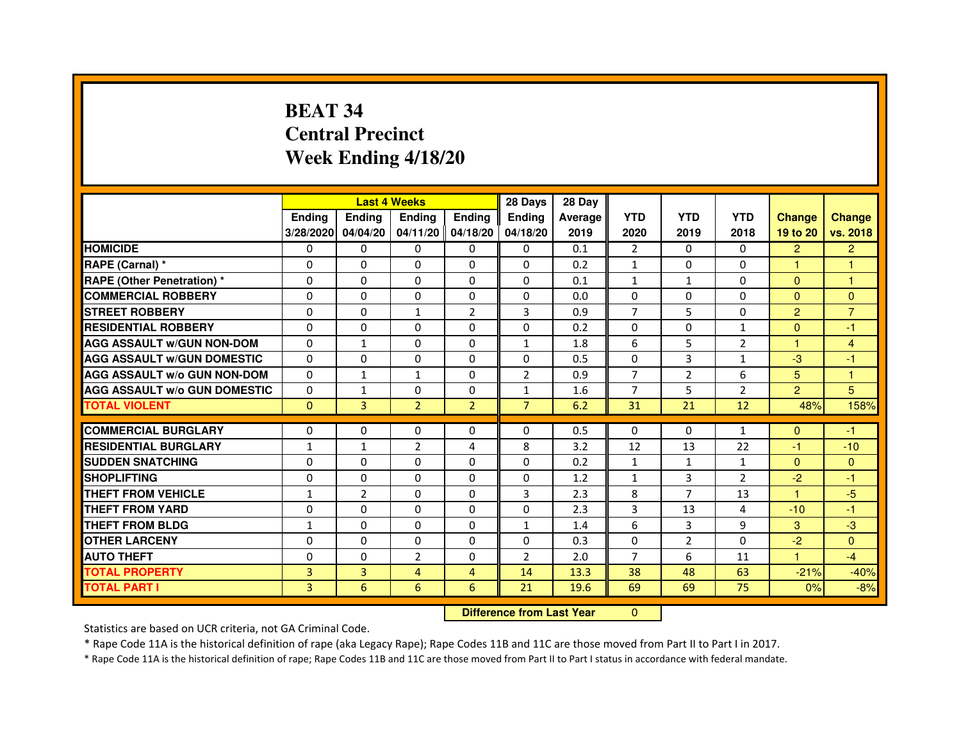# **BEAT 34 Central PrecinctWeek Ending 4/18/20**

|                                     |              | <b>Last 4 Weeks</b> |                   |                | 28 Days        | 28 Day                           |                |                |                |                |                |
|-------------------------------------|--------------|---------------------|-------------------|----------------|----------------|----------------------------------|----------------|----------------|----------------|----------------|----------------|
|                                     | Ending       | Ending              | <b>Ending</b>     | <b>Ending</b>  | Ending         | Average                          | <b>YTD</b>     | <b>YTD</b>     | <b>YTD</b>     | <b>Change</b>  | <b>Change</b>  |
|                                     | 3/28/2020    | 04/04/20            | 04/11/20 04/18/20 |                | 04/18/20       | 2019                             | 2020           | 2019           | 2018           | 19 to 20       | vs. 2018       |
| <b>HOMICIDE</b>                     | 0            | 0                   | $\mathbf{0}$      | 0              | 0              | 0.1                              | $\overline{2}$ | $\Omega$       | $\Omega$       | $\overline{2}$ | $\overline{2}$ |
| RAPE (Carnal) *                     | 0            | 0                   | 0                 | 0              | 0              | 0.2                              | 1              | $\mathbf{0}$   | $\Omega$       | 1              | 1              |
| <b>RAPE (Other Penetration) *</b>   | $\Omega$     | $\mathbf 0$         | $\Omega$          | 0              | 0              | 0.1                              | $\mathbf{1}$   | $\mathbf{1}$   | $\Omega$       | $\Omega$       | 1              |
| <b>COMMERCIAL ROBBERY</b>           | $\Omega$     | 0                   | $\Omega$          | 0              | 0              | 0.0                              | $\mathbf{0}$   | $\mathbf{0}$   | $\Omega$       | $\Omega$       | $\mathbf{0}$   |
| <b>STREET ROBBERY</b>               | $\Omega$     | $\Omega$            | $\mathbf{1}$      | $\overline{2}$ | 3              | 0.9                              | $\overline{7}$ | 5              | $\Omega$       | $\overline{2}$ | $\overline{7}$ |
| <b>RESIDENTIAL ROBBERY</b>          | $\Omega$     | $\mathbf 0$         | $\Omega$          | 0              | 0              | 0.2                              | $\Omega$       | $\mathbf{0}$   | $\mathbf{1}$   | $\Omega$       | $-1$           |
| <b>AGG ASSAULT w/GUN NON-DOM</b>    | $\Omega$     | $\mathbf{1}$        | $\Omega$          | $\Omega$       | $\mathbf{1}$   | 1.8                              | 6              | 5              | $\overline{2}$ | 1              | $\overline{4}$ |
| <b>AGG ASSAULT W/GUN DOMESTIC</b>   | $\Omega$     | $\Omega$            | $\mathbf 0$       | $\Omega$       | 0              | 0.5                              | $\Omega$       | 3              | $\mathbf{1}$   | $-3$           | $-1$           |
| <b>AGG ASSAULT W/o GUN NON-DOM</b>  | $\Omega$     | $\mathbf{1}$        | $\mathbf{1}$      | $\Omega$       | $\overline{2}$ | 0.9                              | $\overline{7}$ | $\overline{2}$ | 6              | 5              | $\mathbf{1}$   |
| <b>AGG ASSAULT w/o GUN DOMESTIC</b> | $\Omega$     | $\mathbf{1}$        | 0                 | $\Omega$       | $\mathbf{1}$   | 1.6                              | $\overline{7}$ | 5              | $\overline{2}$ | $\overline{2}$ | 5              |
| <b>TOTAL VIOLENT</b>                | $\mathbf{0}$ | $\overline{3}$      | $\overline{2}$    | $\overline{2}$ | $\overline{7}$ | 6.2                              | 31             | 21             | 12             | 48%            | 158%           |
| <b>COMMERCIAL BURGLARY</b>          | 0            | 0                   | 0                 | 0              | 0              | 0.5                              | $\mathbf{0}$   | 0              | $\mathbf{1}$   | $\Omega$       | $-1$           |
| <b>RESIDENTIAL BURGLARY</b>         | 1            | $\mathbf{1}$        | $\overline{2}$    | 4              | 8              | 3.2                              | 12             | 13             | 22             | $-1$           | $-10$          |
| <b>SUDDEN SNATCHING</b>             | $\Omega$     | $\Omega$            | $\Omega$          | $\Omega$       | $\Omega$       | 0.2                              | $\mathbf{1}$   | $\mathbf{1}$   | $\mathbf{1}$   | $\Omega$       | $\mathbf{0}$   |
| <b>SHOPLIFTING</b>                  | 0            | 0                   | $\Omega$          | 0              | 0              | 1.2                              | $\mathbf{1}$   | 3              | 2              | $-2$           | $-1$           |
| THEFT FROM VEHICLE                  | $\mathbf{1}$ | $\overline{2}$      | $\Omega$          | 0              | 3              | 2.3                              | 8              | $\overline{7}$ | 13             | 1              | $-5$           |
| <b>THEFT FROM YARD</b>              | $\Omega$     | 0                   | $\mathbf 0$       | 0              | 0              | 2.3                              | 3              | 13             | 4              | $-10$          | $-1$           |
| <b>THEFT FROM BLDG</b>              | $\mathbf{1}$ | $\Omega$            | $\Omega$          | $\Omega$       | $\mathbf{1}$   | 1.4                              | 6              | 3              | 9              | 3              | $-3$           |
| <b>OTHER LARCENY</b>                | $\Omega$     | $\Omega$            | $\Omega$          | $\Omega$       | $\Omega$       | 0.3                              | $\mathbf{0}$   | $\overline{2}$ | $\Omega$       | $-2$           | $\Omega$       |
| <b>AUTO THEFT</b>                   | $\Omega$     | $\Omega$            | $\overline{2}$    | $\Omega$       | $\overline{2}$ | 2.0                              | $\overline{7}$ | 6              | 11             | $\mathbf{1}$   | $-4$           |
| <b>TOTAL PROPERTY</b>               | 3            | 3                   | $\overline{4}$    | $\overline{4}$ | 14             | 13.3                             | 38             | 48             | 63             | $-21%$         | $-40%$         |
| <b>TOTAL PART I</b>                 | 3            | 6                   | 6                 | 6              | 21             | 19.6                             | 69             | 69             | 75             | 0%             | $-8%$          |
|                                     |              |                     |                   |                |                | <b>Difference from Last Year</b> | $\Omega$       |                |                |                |                |

### **Difference from Last Year**

Statistics are based on UCR criteria, not GA Criminal Code.

\* Rape Code 11A is the historical definition of rape (aka Legacy Rape); Rape Codes 11B and 11C are those moved from Part II to Part I in 2017.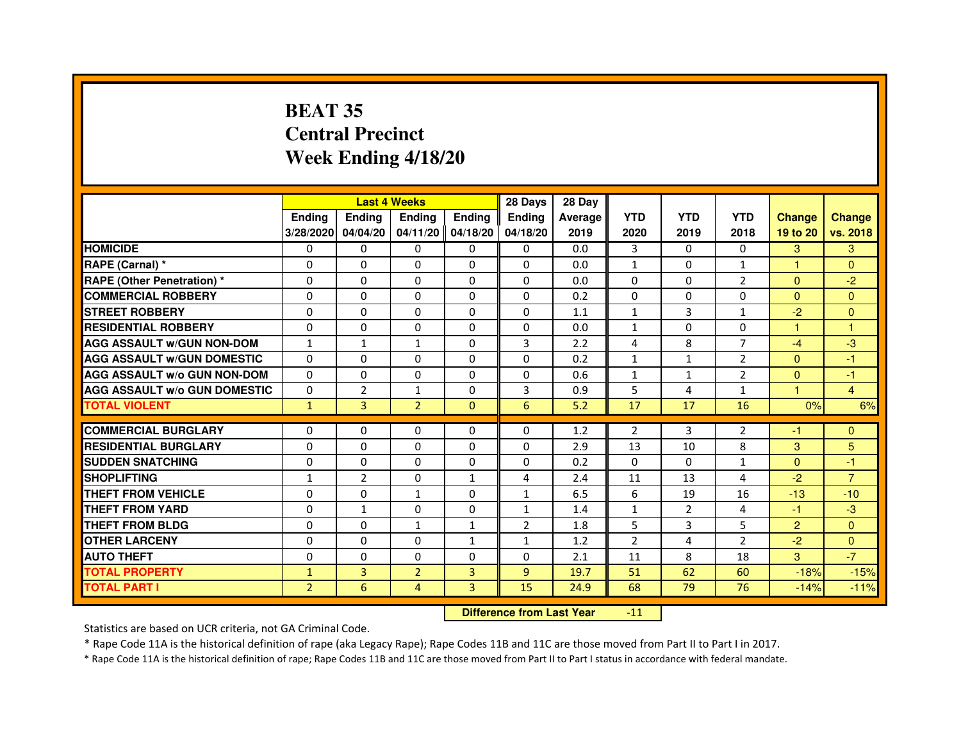# **BEAT 35 Central PrecinctWeek Ending 4/18/20**

|                                                           |                |                | <b>Last 4 Weeks</b> |               | 28 Days        | 28 Day  |                |                |                |                |                |
|-----------------------------------------------------------|----------------|----------------|---------------------|---------------|----------------|---------|----------------|----------------|----------------|----------------|----------------|
|                                                           | <b>Endina</b>  | <b>Endina</b>  | <b>Endina</b>       | <b>Ending</b> | <b>Endina</b>  | Average | <b>YTD</b>     | <b>YTD</b>     | <b>YTD</b>     | <b>Change</b>  | <b>Change</b>  |
|                                                           | 3/28/2020      | 04/04/20       | $04/11/20$ 04/18/20 |               | 04/18/20       | 2019    | 2020           | 2019           | 2018           | 19 to 20       | vs. 2018       |
| <b>HOMICIDE</b>                                           | 0              | 0              | $\mathbf{0}$        | 0             | 0              | 0.0     | 3              | 0              | $\mathbf{0}$   | 3              | 3              |
| RAPE (Carnal) *                                           | $\Omega$       | $\Omega$       | $\Omega$            | $\Omega$      | $\Omega$       | 0.0     | $\mathbf{1}$   | $\mathbf{0}$   | $\mathbf{1}$   | $\mathbf{1}$   | $\Omega$       |
| <b>RAPE (Other Penetration)*</b>                          | $\Omega$       | $\Omega$       | $\Omega$            | $\Omega$      | 0              | 0.0     | 0              | 0              | $\overline{2}$ | $\Omega$       | $-2$           |
| <b>COMMERCIAL ROBBERY</b>                                 | 0              | 0              | 0                   | 0             | 0              | 0.2     | 0              | 0              | $\Omega$       | $\Omega$       | $\Omega$       |
| <b>STREET ROBBERY</b>                                     | 0              | 0              | 0                   | 0             | 0              | 1.1     | $\mathbf{1}$   | 3              | $\mathbf{1}$   | $-2$           | $\Omega$       |
| <b>RESIDENTIAL ROBBERY</b>                                | $\Omega$       | $\Omega$       | $\Omega$            | 0             | 0              | 0.0     | $\mathbf{1}$   | $\Omega$       | $\Omega$       | $\mathbf{1}$   | 1              |
| <b>AGG ASSAULT w/GUN NON-DOM</b>                          | $\mathbf{1}$   | $\mathbf{1}$   | $\mathbf{1}$        | $\Omega$      | 3              | 2.2     | 4              | 8              | $\overline{7}$ | $-4$           | -3             |
| <b>AGG ASSAULT w/GUN DOMESTIC</b>                         | $\Omega$       | $\Omega$       | $\Omega$            | $\Omega$      | 0              | 0.2     | $\mathbf{1}$   | $\mathbf{1}$   | $\overline{2}$ | $\Omega$       | $-1$           |
| <b>AGG ASSAULT W/o GUN NON-DOM</b>                        | $\Omega$       | 0              | $\Omega$            | $\Omega$      | $\Omega$       | 0.6     | $\mathbf{1}$   | $\mathbf{1}$   | $\overline{2}$ | $\Omega$       | $-1$           |
| <b>AGG ASSAULT w/o GUN DOMESTIC</b>                       | $\Omega$       | $\overline{2}$ | 1                   | 0             | 3              | 0.9     | 5              | 4              | 1              | 1.             | $\overline{4}$ |
| <b>TOTAL VIOLENT</b>                                      | $\mathbf{1}$   | $\overline{3}$ | $\overline{2}$      | $\Omega$      | 6              | 5.2     | 17             | 17             | 16             | 0%             | 6%             |
|                                                           |                |                |                     |               |                |         |                |                |                |                |                |
| <b>COMMERCIAL BURGLARY</b><br><b>RESIDENTIAL BURGLARY</b> | $\Omega$       | $\Omega$       | $\Omega$            | $\Omega$      | $\Omega$       | 1.2     | $\overline{2}$ | 3              | $\overline{2}$ | $-1$           | $\mathbf{0}$   |
|                                                           | $\Omega$       | $\Omega$       | $\Omega$            | 0             | 0              | 2.9     | 13             | 10             | 8              | 3              | 5              |
| <b>SUDDEN SNATCHING</b>                                   | $\Omega$       | $\Omega$       | $\Omega$            | 0             | 0              | 0.2     | $\Omega$       | $\Omega$       | $\mathbf{1}$   | $\Omega$       | $-1$           |
| <b>SHOPLIFTING</b><br><b>THEFT FROM VEHICLE</b>           | $\mathbf{1}$   | $\overline{2}$ | $\Omega$            | $\mathbf{1}$  | 4              | 2.4     | 11<br>6        | 13             | 4<br>16        | $-2$<br>$-13$  | $\overline{7}$ |
|                                                           | $\Omega$       | $\Omega$       | $\mathbf{1}$        | 0             | $\mathbf{1}$   | 6.5     |                | 19             |                |                | $-10$          |
| <b>THEFT FROM YARD</b><br><b>THEFT FROM BLDG</b>          | 0              | 1              | $\Omega$            | $\Omega$      | $\mathbf{1}$   | 1.4     | $\mathbf{1}$   | $\overline{2}$ | $\overline{4}$ | $-1$           | $-3$           |
|                                                           | 0              | 0              | $\mathbf{1}$        | 1             | $\overline{2}$ | 1.8     | 5              | 3              | 5              | $\overline{2}$ | $\Omega$       |
| <b>OTHER LARCENY</b>                                      | $\Omega$       | $\Omega$       | $\Omega$            | $\mathbf{1}$  | 1              | 1.2     | $\overline{2}$ | 4              | $\overline{2}$ | $-2$           | $\Omega$       |
| <b>AUTO THEFT</b>                                         | $\Omega$       | 0              | $\Omega$            | 0             | 0              | 2.1     | 11             | 8              | 18             | 3              | $-7$           |
| <b>TOTAL PROPERTY</b>                                     | $\mathbf{1}$   | 3              | $\overline{2}$      | 3             | 9              | 19.7    | 51             | 62             | 60             | $-18%$         | $-15%$         |
| <b>TOTAL PART I</b>                                       | $\overline{2}$ | 6              | 4                   | 3             | 15             | 24.9    | 68             | 79             | 76             | $-14%$         | $-11%$         |

 **Difference from Last Year**-11

Statistics are based on UCR criteria, not GA Criminal Code.

\* Rape Code 11A is the historical definition of rape (aka Legacy Rape); Rape Codes 11B and 11C are those moved from Part II to Part I in 2017.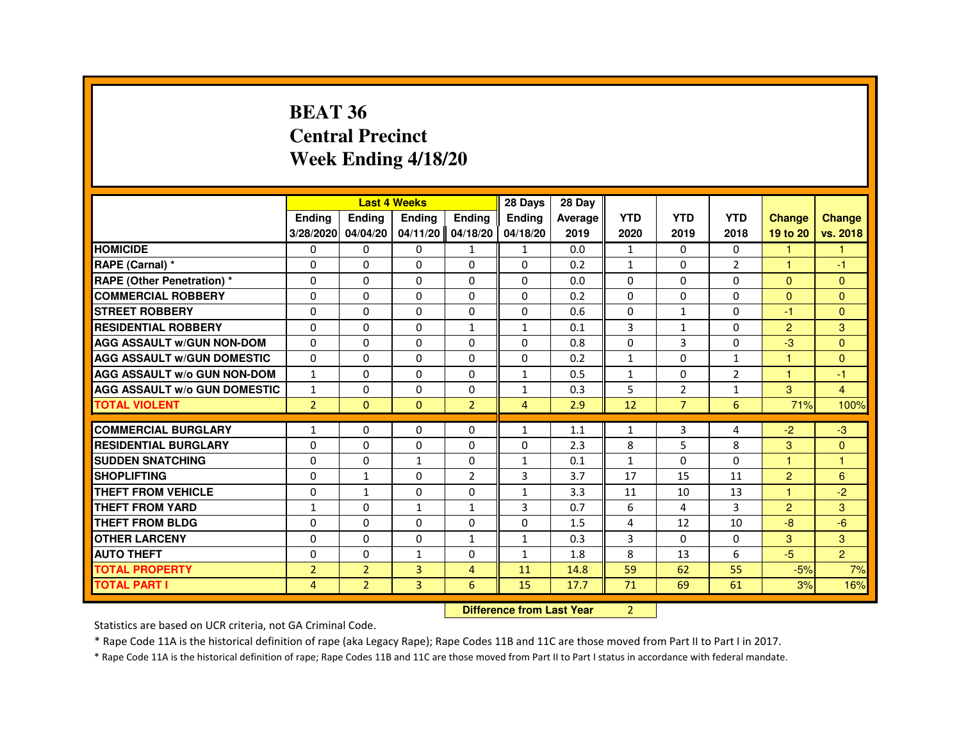### **BEAT 36 Central PrecinctWeek Ending 4/18/20**

|                                     |                | <b>Last 4 Weeks</b> |                                  |                | 28 Days        | 28 Day  |              |                |                |                |                |
|-------------------------------------|----------------|---------------------|----------------------------------|----------------|----------------|---------|--------------|----------------|----------------|----------------|----------------|
|                                     | Ending         | Ending              | Ending                           | Ending         | Ending         | Average | <b>YTD</b>   | <b>YTD</b>     | <b>YTD</b>     | <b>Change</b>  | <b>Change</b>  |
|                                     | 3/28/2020      | 04/04/20            | 04/11/20 04/18/20                |                | 04/18/20       | 2019    | 2020         | 2019           | 2018           | 19 to 20       | vs. 2018       |
| <b>HOMICIDE</b>                     | 0              | 0                   | 0                                | $\mathbf{1}$   | $\mathbf{1}$   | 0.0     | $\mathbf{1}$ | 0              | 0              | 1              | 4              |
| RAPE (Carnal) *                     | 0              | $\Omega$            | $\Omega$                         | 0              | $\Omega$       | 0.2     | $\mathbf{1}$ | $\Omega$       | $\overline{2}$ |                | -1             |
| <b>RAPE (Other Penetration) *</b>   | $\Omega$       | $\mathbf 0$         | $\Omega$                         | $\Omega$       | $\Omega$       | 0.0     | $\Omega$     | $\Omega$       | $\Omega$       | $\Omega$       | $\Omega$       |
| <b>COMMERCIAL ROBBERY</b>           | 0              | $\Omega$            | $\Omega$                         | $\Omega$       | 0              | 0.2     | $\Omega$     | $\Omega$       | $\Omega$       | $\Omega$       | $\Omega$       |
| <b>STREET ROBBERY</b>               | 0              | $\Omega$            | $\Omega$                         | 0              | 0              | 0.6     | $\Omega$     | $\mathbf{1}$   | 0              | -1             | $\Omega$       |
| <b>RESIDENTIAL ROBBERY</b>          | $\Omega$       | $\mathbf 0$         | 0                                | $\mathbf{1}$   | $\mathbf{1}$   | 0.1     | 3            | $\mathbf{1}$   | $\Omega$       | 2              | $\overline{3}$ |
| <b>AGG ASSAULT w/GUN NON-DOM</b>    | 0              | 0                   | 0                                | 0              | 0              | 0.8     | $\Omega$     | 3              | 0              | -3             | $\Omega$       |
| <b>AGG ASSAULT W/GUN DOMESTIC</b>   | $\Omega$       | $\Omega$            | $\Omega$                         | $\Omega$       | $\Omega$       | 0.2     | $\mathbf{1}$ | $\Omega$       | $\mathbf{1}$   | 1              | $\Omega$       |
| <b>AGG ASSAULT w/o GUN NON-DOM</b>  | $\mathbf{1}$   | $\mathbf{0}$        | 0                                | 0              | $\mathbf{1}$   | 0.5     | $\mathbf{1}$ | 0              | $\overline{2}$ |                | -1             |
| <b>AGG ASSAULT W/o GUN DOMESTIC</b> | $\mathbf{1}$   | $\mathbf 0$         | $\Omega$                         | 0              | $\mathbf{1}$   | 0.3     | 5            | $\overline{2}$ | $\mathbf{1}$   | 3              | $\overline{4}$ |
| <b>TOTAL VIOLENT</b>                | $\overline{2}$ | $\mathbf{0}$        | $\mathbf{0}$                     | $\overline{2}$ | $\overline{4}$ | 2.9     | 12           | $\overline{7}$ | 6              | 71%            | 100%           |
| <b>COMMERCIAL BURGLARY</b>          | 1              | 0                   | 0                                | 0              | 1              | 1.1     | 1            | 3              | 4              | $-2$           | $-3$           |
| <b>RESIDENTIAL BURGLARY</b>         | $\Omega$       | 0                   | $\Omega$                         | $\Omega$       | 0              | 2.3     | 8            | 5              | 8              | 3              | $\Omega$       |
| <b>SUDDEN SNATCHING</b>             | 0              | 0                   | $\mathbf{1}$                     | $\Omega$       | $\mathbf{1}$   | 0.1     | $\mathbf{1}$ | 0              | $\Omega$       | 1              | $\overline{1}$ |
| <b>SHOPLIFTING</b>                  | 0              | $\mathbf{1}$        | 0                                | $\overline{2}$ | 3              | 3.7     | 17           | 15             | 11             | 2              | 6              |
| THEFT FROM VEHICLE                  | 0              | $\mathbf{1}$        | $\Omega$                         | $\Omega$       | $\mathbf{1}$   | 3.3     | 11           | 10             | 13             |                | $-2$           |
| <b>THEFT FROM YARD</b>              | $\mathbf 1$    | 0                   | $\mathbf{1}$                     | $\mathbf{1}$   | 3              | 0.7     | 6            | 4              | 3              | $\overline{2}$ | 3              |
| <b>THEFT FROM BLDG</b>              | 0              | $\Omega$            | $\Omega$                         | 0              | $\Omega$       | 1.5     | 4            | 12             | 10             | $-8$           | $-6$           |
| <b>OTHER LARCENY</b>                | $\Omega$       | $\Omega$            | $\Omega$                         | $\mathbf{1}$   | $\mathbf{1}$   | 0.3     | 3            | $\Omega$       | $\Omega$       | 3              | 3              |
| <b>AUTO THEFT</b>                   | 0              | $\mathbf 0$         | $\mathbf{1}$                     | 0              | $\mathbf{1}$   | 1.8     | 8            | 13             | 6              | $-5$           | $\overline{2}$ |
| <b>TOTAL PROPERTY</b>               | $\overline{2}$ | $\overline{2}$      | 3                                | $\overline{4}$ | 11             | 14.8    | 59           | 62             | 55             | $-5%$          | 7%             |
| <b>TOTAL PART I</b>                 | 4              | $\overline{2}$      | 3                                | 6              | 15             | 17.7    | 71           | 69             | 61             | 3%             | 16%            |
|                                     |                |                     | <b>Difference from Last Year</b> |                | $\overline{2}$ |         |              |                |                |                |                |

 **Difference from Last Year**

Statistics are based on UCR criteria, not GA Criminal Code.

\* Rape Code 11A is the historical definition of rape (aka Legacy Rape); Rape Codes 11B and 11C are those moved from Part II to Part I in 2017.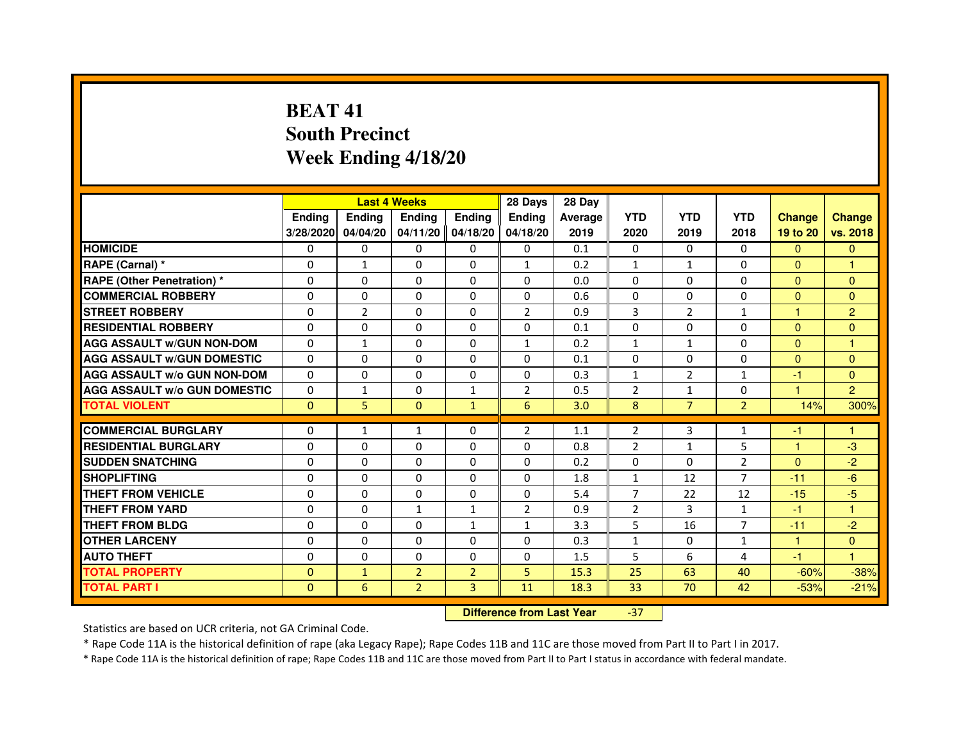# **BEAT 41 South PrecinctWeek Ending 4/18/20**

|                                     |               |                | <b>Last 4 Weeks</b> |                | 28 Days        | 28 Day  |                |                |                |               |                |
|-------------------------------------|---------------|----------------|---------------------|----------------|----------------|---------|----------------|----------------|----------------|---------------|----------------|
|                                     | <b>Ending</b> | Ending         | <b>Ending</b>       | <b>Ending</b>  | <b>Endina</b>  | Average | <b>YTD</b>     | <b>YTD</b>     | <b>YTD</b>     | <b>Change</b> | <b>Change</b>  |
|                                     | 3/28/2020     | 04/04/20       | 04/11/20            | 04/18/20       | 04/18/20       | 2019    | 2020           | 2019           | 2018           | 19 to 20      | vs. 2018       |
| <b>HOMICIDE</b>                     | 0             | $\mathbf{0}$   | 0                   | $\Omega$       | $\mathbf{0}$   | 0.1     | 0              | 0              | $\Omega$       | $\Omega$      | $\mathbf{0}$   |
| RAPE (Carnal) *                     | $\Omega$      | $\mathbf{1}$   | $\Omega$            | $\Omega$       | $\mathbf{1}$   | 0.2     | $\mathbf{1}$   | $\mathbf{1}$   | $\Omega$       | $\Omega$      | 1              |
| <b>RAPE (Other Penetration) *</b>   | 0             | $\mathbf{0}$   | 0                   | $\mathbf{0}$   | $\mathbf{0}$   | 0.0     | $\Omega$       | 0              | $\Omega$       | $\mathbf{0}$  | $\Omega$       |
| <b>COMMERCIAL ROBBERY</b>           | $\Omega$      | $\Omega$       | $\Omega$            | $\Omega$       | $\Omega$       | 0.6     | $\Omega$       | $\Omega$       | $\Omega$       | $\Omega$      | $\Omega$       |
| <b>STREET ROBBERY</b>               | $\Omega$      | $\overline{2}$ | $\Omega$            | $\Omega$       | $\overline{2}$ | 0.9     | 3              | $\overline{2}$ | $\mathbf{1}$   | 1             | $\overline{2}$ |
| <b>RESIDENTIAL ROBBERY</b>          | $\Omega$      | $\Omega$       | $\Omega$            | $\Omega$       | $\Omega$       | 0.1     | $\Omega$       | $\Omega$       | $\Omega$       | $\Omega$      | $\mathbf{0}$   |
| <b>AGG ASSAULT W/GUN NON-DOM</b>    | $\Omega$      | $\mathbf{1}$   | $\Omega$            | $\Omega$       | $\mathbf{1}$   | 0.2     | $\mathbf{1}$   | $\mathbf{1}$   | $\Omega$       | $\Omega$      | 1              |
| <b>AGG ASSAULT W/GUN DOMESTIC</b>   | $\Omega$      | $\Omega$       | $\Omega$            | $\Omega$       | $\Omega$       | 0.1     | $\Omega$       | 0              | $\Omega$       | $\Omega$      | $\Omega$       |
| <b>AGG ASSAULT W/o GUN NON-DOM</b>  | $\Omega$      | $\Omega$       | $\Omega$            | $\Omega$       | 0              | 0.3     | $\mathbf{1}$   | $\overline{2}$ | $\mathbf{1}$   | -1            | $\mathbf{0}$   |
| <b>AGG ASSAULT W/o GUN DOMESTIC</b> | $\Omega$      | $\mathbf{1}$   | $\Omega$            | 1              | $\overline{2}$ | 0.5     | $\overline{2}$ | $\mathbf{1}$   | $\Omega$       | 1             | $\overline{2}$ |
| <b>TOTAL VIOLENT</b>                | $\Omega$      | 5              | $\mathbf{0}$        | $\mathbf{1}$   | 6              | 3.0     | 8              | $\overline{7}$ | $\overline{2}$ | 14%           | 300%           |
|                                     |               |                |                     |                |                |         |                |                |                |               |                |
| <b>COMMERCIAL BURGLARY</b>          | 0             | 1              | 1                   | 0              | $\overline{2}$ | 1.1     | 2              | 3              | 1              | -1            |                |
| <b>RESIDENTIAL BURGLARY</b>         | $\Omega$      | 0              | $\Omega$            | $\Omega$       | $\Omega$       | 0.8     | $\overline{2}$ | $\mathbf{1}$   | 5              | 1             | $-3$           |
| <b>SUDDEN SNATCHING</b>             | 0             | 0              | 0                   | $\Omega$       | $\Omega$       | 0.2     | $\Omega$       | $\Omega$       | $\overline{2}$ | $\mathbf{0}$  | $-2$           |
| <b>SHOPLIFTING</b>                  | $\mathbf 0$   | $\Omega$       | $\Omega$            | $\Omega$       | $\Omega$       | 1.8     | $\mathbf{1}$   | 12             | $\overline{7}$ | $-11$         | $-6$           |
| THEFT FROM VEHICLE                  | $\Omega$      | $\Omega$       | $\Omega$            | $\Omega$       | $\Omega$       | 5.4     | $\overline{7}$ | 22             | 12             | $-15$         | $-5$           |
| THEFT FROM YARD                     | $\Omega$      | $\Omega$       | $\mathbf{1}$        | $\mathbf{1}$   | $\overline{2}$ | 0.9     | $\overline{2}$ | 3              | $\mathbf{1}$   | $-1$          | 1              |
| THEFT FROM BLDG                     | $\Omega$      | $\Omega$       | $\Omega$            | $\mathbf{1}$   | 1              | 3.3     | 5              | 16             | 7              | $-11$         | $-2$           |
| <b>OTHER LARCENY</b>                | $\Omega$      | $\Omega$       | $\Omega$            | $\Omega$       | $\Omega$       | 0.3     | $\mathbf{1}$   | 0              | $\mathbf{1}$   | $\mathbf{1}$  | $\Omega$       |
| <b>AUTO THEFT</b>                   | $\Omega$      | $\Omega$       | $\Omega$            | $\Omega$       | $\Omega$       | 1.5     | 5              | 6              | $\overline{4}$ | $-1$          | 1              |
| <b>TOTAL PROPERTY</b>               | $\Omega$      | $\mathbf{1}$   | $\overline{2}$      | $\overline{2}$ | 5              | 15.3    | 25             | 63             | 40             | $-60%$        | $-38%$         |
| <b>TOTAL PART I</b>                 | $\Omega$      | 6              | $\overline{2}$      | 3              | 11             | 18.3    | 33             | 70             | 42             | $-53%$        | $-21%$         |

 **Difference from Last Year**-37

Statistics are based on UCR criteria, not GA Criminal Code.

\* Rape Code 11A is the historical definition of rape (aka Legacy Rape); Rape Codes 11B and 11C are those moved from Part II to Part I in 2017.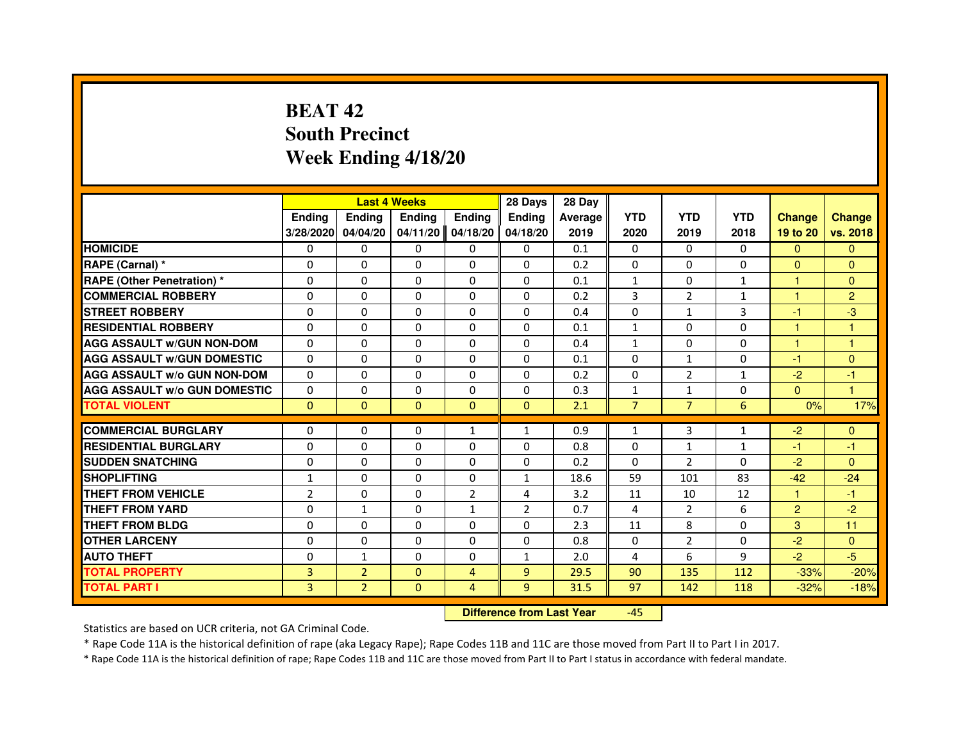# **BEAT 42 South PrecinctWeek Ending 4/18/20**

|                                     |                | <b>Last 4 Weeks</b> |               |                | 28 Days        | 28 Day  |                |                |              |                |                      |
|-------------------------------------|----------------|---------------------|---------------|----------------|----------------|---------|----------------|----------------|--------------|----------------|----------------------|
|                                     | <b>Endina</b>  | Ending              | <b>Endina</b> | <b>Endina</b>  | <b>Endina</b>  | Average | <b>YTD</b>     | <b>YTD</b>     | <b>YTD</b>   | <b>Change</b>  | <b>Change</b>        |
|                                     | 3/28/2020      | 04/04/20            | 04/11/20      | 04/18/20       | 04/18/20       | 2019    | 2020           | 2019           | 2018         | 19 to 20       | vs. 2018             |
| <b>HOMICIDE</b>                     | 0              | $\Omega$            | 0             | 0              | 0              | 0.1     | $\mathbf{0}$   | 0              | $\mathbf{0}$ | $\Omega$       | $\mathbf{0}$         |
| RAPE (Carnal) *                     | $\Omega$       | $\Omega$            | $\Omega$      | $\Omega$       | $\Omega$       | 0.2     | $\Omega$       | $\Omega$       | $\Omega$     | $\Omega$       | $\mathbf{0}$         |
| <b>RAPE (Other Penetration) *</b>   | $\Omega$       | $\Omega$            | $\Omega$      | $\Omega$       | $\Omega$       | 0.1     | $\mathbf{1}$   | $\Omega$       | $\mathbf{1}$ | $\mathbf{1}$   | $\mathbf{0}$         |
| <b>COMMERCIAL ROBBERY</b>           | 0              | 0                   | 0             | 0              | $\Omega$       | 0.2     | 3              | 2              | $\mathbf{1}$ | 1              | $\overline{2}$       |
| <b>STREET ROBBERY</b>               | $\Omega$       | $\Omega$            | $\Omega$      | $\Omega$       | $\Omega$       | 0.4     | $\Omega$       | $\mathbf{1}$   | 3            | $-1$           | $-3$                 |
| <b>RESIDENTIAL ROBBERY</b>          | $\Omega$       | $\Omega$            | $\Omega$      | $\Omega$       | $\Omega$       | 0.1     | $\mathbf{1}$   | $\Omega$       | $\Omega$     | 1              | 1                    |
| <b>AGG ASSAULT W/GUN NON-DOM</b>    | $\Omega$       | $\Omega$            | $\Omega$      | $\Omega$       | $\Omega$       | 0.4     | $\mathbf{1}$   | $\Omega$       | $\Omega$     | 1              | $\mathbf{1}$         |
| <b>AGG ASSAULT W/GUN DOMESTIC</b>   | $\Omega$       | $\Omega$            | $\Omega$      | $\Omega$       | $\Omega$       | 0.1     | $\Omega$       | $\mathbf{1}$   | $\Omega$     | $-1$           | $\mathbf{0}$         |
| <b>AGG ASSAULT W/o GUN NON-DOM</b>  | 0              | 0                   | $\Omega$      | 0              | 0              | 0.2     | 0              | 2              | $\mathbf{1}$ | $-2$           | -1                   |
| <b>AGG ASSAULT W/o GUN DOMESTIC</b> | $\Omega$       | 0                   | 0             | 0              | $\Omega$       | 0.3     | $\mathbf{1}$   | $\mathbf{1}$   | 0            | $\Omega$       | $\blacktriangleleft$ |
| <b>TOTAL VIOLENT</b>                | $\mathbf{0}$   | $\mathbf{0}$        | $\mathbf{0}$  | $\Omega$       | $\mathbf{0}$   | 2.1     | $\overline{7}$ | $\overline{7}$ | 6            | 0%             | 17%                  |
|                                     |                |                     |               |                |                |         |                |                |              |                |                      |
| <b>COMMERCIAL BURGLARY</b>          | 0              | 0                   | 0             | $\mathbf{1}$   | $\mathbf{1}$   | 0.9     | $\mathbf{1}$   | 3              | $\mathbf{1}$ | $-2$           | $\mathbf{0}$         |
| <b>RESIDENTIAL BURGLARY</b>         | $\Omega$       | 0                   | 0             | 0              | 0              | 0.8     | $\Omega$       | $\mathbf{1}$   | $\mathbf{1}$ | -1             | -1                   |
| <b>SUDDEN SNATCHING</b>             | $\Omega$       | $\Omega$            | $\Omega$      | $\Omega$       | $\Omega$       | 0.2     | $\Omega$       | 2              | $\Omega$     | $-2$           | $\Omega$             |
| <b>SHOPLIFTING</b>                  | $\mathbf{1}$   | $\Omega$            | $\mathbf 0$   | $\Omega$       | $\mathbf{1}$   | 18.6    | 59             | 101            | 83           | $-42$          | $-24$                |
| <b>THEFT FROM VEHICLE</b>           | $\overline{2}$ | $\Omega$            | $\Omega$      | $\overline{2}$ | 4              | 3.2     | 11             | 10             | 12           | 1              | $-1$                 |
| <b>THEFT FROM YARD</b>              | $\Omega$       | $\mathbf{1}$        | $\Omega$      | $\mathbf{1}$   | $\overline{2}$ | 0.7     | 4              | 2              | 6            | $\overline{2}$ | $-2$                 |
| <b>THEFT FROM BLDG</b>              | $\Omega$       | $\Omega$            | $\Omega$      | $\Omega$       | $\Omega$       | 2.3     | 11             | 8              | $\Omega$     | 3              | 11                   |
| <b>OTHER LARCENY</b>                | $\Omega$       | $\Omega$            | $\Omega$      | $\Omega$       | $\Omega$       | 0.8     | $\Omega$       | $\overline{2}$ | 0            | $-2$           | $\Omega$             |
| <b>AUTO THEFT</b>                   | 0              | $\mathbf{1}$        | $\Omega$      | 0              | $\mathbf{1}$   | 2.0     | 4              | 6              | 9            | $-2$           | $-5$                 |
| <b>TOTAL PROPERTY</b>               | 3              | $\overline{2}$      | $\Omega$      | $\overline{4}$ | $\overline{9}$ | 29.5    | 90             | 135            | 112          | $-33%$         | $-20%$               |
| <b>TOTAL PART I</b>                 | $\overline{3}$ | $\overline{2}$      | $\mathbf{0}$  | $\overline{4}$ | $\overline{9}$ | 31.5    | 97             | 142            | 118          | $-32%$         | $-18%$               |

 **Difference from Last Year**-45

Statistics are based on UCR criteria, not GA Criminal Code.

\* Rape Code 11A is the historical definition of rape (aka Legacy Rape); Rape Codes 11B and 11C are those moved from Part II to Part I in 2017.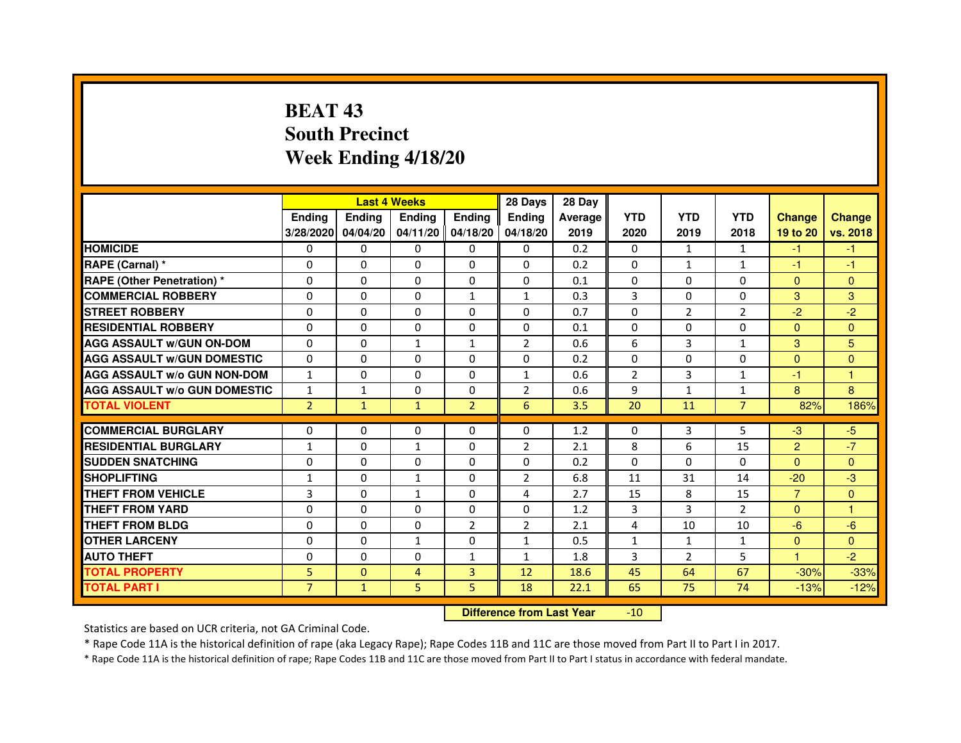# **BEAT 43 South PrecinctWeek Ending 4/18/20**

|                                     |                | <b>Last 4 Weeks</b> |                   |                | 28 Days        | 28 Day  |                |                |                |                |               |
|-------------------------------------|----------------|---------------------|-------------------|----------------|----------------|---------|----------------|----------------|----------------|----------------|---------------|
|                                     | <b>Endina</b>  | <b>Ending</b>       | <b>Endina</b>     | <b>Endina</b>  | <b>Endina</b>  | Average | <b>YTD</b>     | <b>YTD</b>     | <b>YTD</b>     | <b>Change</b>  | <b>Change</b> |
|                                     | 3/28/2020      | 04/04/20            | 04/11/20 04/18/20 |                | 04/18/20       | 2019    | 2020           | 2019           | 2018           | 19 to 20       | vs. 2018      |
| <b>HOMICIDE</b>                     | 0              | 0                   | $\mathbf{0}$      | 0              | 0              | 0.2     | $\mathbf{0}$   | $\mathbf{1}$   | $\mathbf{1}$   | $-1$           | -1            |
| RAPE (Carnal) *                     | $\Omega$       | $\Omega$            | $\Omega$          | $\Omega$       | $\Omega$       | 0.2     | $\Omega$       | $\mathbf{1}$   | $\mathbf{1}$   | $-1$           | $-1$          |
| <b>RAPE (Other Penetration) *</b>   | $\Omega$       | $\Omega$            | $\Omega$          | $\Omega$       | $\Omega$       | 0.1     | $\Omega$       | $\Omega$       | $\Omega$       | $\Omega$       | $\Omega$      |
| <b>COMMERCIAL ROBBERY</b>           | 0              | $\Omega$            | 0                 | 1              | 1              | 0.3     | 3              | 0              | $\Omega$       | 3              | 3             |
| <b>STREET ROBBERY</b>               | $\Omega$       | $\Omega$            | $\Omega$          | 0              | 0              | 0.7     | 0              | $\overline{2}$ | $\overline{2}$ | $-2$           | $-2$          |
| <b>RESIDENTIAL ROBBERY</b>          | $\Omega$       | $\Omega$            | $\Omega$          | 0              | 0              | 0.1     | $\Omega$       | $\Omega$       | $\Omega$       | $\Omega$       | $\Omega$      |
| <b>AGG ASSAULT w/GUN ON-DOM</b>     | $\Omega$       | $\Omega$            | $\mathbf{1}$      | $\mathbf{1}$   | $\overline{2}$ | 0.6     | 6              | 3              | $\mathbf{1}$   | 3              | 5             |
| <b>AGG ASSAULT W/GUN DOMESTIC</b>   | $\Omega$       | $\Omega$            | $\Omega$          | $\Omega$       | $\Omega$       | 0.2     | $\Omega$       | $\Omega$       | $\Omega$       | $\Omega$       | $\Omega$      |
| <b>AGG ASSAULT W/o GUN NON-DOM</b>  | $\mathbf{1}$   | 0                   | $\Omega$          | 0              | 1              | 0.6     | $\overline{2}$ | 3              | 1              | $-1$           | 1             |
| <b>AGG ASSAULT W/o GUN DOMESTIC</b> | 1              | 1                   | 0                 | 0              | 2              | 0.6     | 9              | $\mathbf{1}$   | 1              | 8              | 8             |
| <b>TOTAL VIOLENT</b>                | $\overline{2}$ | $\mathbf{1}$        | $\mathbf{1}$      | $\overline{2}$ | 6              | 3.5     | 20             | 11             | $\overline{7}$ | 82%            | 186%          |
|                                     |                |                     |                   |                |                |         |                |                |                |                |               |
| <b>COMMERCIAL BURGLARY</b>          | 0              | 0                   | 0                 | 0              | 0              | 1.2     | 0              | 3              | 5              | $-3$           | $-5$          |
| <b>RESIDENTIAL BURGLARY</b>         | $\mathbf{1}$   | 0                   | $\mathbf{1}$      | 0              | $\overline{2}$ | 2.1     | 8              | 6              | 15             | $\overline{2}$ | $-7$          |
| <b>SUDDEN SNATCHING</b>             | $\Omega$       | $\Omega$            | $\Omega$          | $\Omega$       | $\Omega$       | 0.2     | $\Omega$       | $\Omega$       | $\Omega$       | $\Omega$       | $\Omega$      |
| <b>SHOPLIFTING</b>                  | $\mathbf{1}$   | $\Omega$            | $\mathbf{1}$      | $\Omega$       | $\overline{2}$ | 6.8     | 11             | 31             | 14             | $-20$          | -3            |
| <b>THEFT FROM VEHICLE</b>           | 3              | 0                   | $\mathbf{1}$      | 0              | 4              | 2.7     | 15             | 8              | 15             | $\overline{7}$ | $\Omega$      |
| <b>THEFT FROM YARD</b>              | $\Omega$       | $\Omega$            | $\Omega$          | $\Omega$       | $\Omega$       | 1.2     | 3              | 3              | $\overline{2}$ | $\Omega$       | 1             |
| <b>THEFT FROM BLDG</b>              | $\Omega$       | $\Omega$            | $\Omega$          | $\overline{2}$ | $\overline{2}$ | 2.1     | 4              | 10             | 10             | $-6$           | $-6$          |
| <b>OTHER LARCENY</b>                | $\Omega$       | $\Omega$            | $\mathbf{1}$      | 0              | $\mathbf{1}$   | 0.5     | $\mathbf{1}$   | $\mathbf{1}$   | 1              | $\Omega$       | $\Omega$      |
| <b>AUTO THEFT</b>                   | 0              | $\mathbf 0$         | 0                 | $\mathbf{1}$   | $\mathbf{1}$   | 1.8     | 3              | $\overline{2}$ | 5              | 1              | $-2$          |
| <b>TOTAL PROPERTY</b>               | 5              | $\mathbf{0}$        | 4                 | 3              | 12             | 18.6    | 45             | 64             | 67             | $-30%$         | $-33%$        |
| <b>TOTAL PART I</b>                 | $\overline{7}$ | $\mathbf{1}$        | 5                 | 5              | 18             | 22.1    | 65             | 75             | 74             | $-13%$         | $-12%$        |

 **Difference from Last Year**-10

Statistics are based on UCR criteria, not GA Criminal Code.

\* Rape Code 11A is the historical definition of rape (aka Legacy Rape); Rape Codes 11B and 11C are those moved from Part II to Part I in 2017.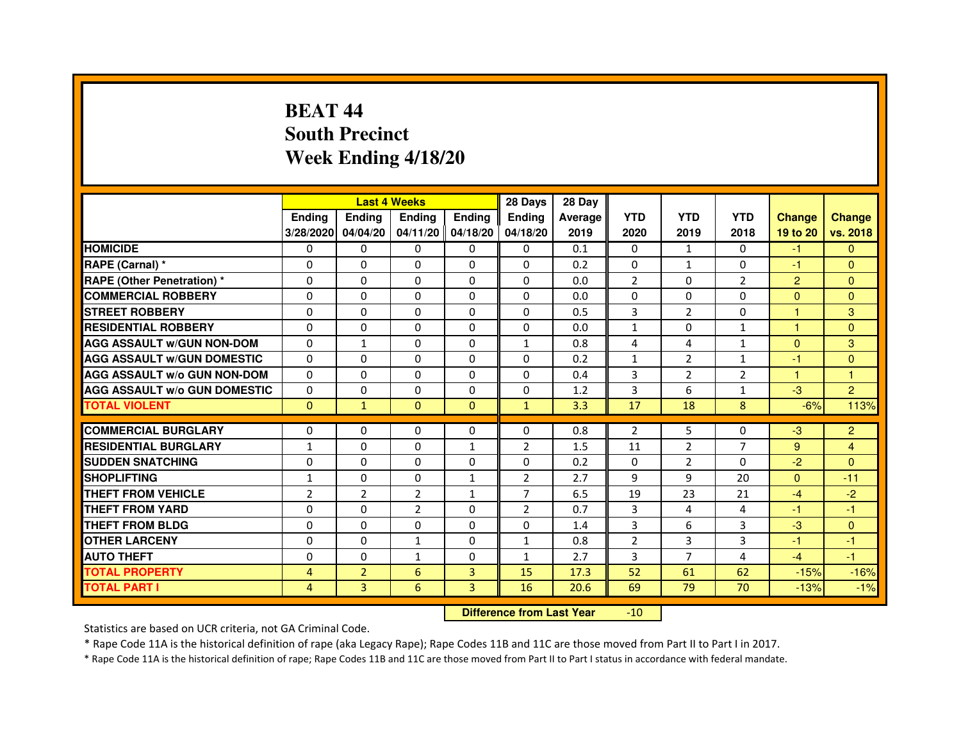# **BEAT 44 South PrecinctWeek Ending 4/18/20**

|                                     |                | <b>Last 4 Weeks</b> |                |                   | 28 Days        | 28 Day  |                |                |                |                      |                |
|-------------------------------------|----------------|---------------------|----------------|-------------------|----------------|---------|----------------|----------------|----------------|----------------------|----------------|
|                                     | <b>Ending</b>  | <b>Endina</b>       | <b>Endina</b>  | <b>Ending</b>     | <b>Endina</b>  | Average | <b>YTD</b>     | <b>YTD</b>     | <b>YTD</b>     | <b>Change</b>        | <b>Change</b>  |
|                                     | 3/28/2020      | 04/04/20            |                | 04/11/20 04/18/20 | 04/18/20       | 2019    | 2020           | 2019           | 2018           | 19 to 20             | vs. 2018       |
| <b>HOMICIDE</b>                     | 0              | 0                   | $\mathbf{0}$   | 0                 | 0              | 0.1     | 0              | 1              | 0              | $-1$                 | $\mathbf{0}$   |
| RAPE (Carnal) *                     | $\Omega$       | $\Omega$            | $\Omega$       | $\Omega$          | $\Omega$       | 0.2     | $\Omega$       | $\mathbf{1}$   | $\Omega$       | $-1$                 | $\mathbf{0}$   |
| <b>RAPE (Other Penetration) *</b>   | $\Omega$       | $\Omega$            | 0              | $\Omega$          | $\Omega$       | 0.0     | $\overline{2}$ | $\Omega$       | $\overline{2}$ | 2                    | $\mathbf{0}$   |
| <b>COMMERCIAL ROBBERY</b>           | 0              | 0                   | 0              | 0                 | $\Omega$       | 0.0     | 0              | 0              | 0              | $\mathbf{0}$         | $\overline{0}$ |
| <b>STREET ROBBERY</b>               | 0              | 0                   | 0              | 0                 | 0              | 0.5     | 3              | $\overline{2}$ | $\Omega$       | -1                   | 3              |
| <b>RESIDENTIAL ROBBERY</b>          | 0              | 0                   | 0              | $\Omega$          | $\Omega$       | 0.0     | $\mathbf{1}$   | $\Omega$       | $\mathbf{1}$   | $\blacktriangleleft$ | $\Omega$       |
| <b>AGG ASSAULT w/GUN NON-DOM</b>    | $\Omega$       | $\mathbf{1}$        | $\Omega$       | $\Omega$          | $\mathbf{1}$   | 0.8     | 4              | 4              | $\mathbf{1}$   | $\Omega$             | 3              |
| <b>AGG ASSAULT W/GUN DOMESTIC</b>   | $\Omega$       | $\Omega$            | 0              | 0                 | 0              | 0.2     | $\mathbf{1}$   | 2              | $\mathbf{1}$   | $-1$                 | $\Omega$       |
| <b>AGG ASSAULT W/o GUN NON-DOM</b>  | $\Omega$       | $\Omega$            | $\Omega$       | $\Omega$          | $\Omega$       | 0.4     | 3              | $\overline{2}$ | $\overline{2}$ | $\blacktriangleleft$ | 1              |
| <b>AGG ASSAULT W/o GUN DOMESTIC</b> | $\Omega$       | $\Omega$            | 0              | $\Omega$          | 0              | 1.2     | 3              | 6              | $\mathbf{1}$   | $-3$                 | $\overline{2}$ |
| <b>TOTAL VIOLENT</b>                | $\mathbf{0}$   | $\mathbf{1}$        | $\Omega$       | $\Omega$          | $\mathbf{1}$   | 3.3     | 17             | 18             | 8              | $-6%$                | 113%           |
|                                     |                |                     |                |                   |                |         |                |                |                |                      |                |
| <b>COMMERCIAL BURGLARY</b>          | 0              | 0                   | 0              | 0                 | $\Omega$       | 0.8     | $\overline{2}$ | 5              | $\Omega$       | $-3$                 | $\overline{2}$ |
| <b>RESIDENTIAL BURGLARY</b>         | 1              | 0                   | 0              | $\mathbf{1}$      | 2              | 1.5     | 11             | 2              | 7              | 9                    | 4              |
| <b>SUDDEN SNATCHING</b>             | 0              | 0                   | 0              | 0                 | $\Omega$       | 0.2     | 0              | $\overline{2}$ | $\Omega$       | $-2$                 | $\Omega$       |
| <b>SHOPLIFTING</b>                  | $\mathbf{1}$   | 0                   | $\Omega$       | $\mathbf{1}$      | $\overline{c}$ | 2.7     | 9              | 9              | 20             | $\Omega$             | $-11$          |
| <b>THEFT FROM VEHICLE</b>           | $\overline{2}$ | $\overline{2}$      | $\overline{2}$ | $\mathbf{1}$      | $\overline{7}$ | 6.5     | 19             | 23             | 21             | $-4$                 | $-2$           |
| <b>THEFT FROM YARD</b>              | $\Omega$       | $\Omega$            | $\overline{2}$ | $\Omega$          | $\overline{2}$ | 0.7     | 3              | 4              | 4              | $-1$                 | $-1$           |
| <b>THEFT FROM BLDG</b>              | 0              | 0                   | 0              | 0                 | 0              | 1.4     | 3              | 6              | 3              | $-3$                 | $\mathbf{0}$   |
| <b>OTHER LARCENY</b>                | 0              | 0                   | 1              | $\Omega$          | $\mathbf{1}$   | 0.8     | $\overline{2}$ | 3              | 3              | $-1$                 | $-1$           |
| <b>AUTO THEFT</b>                   | $\mathbf 0$    | $\mathbf 0$         | $\mathbf{1}$   | $\Omega$          | $\mathbf{1}$   | 2.7     | $\overline{3}$ | $\overline{7}$ | 4              | $-4$                 | $-1$           |
| <b>TOTAL PROPERTY</b>               | 4              | $\overline{2}$      | 6              | 3                 | 15             | 17.3    | 52             | 61             | 62             | $-15%$               | $-16%$         |
| <b>TOTAL PART I</b>                 | 4              | 3                   | 6              | 3                 | 16             | 20.6    | 69             | 79             | 70             | $-13%$               | $-1%$          |

 **Difference from Last Year**-10

Statistics are based on UCR criteria, not GA Criminal Code.

\* Rape Code 11A is the historical definition of rape (aka Legacy Rape); Rape Codes 11B and 11C are those moved from Part II to Part I in 2017.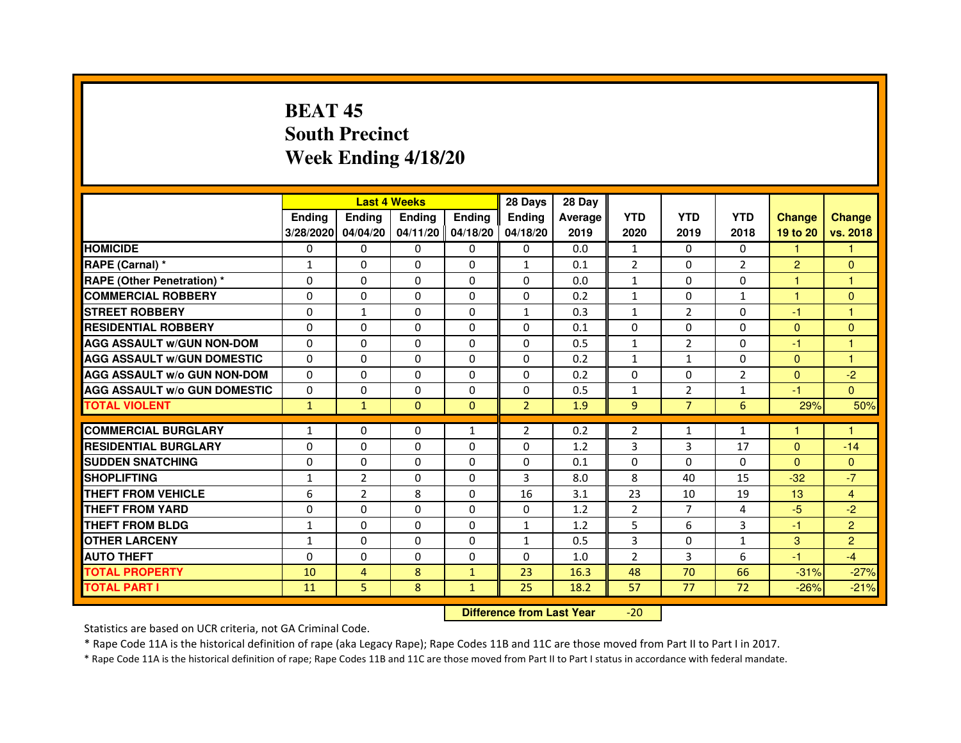# **BEAT 45 South PrecinctWeek Ending 4/18/20**

|                                     |               | <b>Last 4 Weeks</b> |                     |               | 28 Days        | 28 Day  |                |                |                |                |                |
|-------------------------------------|---------------|---------------------|---------------------|---------------|----------------|---------|----------------|----------------|----------------|----------------|----------------|
|                                     | <b>Endina</b> | <b>Endina</b>       | <b>Endina</b>       | <b>Ending</b> | <b>Endina</b>  | Average | <b>YTD</b>     | <b>YTD</b>     | <b>YTD</b>     | <b>Change</b>  | <b>Change</b>  |
|                                     | 3/28/2020     | 04/04/20            | $04/11/20$ 04/18/20 |               | 04/18/20       | 2019    | 2020           | 2019           | 2018           | 19 to 20       | vs. 2018       |
| <b>HOMICIDE</b>                     | 0             | $\mathbf{0}$        | $\mathbf{0}$        | 0             | 0              | 0.0     | $\mathbf{1}$   | 0              | $\mathbf{0}$   | 1              |                |
| RAPE (Carnal) *                     | $\mathbf{1}$  | $\Omega$            | $\Omega$            | $\Omega$      | $\mathbf{1}$   | 0.1     | $\overline{2}$ | $\Omega$       | $\overline{2}$ | $\overline{2}$ | $\Omega$       |
| <b>RAPE (Other Penetration)*</b>    | $\Omega$      | $\Omega$            | $\Omega$            | $\Omega$      | 0              | 0.0     | $\mathbf{1}$   | $\Omega$       | $\Omega$       | 1              | $\mathbf{1}$   |
| <b>COMMERCIAL ROBBERY</b>           | 0             | $\Omega$            | 0                   | 0             | 0              | 0.2     | $\mathbf{1}$   | 0              | $\mathbf{1}$   | 1              | $\Omega$       |
| <b>STREET ROBBERY</b>               | $\Omega$      | 1                   | $\Omega$            | 0             | $\mathbf{1}$   | 0.3     | $\mathbf{1}$   | $\overline{2}$ | $\Omega$       | $-1$           | 1              |
| <b>RESIDENTIAL ROBBERY</b>          | 0             | 0                   | 0                   | 0             | 0              | 0.1     | $\Omega$       | $\Omega$       | $\Omega$       | $\Omega$       | $\Omega$       |
| <b>AGG ASSAULT w/GUN NON-DOM</b>    | $\Omega$      | $\Omega$            | $\mathbf 0$         | $\Omega$      | $\Omega$       | 0.5     | $\mathbf{1}$   | $\overline{2}$ | $\Omega$       | $-1$           | 1              |
| <b>AGG ASSAULT W/GUN DOMESTIC</b>   | $\Omega$      | 0                   | 0                   | 0             | 0              | 0.2     | $\mathbf{1}$   | $\mathbf{1}$   | $\Omega$       | $\Omega$       | 1              |
| <b>AGG ASSAULT W/o GUN NON-DOM</b>  | $\Omega$      | $\Omega$            | $\Omega$            | 0             | $\Omega$       | 0.2     | $\Omega$       | $\Omega$       | $\overline{2}$ | $\Omega$       | $-2$           |
| <b>AGG ASSAULT W/o GUN DOMESTIC</b> | $\Omega$      | $\Omega$            | $\Omega$            | 0             | 0              | 0.5     | $\mathbf{1}$   | $\overline{2}$ | $\mathbf{1}$   | $-1$           | $\Omega$       |
| <b>TOTAL VIOLENT</b>                | $\mathbf{1}$  | $\mathbf{1}$        | $\Omega$            | $\Omega$      | $\overline{2}$ | 1.9     | 9              | $\overline{7}$ | 6              | 29%            | 50%            |
|                                     |               |                     |                     |               |                |         |                |                |                |                |                |
| <b>COMMERCIAL BURGLARY</b>          | $\mathbf{1}$  | 0                   | 0                   | 1             | $\overline{2}$ | 0.2     | $\overline{2}$ | $\mathbf{1}$   | $\mathbf{1}$   | 1              | 1              |
| <b>RESIDENTIAL BURGLARY</b>         | 0             | 0                   | 0                   | 0             | 0              | 1.2     | 3              | 3              | 17             | $\Omega$       | $-14$          |
| <b>SUDDEN SNATCHING</b>             | 0             | $\Omega$            | 0                   | 0             | 0              | 0.1     | 0              | $\Omega$       | $\Omega$       | $\Omega$       | $\Omega$       |
| <b>SHOPLIFTING</b>                  | $\mathbf{1}$  | $\overline{2}$      | $\Omega$            | $\Omega$      | 3              | 8.0     | 8              | 40             | 15             | $-32$          | $-7$           |
| <b>THEFT FROM VEHICLE</b>           | 6             | $\overline{2}$      | 8                   | $\Omega$      | 16             | 3.1     | 23             | 10             | 19             | 13             | $\overline{4}$ |
| <b>THEFT FROM YARD</b>              | 0             | 0                   | $\Omega$            | $\Omega$      | $\Omega$       | 1.2     | $\overline{2}$ | $\overline{7}$ | $\overline{4}$ | $-5$           | $-2$           |
| <b>THEFT FROM BLDG</b>              | $\mathbf{1}$  | 0                   | 0                   | 0             | 1              | 1.2     | 5              | 6              | 3              | $-1$           | $\overline{2}$ |
| <b>OTHER LARCENY</b>                | 1             | $\Omega$            | $\Omega$            | 0             | $\mathbf{1}$   | 0.5     | 3              | $\Omega$       | $\mathbf{1}$   | 3              | $\overline{2}$ |
| <b>AUTO THEFT</b>                   | $\Omega$      | $\mathbf 0$         | $\Omega$            | 0             | $\Omega$       | 1.0     | $\overline{2}$ | 3              | 6              | $-1$           | $-4$           |
| <b>TOTAL PROPERTY</b>               | 10            | 4                   | 8                   | $\mathbf{1}$  | 23             | 16.3    | 48             | 70             | 66             | $-31%$         | $-27%$         |
| <b>TOTAL PART I</b>                 | 11            | 5                   | 8                   | $\mathbf{1}$  | 25             | 18.2    | 57             | 77             | 72             | $-26%$         | $-21%$         |

 **Difference from Last Year**-20

Statistics are based on UCR criteria, not GA Criminal Code.

\* Rape Code 11A is the historical definition of rape (aka Legacy Rape); Rape Codes 11B and 11C are those moved from Part II to Part I in 2017.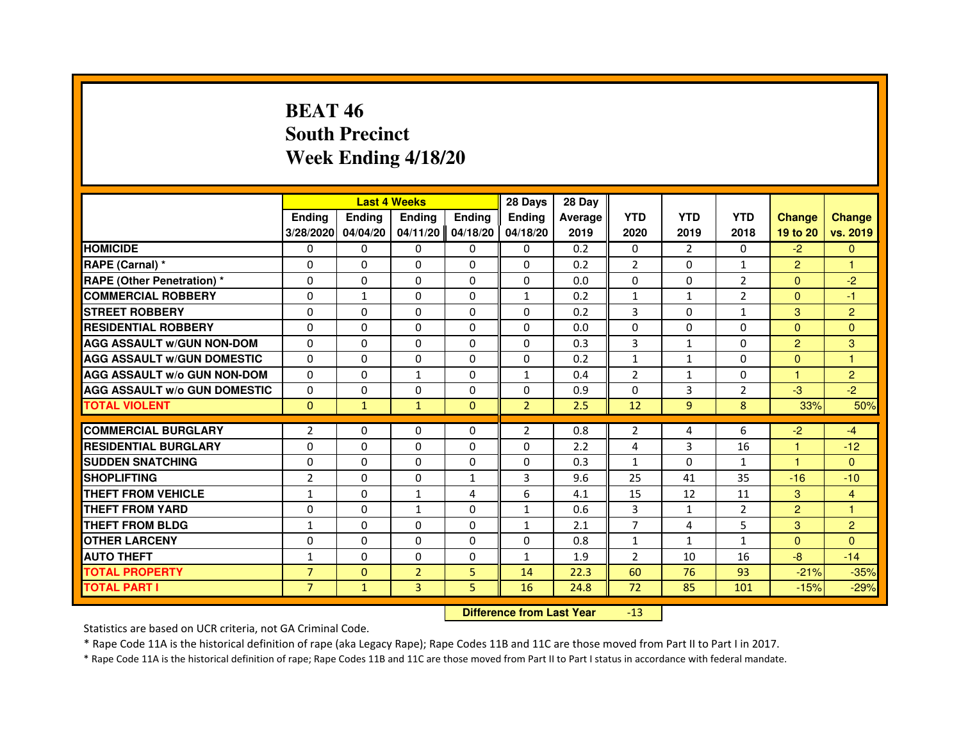# **BEAT 46 South PrecinctWeek Ending 4/18/20**

|                                     |                |              | <b>Last 4 Weeks</b> |               | 28 Days                          | 28 Day  |                |               |                |                |                |
|-------------------------------------|----------------|--------------|---------------------|---------------|----------------------------------|---------|----------------|---------------|----------------|----------------|----------------|
|                                     | <b>Ending</b>  | Ending       | <b>Ending</b>       | <b>Ending</b> | <b>Ending</b>                    | Average | <b>YTD</b>     | <b>YTD</b>    | <b>YTD</b>     | <b>Change</b>  | <b>Change</b>  |
|                                     | 3/28/2020      | 04/04/20     | 04/11/20            | 04/18/20      | 04/18/20                         | 2019    | 2020           | 2019          | 2018           | 19 to 20       | vs. 2019       |
| <b>HOMICIDE</b>                     | $\Omega$       | $\Omega$     | $\Omega$            | 0             | 0                                | 0.2     | 0              | $\mathcal{P}$ | $\Omega$       | $-2$           | $\mathbf{0}$   |
| RAPE (Carnal) *                     | 0              | 0            | 0                   | 0             | 0                                | 0.2     | 2              | 0             | 1              | $\overline{2}$ | 1              |
| RAPE (Other Penetration) *          | $\Omega$       | 0            | $\Omega$            | $\Omega$      | $\Omega$                         | 0.0     | $\Omega$       | $\Omega$      | $\overline{2}$ | $\Omega$       | $-2$           |
| <b>COMMERCIAL ROBBERY</b>           | $\Omega$       | $\mathbf{1}$ | $\Omega$            | $\Omega$      | $\mathbf{1}$                     | 0.2     | $\mathbf{1}$   | $\mathbf{1}$  | $\overline{2}$ | $\Omega$       | $-1$           |
| <b>STREET ROBBERY</b>               | $\Omega$       | $\Omega$     | $\Omega$            | $\Omega$      | $\Omega$                         | 0.2     | 3              | $\Omega$      | $\mathbf{1}$   | 3              | $\overline{2}$ |
| <b>RESIDENTIAL ROBBERY</b>          | 0              | 0            | $\Omega$            | 0             | 0                                | 0.0     | 0              | 0             | $\Omega$       | $\Omega$       | $\mathbf{0}$   |
| <b>AGG ASSAULT W/GUN NON-DOM</b>    | $\Omega$       | $\Omega$     | $\Omega$            | $\Omega$      | $\Omega$                         | 0.3     | $\overline{3}$ | $\mathbf{1}$  | $\Omega$       | 2              | 3              |
| <b>AGG ASSAULT W/GUN DOMESTIC</b>   | $\Omega$       | $\Omega$     | $\Omega$            | $\Omega$      | $\Omega$                         | 0.2     | $\mathbf{1}$   | $\mathbf{1}$  | $\Omega$       | $\Omega$       | $\mathbf{1}$   |
| <b>AGG ASSAULT W/o GUN NON-DOM</b>  | $\Omega$       | $\Omega$     | $\mathbf{1}$        | $\Omega$      | $\mathbf{1}$                     | 0.4     | $\overline{2}$ | $\mathbf{1}$  | $\Omega$       | $\mathbf{1}$   | $\overline{2}$ |
| <b>AGG ASSAULT W/o GUN DOMESTIC</b> | $\Omega$       | $\Omega$     | $\Omega$            | $\Omega$      | $\Omega$                         | 0.9     | $\Omega$       | 3             | $\overline{2}$ | $-3$           | $-2$           |
| <b>TOTAL VIOLENT</b>                | $\mathbf{0}$   | $\mathbf{1}$ | $\mathbf{1}$        | $\mathbf{0}$  | $\overline{2}$                   | 2.5     | 12             | 9             | 8              | 33%            | 50%            |
| <b>COMMERCIAL BURGLARY</b>          | 2              | 0            | 0                   | 0             | 2                                | 0.8     | 2              | 4             | 6              | $-2$           | $-4$           |
| <b>RESIDENTIAL BURGLARY</b>         | $\Omega$       | $\Omega$     | $\Omega$            | $\Omega$      | $\Omega$                         | 2.2     | 4              | 3             | 16             | 1              | $-12$          |
| <b>SUDDEN SNATCHING</b>             | $\Omega$       | $\Omega$     | $\Omega$            | $\Omega$      | $\Omega$                         | 0.3     | $\mathbf{1}$   | $\Omega$      | $\mathbf{1}$   | $\mathbf{1}$   | $\Omega$       |
| <b>SHOPLIFTING</b>                  | $\overline{2}$ | 0            | $\Omega$            | 1             | 3                                | 9.6     | 25             | 41            | 35             | $-16$          | $-10$          |
| THEFT FROM VEHICLE                  | 1              | 0            | $\mathbf{1}$        | 4             | 6                                | 4.1     | 15             | 12            | 11             | 3              | $\overline{4}$ |
| <b>THEFT FROM YARD</b>              | $\Omega$       | $\Omega$     | $\mathbf{1}$        | $\Omega$      | $\mathbf{1}$                     | 0.6     | 3              | $\mathbf{1}$  | $\overline{2}$ | $\overline{2}$ | $\mathbf{1}$   |
| <b>THEFT FROM BLDG</b>              | $\mathbf{1}$   | $\Omega$     | $\Omega$            | $\Omega$      | $\mathbf{1}$                     | 2.1     | $\overline{7}$ | 4             | 5              | 3              | $\overline{2}$ |
| <b>OTHER LARCENY</b>                | 0              | $\Omega$     | 0                   | 0             | 0                                | 0.8     | $\mathbf{1}$   | $\mathbf{1}$  | 1              | $\Omega$       | $\Omega$       |
| <b>AUTO THEFT</b>                   | $\mathbf{1}$   | $\Omega$     | $\Omega$            | $\Omega$      | $\mathbf{1}$                     | 1.9     | $\overline{2}$ | 10            | 16             | $-8$           | $-14$          |
| <b>TOTAL PROPERTY</b>               | $\overline{7}$ | $\mathbf{0}$ | $\overline{2}$      | 5             | 14                               | 22.3    | 60             | 76            | 93             | $-21%$         | $-35%$         |
| <b>TOTAL PART I</b>                 | $\overline{7}$ | $\mathbf{1}$ | 3                   | 5             | 16                               | 24.8    | 72             | 85            | 101            | $-15%$         | $-29%$         |
|                                     |                |              |                     |               | <b>Difference from Last Year</b> |         | $-13$          |               |                |                |                |

 **Difference from Last Year**

Statistics are based on UCR criteria, not GA Criminal Code.

\* Rape Code 11A is the historical definition of rape (aka Legacy Rape); Rape Codes 11B and 11C are those moved from Part II to Part I in 2017.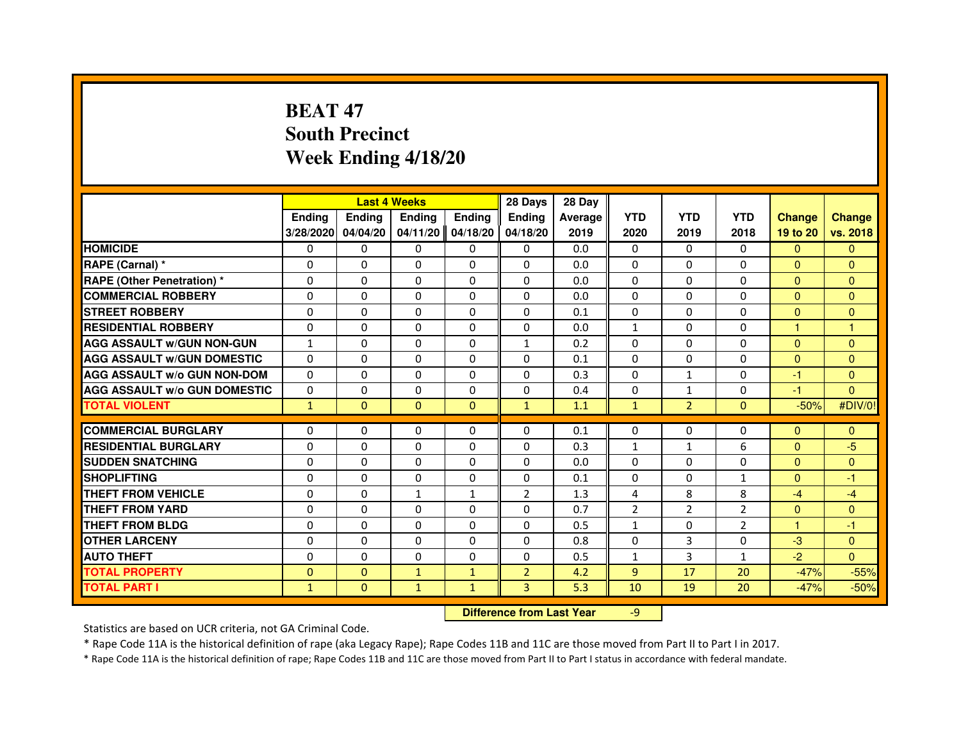# **BEAT 47 South PrecinctWeek Ending 4/18/20**

|                                     |               | <b>Last 4 Weeks</b>              |              |              | 28 Days        | 28 Day  |                |                |                |                |                |
|-------------------------------------|---------------|----------------------------------|--------------|--------------|----------------|---------|----------------|----------------|----------------|----------------|----------------|
|                                     | <b>Ending</b> | Ending                           | Ending       | Ending       | Ending         | Average | <b>YTD</b>     | <b>YTD</b>     | <b>YTD</b>     | <b>Change</b>  | <b>Change</b>  |
|                                     | 3/28/2020     | 04/04/20                         | 04/11/20     | 04/18/20     | 04/18/20       | 2019    | 2020           | 2019           | 2018           | 19 to 20       | vs. 2018       |
| <b>HOMICIDE</b>                     | 0             | $\Omega$                         | 0            | 0            | $\mathbf{0}$   | 0.0     | $\mathbf{0}$   | $\Omega$       | $\Omega$       | $\mathbf{0}$   | $\mathbf{0}$   |
| RAPE (Carnal) *                     | 0             | 0                                | 0            | 0            | 0              | 0.0     | 0              | 0              | 0              | $\Omega$       | $\mathbf{0}$   |
| RAPE (Other Penetration) *          | $\Omega$      | 0                                | $\Omega$     | $\Omega$     | $\Omega$       | 0.0     | $\Omega$       | $\Omega$       | $\Omega$       | $\Omega$       | $\overline{0}$ |
| <b>COMMERCIAL ROBBERY</b>           | 0             | $\Omega$                         | $\Omega$     | $\Omega$     | $\Omega$       | 0.0     | $\Omega$       | $\Omega$       | $\Omega$       | $\Omega$       | $\mathbf{0}$   |
| <b>STREET ROBBERY</b>               | $\Omega$      | $\Omega$                         | $\Omega$     | $\Omega$     | $\Omega$       | 0.1     | $\Omega$       | $\Omega$       | $\Omega$       | $\Omega$       | $\mathbf{0}$   |
| <b>RESIDENTIAL ROBBERY</b>          | 0             | 0                                | 0            | 0            | 0              | 0.0     | $\mathbf{1}$   | 0              | 0              | $\mathbf{1}$   | $\mathbf{1}$   |
| <b>AGG ASSAULT w/GUN NON-GUN</b>    | $\mathbf{1}$  | $\Omega$                         | $\Omega$     | $\Omega$     | $\mathbf{1}$   | 0.2     | $\Omega$       | $\Omega$       | 0              | $\Omega$       | $\Omega$       |
| <b>AGG ASSAULT W/GUN DOMESTIC</b>   | $\Omega$      | $\Omega$                         | $\Omega$     | $\Omega$     | $\Omega$       | 0.1     | $\Omega$       | $\Omega$       | $\Omega$       | $\Omega$       | $\Omega$       |
| <b>AGG ASSAULT W/o GUN NON-DOM</b>  | $\Omega$      | $\Omega$                         | $\Omega$     | $\Omega$     | $\Omega$       | 0.3     | $\Omega$       | $\mathbf{1}$   | $\Omega$       | $-1$           | $\mathbf{0}$   |
| <b>AGG ASSAULT w/o GUN DOMESTIC</b> | $\Omega$      | $\Omega$                         | $\Omega$     | $\Omega$     | $\Omega$       | 0.4     | $\Omega$       | $\mathbf{1}$   | $\Omega$       | -1             | $\Omega$       |
| <b>TOTAL VIOLENT</b>                | $\mathbf{1}$  | $\mathbf{0}$                     | $\mathbf{0}$ | $\mathbf{0}$ | $\mathbf{1}$   | 1.1     | $\mathbf{1}$   | $\overline{2}$ | $\mathbf{0}$   | $-50%$         | #DIV/0!        |
| <b>COMMERCIAL BURGLARY</b>          | 0             | 0                                | 0            | 0            | 0              | 0.1     | 0              | 0              | 0              | $\mathbf{0}$   | $\mathbf{0}$   |
| <b>RESIDENTIAL BURGLARY</b>         | 0             | $\Omega$                         | $\Omega$     | $\Omega$     | 0              | 0.3     | $\mathbf{1}$   | $\mathbf{1}$   | 6              | $\mathbf{0}$   | $-5$           |
| <b>SUDDEN SNATCHING</b>             | $\Omega$      | $\Omega$                         | $\Omega$     | $\Omega$     | $\Omega$       | 0.0     | $\Omega$       | $\Omega$       | 0              | $\Omega$       | $\overline{0}$ |
| <b>SHOPLIFTING</b>                  | 0             | $\Omega$                         | $\Omega$     | 0            | $\Omega$       | 0.1     | $\Omega$       | 0              | $\mathbf{1}$   | $\Omega$       | -1             |
| <b>THEFT FROM VEHICLE</b>           | 0             | 0                                | $\mathbf{1}$ | $\mathbf{1}$ | $\overline{2}$ | 1.3     | 4              | 8              | 8              | $-4$           | $-4$           |
| <b>THEFT FROM YARD</b>              | $\Omega$      | $\Omega$                         | $\Omega$     | $\Omega$     | $\Omega$       | 0.7     | $\overline{2}$ | $\overline{2}$ | $\overline{2}$ | $\overline{0}$ | $\overline{0}$ |
| <b>THEFT FROM BLDG</b>              | $\Omega$      | $\Omega$                         | $\Omega$     | $\Omega$     | $\Omega$       | 0.5     | $\mathbf{1}$   | $\Omega$       | $\overline{2}$ | $\mathbf{1}$   | $-1$           |
| <b>OTHER LARCENY</b>                | 0             | $\Omega$                         | $\Omega$     | $\Omega$     | $\Omega$       | 0.8     | $\Omega$       | 3              | 0              | $-3$           | $\overline{0}$ |
| <b>AUTO THEFT</b>                   | $\Omega$      | $\Omega$                         | $\Omega$     | $\Omega$     | $\Omega$       | 0.5     | $\mathbf{1}$   | 3              | $\mathbf{1}$   | $-2$           | $\Omega$       |
| <b>TOTAL PROPERTY</b>               | $\Omega$      | $\Omega$                         | $\mathbf{1}$ | $\mathbf{1}$ | $\overline{2}$ | 4.2     | $\overline{9}$ | 17             | 20             | $-47%$         | $-55%$         |
| <b>TOTAL PART I</b>                 | $\mathbf{1}$  | $\mathbf{0}$                     | $\mathbf{1}$ | $\mathbf{1}$ | 3              | 5.3     | 10             | 19             | 20             | $-47%$         | $-50%$         |
|                                     |               | <b>Difference from Last Year</b> |              | $-9$         |                |         |                |                |                |                |                |

 **Difference from Last Year**

Statistics are based on UCR criteria, not GA Criminal Code.

\* Rape Code 11A is the historical definition of rape (aka Legacy Rape); Rape Codes 11B and 11C are those moved from Part II to Part I in 2017.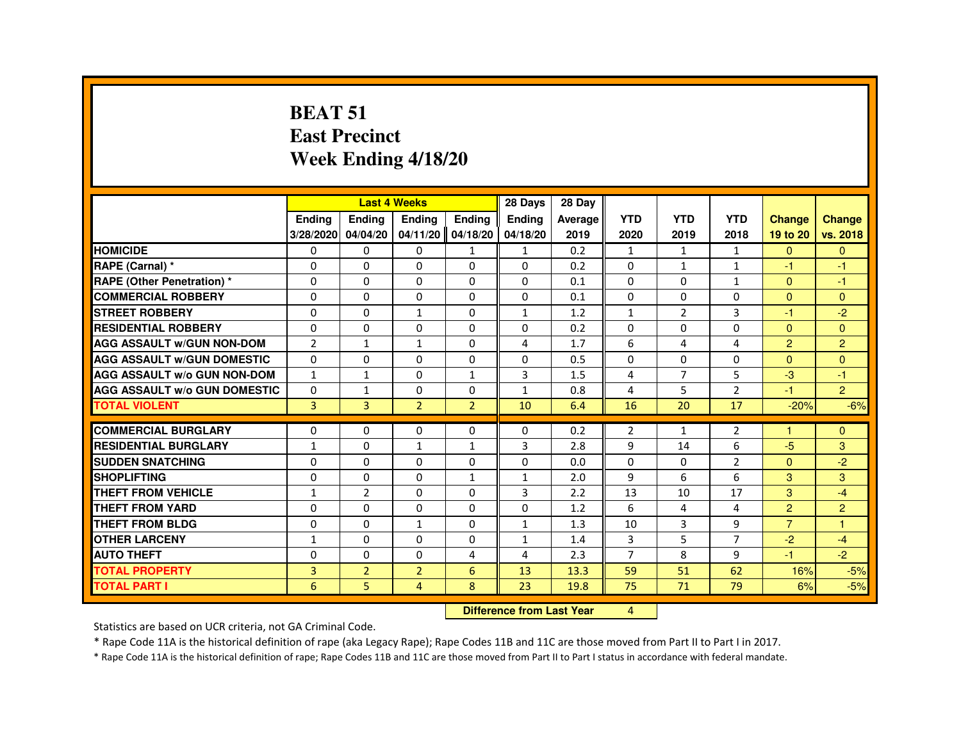### **BEAT 51 East PrecinctWeek Ending 4/18/20**

|                                     |                |                                  | <b>Last 4 Weeks</b> |                | 28 Days        | 28 Day  |                |                |                |                |                |
|-------------------------------------|----------------|----------------------------------|---------------------|----------------|----------------|---------|----------------|----------------|----------------|----------------|----------------|
|                                     | Ending         | Ending                           | Ending              | Ending         | <b>Ending</b>  | Average | <b>YTD</b>     | <b>YTD</b>     | <b>YTD</b>     | <b>Change</b>  | <b>Change</b>  |
|                                     | 3/28/2020      | 04/04/20                         | 04/11/20            | 04/18/20       | 04/18/20       | 2019    | 2020           | 2019           | 2018           | 19 to 20       | vs. 2018       |
| <b>HOMICIDE</b>                     | 0              | $\mathbf{0}$                     | 0                   | $\mathbf{1}$   | $\mathbf{1}$   | 0.2     | $\mathbf{1}$   | 1              | $\mathbf{1}$   | $\mathbf{0}$   | $\mathbf{0}$   |
| RAPE (Carnal) *                     | 0              | $\Omega$                         | $\Omega$            | $\Omega$       | 0              | 0.2     | 0              | $\mathbf{1}$   | $\mathbf{1}$   | $-1$           | $-1$           |
| <b>RAPE (Other Penetration) *</b>   | 0              | 0                                | $\Omega$            | $\Omega$       | $\Omega$       | 0.1     | $\Omega$       | $\Omega$       | $\mathbf{1}$   | $\Omega$       | -1             |
| <b>COMMERCIAL ROBBERY</b>           | $\Omega$       | $\Omega$                         | $\Omega$            | $\Omega$       | 0              | 0.1     | $\Omega$       | $\Omega$       | $\mathbf 0$    | $\Omega$       | $\overline{0}$ |
| <b>STREET ROBBERY</b>               | $\Omega$       | $\Omega$                         | $\mathbf{1}$        | $\Omega$       | $\mathbf{1}$   | 1.2     | $\mathbf{1}$   | $\overline{2}$ | 3              | $-1$           | $-2$           |
| <b>RESIDENTIAL ROBBERY</b>          | 0              | 0                                | 0                   | $\Omega$       | 0              | 0.2     | 0              | 0              | 0              | $\Omega$       | $\mathbf{0}$   |
| <b>AGG ASSAULT W/GUN NON-DOM</b>    | $\overline{2}$ | $\mathbf{1}$                     | $\mathbf{1}$        | $\Omega$       | 4              | 1.7     | 6              | 4              | 4              | $\overline{2}$ | $\overline{2}$ |
| <b>AGG ASSAULT W/GUN DOMESTIC</b>   | $\Omega$       | $\Omega$                         | $\Omega$            | $\Omega$       | $\Omega$       | 0.5     | $\Omega$       | $\Omega$       | $\Omega$       | $\Omega$       | $\Omega$       |
| <b>AGG ASSAULT W/o GUN NON-DOM</b>  | $\mathbf{1}$   | $\mathbf{1}$                     | $\Omega$            | $\mathbf{1}$   | 3              | 1.5     | 4              | $\overline{7}$ | 5              | $-3$           | $-1$           |
| <b>AGG ASSAULT W/o GUN DOMESTIC</b> | $\Omega$       | $\mathbf{1}$                     | $\Omega$            | $\Omega$       | $\mathbf{1}$   | 0.8     | 4              | 5              | $\overline{2}$ | $-1$           | $\overline{2}$ |
| <b>TOTAL VIOLENT</b>                | $\overline{3}$ | $\overline{3}$                   | $\overline{2}$      | $\overline{2}$ | 10             | 6.4     | 16             | 20             | 17             | $-20%$         | $-6%$          |
| <b>COMMERCIAL BURGLARY</b>          | 0              | 0                                | 0                   | $\Omega$       | $\Omega$       | 0.2     | 2              | $\mathbf{1}$   | 2              | $\mathbf{1}$   | $\mathbf{0}$   |
| <b>RESIDENTIAL BURGLARY</b>         | $\mathbf{1}$   | $\Omega$                         | $\mathbf{1}$        | $\mathbf{1}$   | 3              | 2.8     | 9              | 14             | 6              | $-5$           | 3              |
| <b>SUDDEN SNATCHING</b>             | $\Omega$       | $\Omega$                         | $\Omega$            | $\Omega$       | $\Omega$       | 0.0     | $\Omega$       | $\Omega$       | $\overline{2}$ | $\Omega$       | $-2$           |
| <b>SHOPLIFTING</b>                  | 0              | 0                                | 0                   | $\mathbf{1}$   | 1              | 2.0     | 9              | 6              | 6              | 3              | 3              |
| <b>THEFT FROM VEHICLE</b>           | $\mathbf{1}$   | $\overline{2}$                   | $\Omega$            | $\Omega$       | $\overline{3}$ | 2.2     | 13             | 10             | 17             | 3              | $-4$           |
| <b>THEFT FROM YARD</b>              | $\Omega$       | $\Omega$                         | $\Omega$            | $\Omega$       | $\Omega$       | 1.2     | 6              | 4              | 4              | $\overline{2}$ | $\overline{2}$ |
| <b>THEFT FROM BLDG</b>              | $\Omega$       | $\Omega$                         | $\mathbf{1}$        | $\Omega$       | $\mathbf{1}$   | 1.3     | 10             | $\overline{3}$ | 9              | $\overline{7}$ | $\overline{1}$ |
| <b>OTHER LARCENY</b>                | $\mathbf{1}$   | $\Omega$                         | $\Omega$            | $\Omega$       | $\mathbf{1}$   | 1.4     | 3              | 5              | $\overline{7}$ | $-2$           | $-4$           |
| <b>AUTO THEFT</b>                   | $\Omega$       | $\Omega$                         | $\Omega$            | $\overline{4}$ | $\overline{4}$ | 2.3     | $\overline{7}$ | 8              | 9              | $-1$           | $-2$           |
| <b>TOTAL PROPERTY</b>               | $\overline{3}$ | $\overline{2}$                   | $\overline{2}$      | 6              | 13             | 13.3    | 59             | 51             | 62             | 16%            | $-5%$          |
| <b>TOTAL PART I</b>                 | 6              | 5.                               | $\overline{4}$      | 8              | 23             | 19.8    | 75             | 71             | 79             | 6%             | $-5%$          |
|                                     |                | <b>Difference from Last Year</b> |                     | 4              |                |         |                |                |                |                |                |

 **Difference from Last Year**

Statistics are based on UCR criteria, not GA Criminal Code.

\* Rape Code 11A is the historical definition of rape (aka Legacy Rape); Rape Codes 11B and 11C are those moved from Part II to Part I in 2017.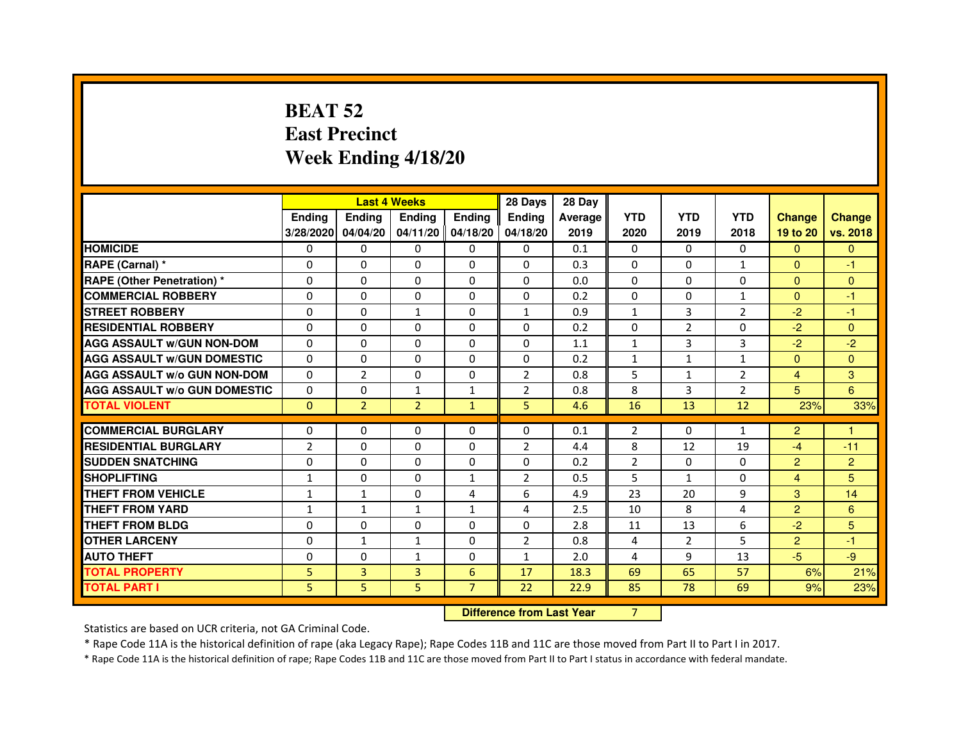# **BEAT 52 East PrecinctWeek Ending 4/18/20**

|                                     |                |                | <b>Last 4 Weeks</b> |                     | 28 Days        | 28 Day         |                |                |                |                |                |
|-------------------------------------|----------------|----------------|---------------------|---------------------|----------------|----------------|----------------|----------------|----------------|----------------|----------------|
|                                     | <b>Endina</b>  | <b>Endina</b>  | <b>Endina</b>       | <b>Endina</b>       | <b>Endina</b>  | <b>Average</b> | <b>YTD</b>     | <b>YTD</b>     | <b>YTD</b>     | <b>Change</b>  | <b>Change</b>  |
|                                     | 3/28/2020      | 04/04/20       |                     | $04/11/20$ 04/18/20 | 04/18/20       | 2019           | 2020           | 2019           | 2018           | 19 to 20       | vs. 2018       |
| <b>HOMICIDE</b>                     | 0              | 0              | 0                   | 0                   | 0              | 0.1            | 0              | 0              | 0              | $\mathbf{0}$   | $\Omega$       |
| RAPE (Carnal) *                     | $\Omega$       | $\Omega$       | $\Omega$            | $\Omega$            | $\Omega$       | 0.3            | $\Omega$       | $\Omega$       | $\mathbf{1}$   | $\Omega$       | $-1$           |
| <b>RAPE (Other Penetration) *</b>   | $\Omega$       | $\Omega$       | $\Omega$            | $\Omega$            | $\Omega$       | 0.0            | $\Omega$       | $\Omega$       | $\Omega$       | $\Omega$       | $\mathbf{0}$   |
| <b>COMMERCIAL ROBBERY</b>           | 0              | 0              | $\Omega$            | 0                   | $\Omega$       | 0.2            | $\Omega$       | $\Omega$       | $\mathbf{1}$   | $\Omega$       | $-1$           |
| <b>STREET ROBBERY</b>               | $\Omega$       | 0              | $\mathbf{1}$        | $\Omega$            | $\mathbf{1}$   | 0.9            | 1              | 3              | $\overline{2}$ | $-2$           | $-1$           |
| <b>RESIDENTIAL ROBBERY</b>          | $\Omega$       | $\Omega$       | 0                   | 0                   | 0              | 0.2            | $\Omega$       | $\overline{2}$ | $\Omega$       | $-2$           | $\mathbf{0}$   |
| <b>AGG ASSAULT w/GUN NON-DOM</b>    | $\Omega$       | $\mathbf 0$    | $\Omega$            | $\Omega$            | $\Omega$       | 1.1            | $\mathbf{1}$   | 3              | 3              | $-2$           | $-2$           |
| <b>AGG ASSAULT W/GUN DOMESTIC</b>   | $\Omega$       | 0              | 0                   | 0                   | 0              | 0.2            | $\mathbf{1}$   | $\mathbf{1}$   | $\mathbf{1}$   | $\Omega$       | $\Omega$       |
| <b>AGG ASSAULT W/o GUN NON-DOM</b>  | $\Omega$       | $\overline{2}$ | $\Omega$            | $\Omega$            | $\overline{2}$ | 0.8            | 5              | $\mathbf{1}$   | $\overline{2}$ | $\overline{4}$ | 3              |
| <b>AGG ASSAULT W/o GUN DOMESTIC</b> | $\Omega$       | 0              | $\mathbf{1}$        | $\mathbf{1}$        | $\overline{2}$ | 0.8            | 8              | 3              | $\overline{2}$ | 5              | 6              |
| <b>TOTAL VIOLENT</b>                | $\Omega$       | $\overline{2}$ | $\overline{2}$      | $\mathbf{1}$        | 5              | 4.6            | 16             | 13             | 12             | 23%            | 33%            |
|                                     |                |                |                     |                     |                |                |                |                |                |                |                |
| <b>COMMERCIAL BURGLARY</b>          | $\Omega$       | $\Omega$       | $\Omega$            | 0                   | $\Omega$       | 0.1            | $\overline{2}$ | $\Omega$       | $\mathbf{1}$   | $\overline{2}$ | 1              |
| <b>RESIDENTIAL BURGLARY</b>         | $\overline{2}$ | $\Omega$       | 0                   | $\mathbf{0}$        | $\overline{2}$ | 4.4            | 8              | 12             | 19             | $-4$           | $-11$          |
| <b>SUDDEN SNATCHING</b>             | 0              | 0              | 0                   | $\Omega$            | $\Omega$       | 0.2            | $\overline{2}$ | $\Omega$       | $\Omega$       | $\overline{2}$ | $\overline{2}$ |
| <b>SHOPLIFTING</b>                  | 1              | 0              | $\mathbf 0$         | $\mathbf{1}$        | $\overline{2}$ | 0.5            | 5              | $\mathbf{1}$   | $\Omega$       | $\overline{4}$ | 5              |
| <b>THEFT FROM VEHICLE</b>           | 1              | 1              | $\Omega$            | 4                   | 6              | 4.9            | 23             | 20             | 9              | 3              | 14             |
| <b>THEFT FROM YARD</b>              | $\mathbf{1}$   | $\mathbf{1}$   | $\mathbf{1}$        | $\mathbf{1}$        | $\overline{4}$ | 2.5            | 10             | 8              | $\overline{a}$ | $\overline{2}$ | 6              |
| <b>THEFT FROM BLDG</b>              | 0              | 0              | 0                   | 0                   | 0              | 2.8            | 11             | 13             | 6              | $-2$           | 5              |
| <b>OTHER LARCENY</b>                | $\Omega$       | $\mathbf{1}$   | 1                   | 0                   | $\overline{2}$ | 0.8            | $\overline{4}$ | $\overline{2}$ | 5              | $\overline{2}$ | $-1$           |
| <b>AUTO THEFT</b>                   | $\mathbf 0$    | 0              | 1                   | $\Omega$            | $\mathbf{1}$   | 2.0            | 4              | 9              | 13             | $-5$           | $-9$           |
| <b>TOTAL PROPERTY</b>               | 5              | 3              | 3                   | 6                   | 17             | 18.3           | 69             | 65             | 57             | 6%             | 21%            |
| <b>TOTAL PART I</b>                 | 5              | 5              | 5                   | $\overline{7}$      | 22             | 22.9           | 85             | 78             | 69             | 9%             | 23%            |

 **Difference from Last Year**

<sup>7</sup>

Statistics are based on UCR criteria, not GA Criminal Code.

\* Rape Code 11A is the historical definition of rape (aka Legacy Rape); Rape Codes 11B and 11C are those moved from Part II to Part I in 2017.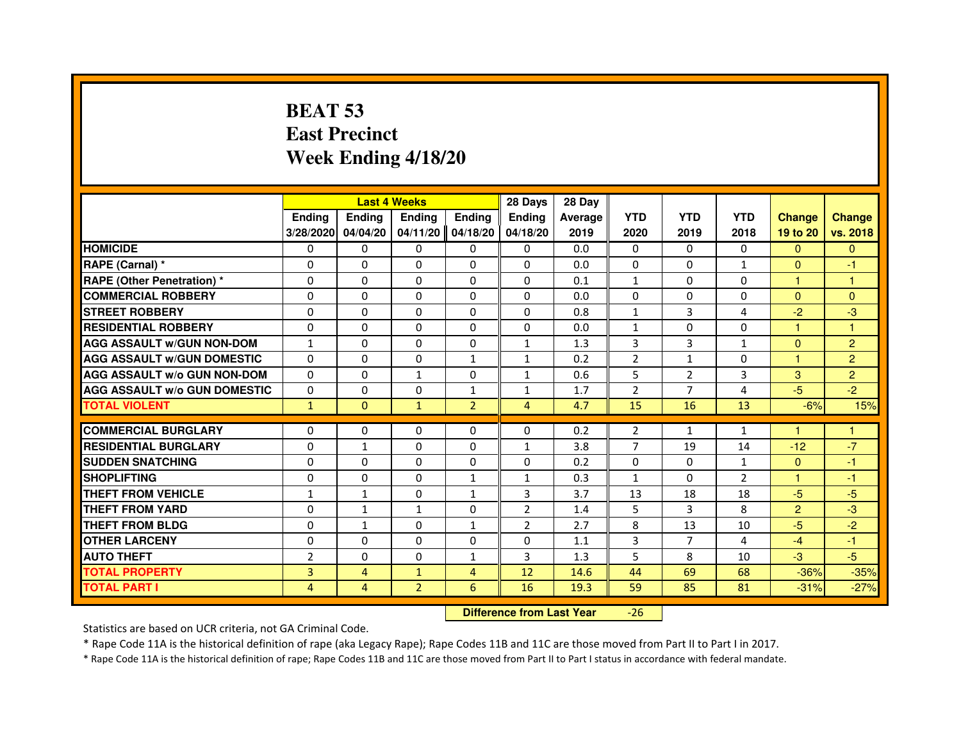# **BEAT 53 East PrecinctWeek Ending 4/18/20**

|                                     |                |              | <b>Last 4 Weeks</b> |                | 28 Days        | 28 Day  |                |                |                |                |                |
|-------------------------------------|----------------|--------------|---------------------|----------------|----------------|---------|----------------|----------------|----------------|----------------|----------------|
|                                     | <b>Ending</b>  | Ending       | <b>Ending</b>       | Ending         | <b>Endina</b>  | Average | <b>YTD</b>     | <b>YTD</b>     | <b>YTD</b>     | <b>Change</b>  | <b>Change</b>  |
|                                     | 3/28/2020      | 04/04/20     | 04/11/20            | 04/18/20       | 04/18/20       | 2019    | 2020           | 2019           | 2018           | 19 to 20       | vs. 2018       |
| <b>HOMICIDE</b>                     | 0              | $\mathbf{0}$ | 0                   | $\mathbf{0}$   | $\mathbf{0}$   | 0.0     | 0              | 0              | $\Omega$       | $\Omega$       | $\mathbf{0}$   |
| RAPE (Carnal) *                     | $\Omega$       | $\Omega$     | $\Omega$            | $\Omega$       | $\Omega$       | 0.0     | $\Omega$       | $\Omega$       | $\mathbf{1}$   | $\Omega$       | $-1$           |
| <b>RAPE (Other Penetration) *</b>   | 0              | $\mathbf{0}$ | 0                   | $\mathbf{0}$   | $\mathbf{0}$   | 0.1     | $\mathbf{1}$   | 0              | 0              | $\mathbf{1}$   | 1              |
| <b>COMMERCIAL ROBBERY</b>           | $\Omega$       | $\Omega$     | $\Omega$            | $\Omega$       | $\Omega$       | 0.0     | $\Omega$       | $\Omega$       | $\Omega$       | $\Omega$       | $\Omega$       |
| <b>STREET ROBBERY</b>               | $\Omega$       | $\Omega$     | $\Omega$            | $\Omega$       | $\Omega$       | 0.8     | $\mathbf{1}$   | 3              | 4              | $-2$           | -3             |
| <b>RESIDENTIAL ROBBERY</b>          | $\Omega$       | $\Omega$     | $\Omega$            | $\Omega$       | $\Omega$       | 0.0     | $\mathbf{1}$   | $\Omega$       | $\Omega$       | $\mathbf{1}$   | 1              |
| <b>AGG ASSAULT W/GUN NON-DOM</b>    | $\mathbf{1}$   | $\Omega$     | $\Omega$            | $\Omega$       | $\mathbf{1}$   | 1.3     | 3              | 3              | $\mathbf{1}$   | $\Omega$       | $\overline{2}$ |
| <b>AGG ASSAULT W/GUN DOMESTIC</b>   | $\Omega$       | $\Omega$     | $\Omega$            | $\mathbf{1}$   | $\mathbf{1}$   | 0.2     | $\overline{2}$ | $\mathbf{1}$   | $\Omega$       | $\mathbf{1}$   | $\overline{2}$ |
| <b>AGG ASSAULT W/o GUN NON-DOM</b>  | $\Omega$       | $\Omega$     | $\mathbf{1}$        | 0              | $\mathbf{1}$   | 0.6     | 5              | $\overline{2}$ | 3              | 3              | $\overline{2}$ |
| <b>AGG ASSAULT W/o GUN DOMESTIC</b> | $\Omega$       | $\Omega$     | $\Omega$            | 1              | 1              | 1.7     | $\overline{2}$ | $\overline{7}$ | $\overline{4}$ | $-5$           | $-2$           |
| <b>TOTAL VIOLENT</b>                | $\mathbf{1}$   | $\mathbf{0}$ | $\mathbf{1}$        | $\overline{2}$ | $\overline{4}$ | 4.7     | 15             | 16             | 13             | $-6%$          | 15%            |
|                                     |                |              |                     |                |                |         |                |                |                |                |                |
| <b>COMMERCIAL BURGLARY</b>          | 0              | 0            | 0                   | $\mathbf{0}$   | 0              | 0.2     | 2              | 1              | 1              |                |                |
| <b>RESIDENTIAL BURGLARY</b>         | $\Omega$       | 1            | $\Omega$            | $\Omega$       | 1              | 3.8     | $\overline{7}$ | 19             | 14             | $-12$          | $-7$           |
| <b>SUDDEN SNATCHING</b>             | 0              | 0            | 0                   | $\Omega$       | $\Omega$       | 0.2     | 0              | 0              | $\mathbf{1}$   | $\mathbf{0}$   | -1             |
| <b>SHOPLIFTING</b>                  | $\Omega$       | $\Omega$     | $\Omega$            | $\mathbf{1}$   | $\mathbf{1}$   | 0.3     | $\mathbf{1}$   | $\Omega$       | $\overline{2}$ | $\mathbf{1}$   | $-1$           |
| THEFT FROM VEHICLE                  | $\mathbf{1}$   | $\mathbf{1}$ | $\Omega$            | $\mathbf{1}$   | 3              | 3.7     | 13             | 18             | 18             | $-5$           | $-5$           |
| THEFT FROM YARD                     | $\Omega$       | $\mathbf{1}$ | $\mathbf{1}$        | 0              | $\overline{2}$ | 1.4     | 5              | 3              | 8              | $\overline{2}$ | $-3$           |
| THEFT FROM BLDG                     | $\Omega$       | $\mathbf{1}$ | $\Omega$            | $\mathbf{1}$   | $\overline{2}$ | 2.7     | 8              | 13             | 10             | $-5$           | $-2$           |
| <b>OTHER LARCENY</b>                | $\Omega$       | $\Omega$     | $\Omega$            | $\Omega$       | $\Omega$       | 1.1     | 3              | 7              | 4              | $-4$           | $-1$           |
| <b>AUTO THEFT</b>                   | $\overline{2}$ | $\Omega$     | $\Omega$            | $\mathbf{1}$   | 3              | 1.3     | 5              | 8              | 10             | $-3$           | $-5$           |
| <b>TOTAL PROPERTY</b>               | 3              | 4            | $\mathbf{1}$        | 4              | 12             | 14.6    | 44             | 69             | 68             | $-36%$         | $-35%$         |
| <b>TOTAL PART I</b>                 | 4              | 4            | $\overline{2}$      | 6              | 16             | 19.3    | 59             | 85             | 81             | $-31%$         | $-27%$         |

 **Difference from Last Year**-26

Statistics are based on UCR criteria, not GA Criminal Code.

\* Rape Code 11A is the historical definition of rape (aka Legacy Rape); Rape Codes 11B and 11C are those moved from Part II to Part I in 2017.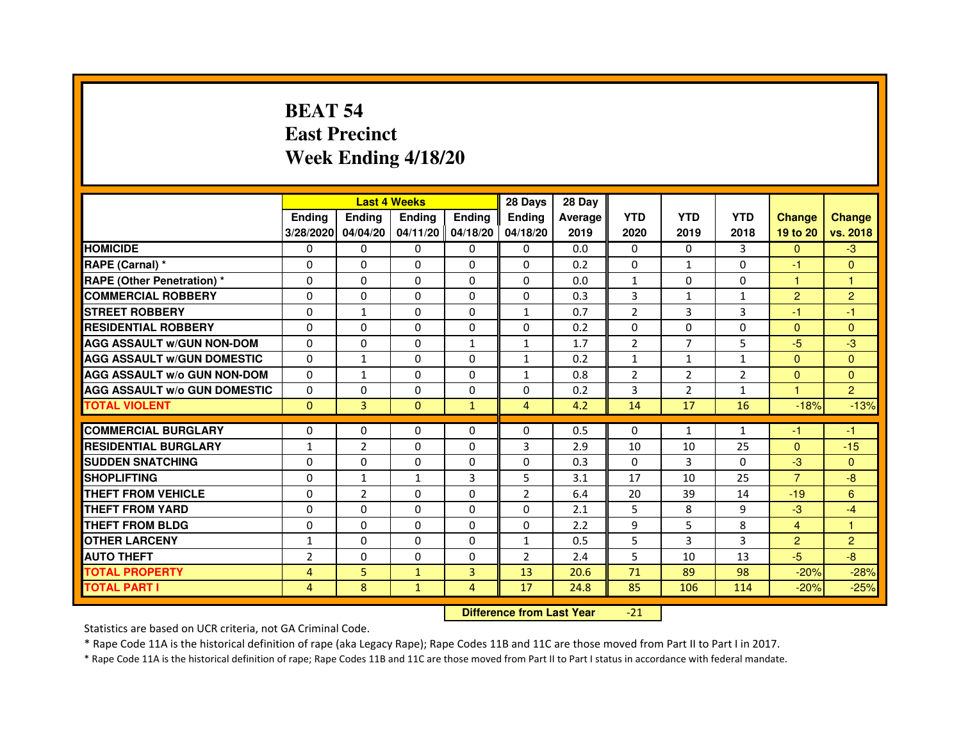# **BEAT 54 East PrecinctWeek Ending 4/18/20**

|                                     |                | <b>Last 4 Weeks</b> |               |                   | 28 Days        | 28 Day  |                |                |                |                |                |
|-------------------------------------|----------------|---------------------|---------------|-------------------|----------------|---------|----------------|----------------|----------------|----------------|----------------|
|                                     | <b>Ending</b>  | <b>Ending</b>       | <b>Endina</b> | <b>Endina</b>     | <b>Endina</b>  | Average | <b>YTD</b>     | <b>YTD</b>     | <b>YTD</b>     | <b>Change</b>  | <b>Change</b>  |
|                                     | 3/28/2020      | 04/04/20            |               | 04/11/20 04/18/20 | 04/18/20       | 2019    | 2020           | 2019           | 2018           | 19 to 20       | vs. 2018       |
| <b>HOMICIDE</b>                     | 0              | 0                   | $\mathbf{0}$  | 0                 | 0              | 0.0     | $\mathbf{0}$   | 0              | 3              | $\mathbf{0}$   | $-3$           |
| RAPE (Carnal) *                     | $\Omega$       | $\Omega$            | $\Omega$      | $\Omega$          | $\Omega$       | 0.2     | $\Omega$       | $\mathbf{1}$   | $\Omega$       | $-1$           | $\Omega$       |
| <b>RAPE (Other Penetration) *</b>   | $\Omega$       | $\Omega$            | $\Omega$      | $\Omega$          | $\Omega$       | 0.0     | $\mathbf{1}$   | 0              | $\Omega$       | $\mathbf{1}$   | 1              |
| <b>COMMERCIAL ROBBERY</b>           | 0              | 0                   | $\Omega$      | 0                 | $\Omega$       | 0.3     | 3              | $\mathbf{1}$   | $\mathbf{1}$   | 2              | $\overline{2}$ |
| <b>STREET ROBBERY</b>               | $\Omega$       | 1                   | $\Omega$      | 0                 | $\mathbf{1}$   | 0.7     | $\overline{2}$ | 3              | 3              | $-1$           | $-1$           |
| <b>RESIDENTIAL ROBBERY</b>          | $\Omega$       | $\Omega$            | $\Omega$      | 0                 | 0              | 0.2     | 0              | $\Omega$       | $\Omega$       | $\Omega$       | $\Omega$       |
| <b>AGG ASSAULT w/GUN NON-DOM</b>    | $\Omega$       | 0                   | $\mathbf 0$   | $\mathbf{1}$      | $\mathbf{1}$   | 1.7     | $\overline{2}$ | $\overline{7}$ | 5              | $-5$           | -3             |
| <b>AGG ASSAULT W/GUN DOMESTIC</b>   | $\Omega$       | 1                   | 0             | 0                 | $\mathbf{1}$   | 0.2     | $\mathbf{1}$   | $\mathbf{1}$   | $\mathbf{1}$   | $\mathbf{0}$   | $\Omega$       |
| <b>AGG ASSAULT W/o GUN NON-DOM</b>  | $\Omega$       | $\mathbf{1}$        | $\Omega$      | $\Omega$          | 1              | 0.8     | $\overline{2}$ | $\overline{2}$ | $\overline{2}$ | $\Omega$       | $\Omega$       |
| <b>AGG ASSAULT W/o GUN DOMESTIC</b> | $\Omega$       | $\Omega$            | $\Omega$      | 0                 | 0              | 0.2     | 3              | $\overline{2}$ | 1              | 1.             | $\overline{2}$ |
| <b>TOTAL VIOLENT</b>                | $\Omega$       | $\overline{3}$      | $\Omega$      | $\mathbf{1}$      | 4              | 4.2     | 14             | 17             | 16             | $-18%$         | $-13%$         |
|                                     |                |                     |               |                   |                |         |                |                |                |                |                |
| <b>COMMERCIAL BURGLARY</b>          | $\Omega$       | $\Omega$            | $\Omega$      | $\Omega$          | $\Omega$       | 0.5     | $\Omega$       | $\mathbf{1}$   | $\mathbf{1}$   | $-1$           | $-1$           |
| <b>RESIDENTIAL BURGLARY</b>         | $\mathbf{1}$   | $\overline{2}$      | $\Omega$      | 0                 | 3              | 2.9     | 10             | 10             | 25             | $\mathbf{0}$   | $-15$          |
| <b>SUDDEN SNATCHING</b>             | 0              | $\Omega$            | 0             | 0                 | 0              | 0.3     | $\Omega$       | 3              | $\Omega$       | $-3$           | $\Omega$       |
| <b>SHOPLIFTING</b>                  | 0              | 1                   | 1             | 3                 | 5              | 3.1     | 17             | 10             | 25             | $\overline{7}$ | -8             |
| <b>THEFT FROM VEHICLE</b>           | 0              | $\overline{2}$      | $\Omega$      | $\Omega$          | $\overline{2}$ | 6.4     | 20             | 39             | 14             | $-19$          | 6              |
| <b>THEFT FROM YARD</b>              | 0              | 0                   | $\Omega$      | $\Omega$          | $\Omega$       | 2.1     | 5              | 8              | 9              | $-3$           | $-4$           |
| <b>THEFT FROM BLDG</b>              | $\Omega$       | $\Omega$            | 0             | 0                 | 0              | 2.2     | 9              | 5              | 8              | $\overline{4}$ | 1              |
| <b>OTHER LARCENY</b>                | $\mathbf{1}$   | $\Omega$            | $\Omega$      | 0                 | 1              | 0.5     | 5              | 3              | 3              | $\overline{2}$ | $\overline{2}$ |
| <b>AUTO THEFT</b>                   | $\overline{2}$ | $\mathbf 0$         | 0             | 0                 | $\overline{2}$ | 2.4     | 5              | 10             | 13             | $-5$           | -8             |
| <b>TOTAL PROPERTY</b>               | 4              | 5                   | $\mathbf{1}$  | 3                 | 13             | 20.6    | 71             | 89             | 98             | $-20%$         | $-28%$         |
| <b>TOTAL PART I</b>                 | 4              | 8                   | $\mathbf{1}$  | $\overline{4}$    | 17             | 24.8    | 85             | 106            | 114            | $-20%$         | $-25%$         |

 **Difference from Last Year**-21

Statistics are based on UCR criteria, not GA Criminal Code.

\* Rape Code 11A is the historical definition of rape (aka Legacy Rape); Rape Codes 11B and 11C are those moved from Part II to Part I in 2017.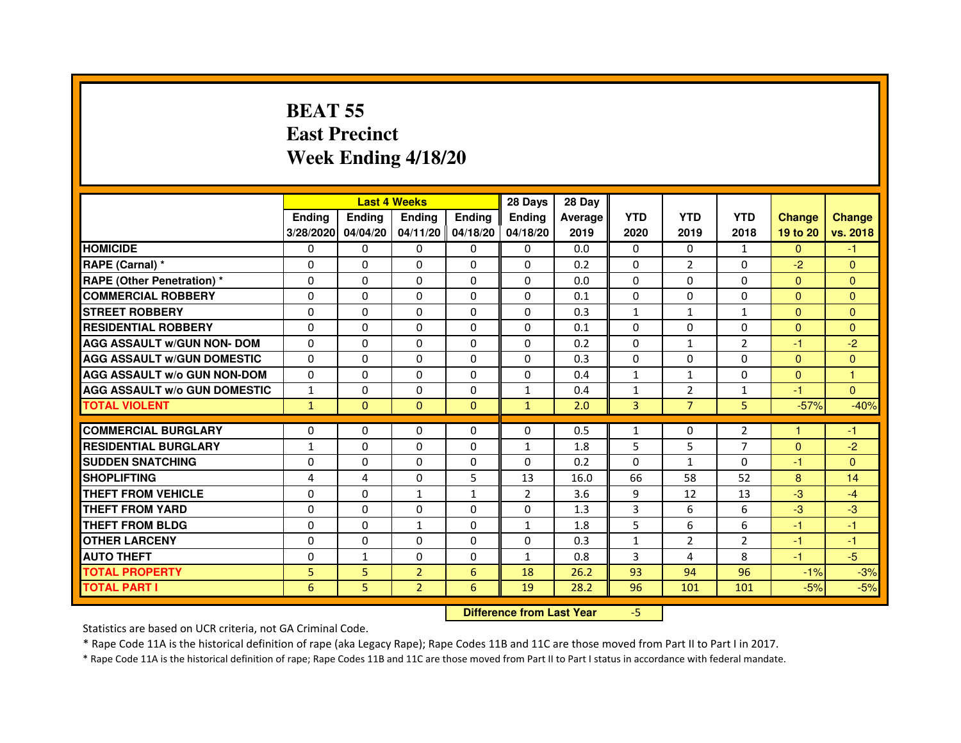# **BEAT 55 East PrecinctWeek Ending 4/18/20**

|                                     |               |               | <b>Last 4 Weeks</b> |                | 28 Days                          | 28 Day  |              |                |                |               |                |
|-------------------------------------|---------------|---------------|---------------------|----------------|----------------------------------|---------|--------------|----------------|----------------|---------------|----------------|
|                                     | <b>Ending</b> | <b>Ending</b> | <b>Ending</b>       | Ending         | Ending                           | Average | <b>YTD</b>   | <b>YTD</b>     | <b>YTD</b>     | <b>Change</b> | <b>Change</b>  |
|                                     | 3/28/2020     | 04/04/20      | 04/11/20            | 04/18/20       | 04/18/20                         | 2019    | 2020         | 2019           | 2018           | 19 to 20      | vs. 2018       |
| <b>HOMICIDE</b>                     | $\Omega$      | $\Omega$      | 0                   | 0              | 0                                | 0.0     | $\Omega$     | $\Omega$       | $\mathbf{1}$   | $\Omega$      | $-1$           |
| RAPE (Carnal) *                     | $\Omega$      | $\mathbf{0}$  | 0                   | 0              | 0                                | 0.2     | 0            | $\overline{2}$ | 0              | $-2$          | $\mathbf{0}$   |
| RAPE (Other Penetration) *          | $\Omega$      | 0             | $\Omega$            | $\Omega$       | $\Omega$                         | 0.0     | $\Omega$     | $\Omega$       | $\Omega$       | $\Omega$      | $\overline{0}$ |
| <b>COMMERCIAL ROBBERY</b>           | $\Omega$      | $\Omega$      | $\Omega$            | $\Omega$       | $\Omega$                         | 0.1     | 0            | $\Omega$       | $\Omega$       | $\mathbf{0}$  | $\mathbf{0}$   |
| <b>STREET ROBBERY</b>               | $\Omega$      | $\Omega$      | $\Omega$            | $\Omega$       | $\Omega$                         | 0.3     | $\mathbf{1}$ | $\mathbf{1}$   | $\mathbf{1}$   | $\Omega$      | $\Omega$       |
| <b>RESIDENTIAL ROBBERY</b>          | 0             | 0             | 0                   | 0              | 0                                | 0.1     | 0            | 0              | $\Omega$       | $\Omega$      | $\overline{0}$ |
| <b>AGG ASSAULT w/GUN NON- DOM</b>   | $\Omega$      | $\Omega$      | $\Omega$            | $\Omega$       | $\Omega$                         | 0.2     | $\Omega$     | $\mathbf{1}$   | $\overline{2}$ | $-1$          | $-2$           |
| <b>AGG ASSAULT W/GUN DOMESTIC</b>   | $\Omega$      | $\Omega$      | $\Omega$            | $\Omega$       | $\Omega$                         | 0.3     | $\Omega$     | $\Omega$       | $\Omega$       | $\mathbf{0}$  | $\overline{0}$ |
| <b>AGG ASSAULT W/o GUN NON-DOM</b>  | $\Omega$      | $\Omega$      | $\Omega$            | $\Omega$       | $\Omega$                         | 0.4     | $\mathbf{1}$ | $\mathbf{1}$   | $\Omega$       | $\Omega$      | 1              |
| <b>AGG ASSAULT W/o GUN DOMESTIC</b> | $\mathbf{1}$  | $\Omega$      | $\Omega$            | $\Omega$       | $\mathbf{1}$                     | 0.4     | $\mathbf{1}$ | $\overline{2}$ | 1              | $-1$          | $\Omega$       |
| <b>TOTAL VIOLENT</b>                | $\mathbf{1}$  | $\mathbf{0}$  | $\mathbf{0}$        | $\mathbf{0}$   | $\mathbf{1}$                     | 2.0     | 3            | $\overline{7}$ | 5              | $-57%$        | $-40%$         |
| <b>COMMERCIAL BURGLARY</b>          | $\mathbf{0}$  | 0             | 0                   | 0              | 0                                | 0.5     | $\mathbf{1}$ | 0              | 2              | 1             | -1             |
| <b>RESIDENTIAL BURGLARY</b>         | $\mathbf{1}$  | $\Omega$      | $\Omega$            | $\Omega$       | $\mathbf{1}$                     | 1.8     | 5            | 5              | 7              | $\Omega$      | $-2$           |
| <b>SUDDEN SNATCHING</b>             | $\Omega$      | $\Omega$      | $\Omega$            | $\Omega$       | $\Omega$                         | 0.2     | $\Omega$     | $\mathbf{1}$   | $\Omega$       | $-1$          | $\Omega$       |
| <b>SHOPLIFTING</b>                  | 4             | 4             | $\Omega$            | 5              | 13                               | 16.0    | 66           | 58             | 52             | 8             | 14             |
| THEFT FROM VEHICLE                  | $\Omega$      | $\Omega$      | $\mathbf{1}$        | $\mathbf{1}$   | $\overline{2}$                   | 3.6     | 9            | 12             | 13             | $-3$          | $-4$           |
| <b>THEFT FROM YARD</b>              | $\Omega$      | $\Omega$      | $\Omega$            | $\Omega$       | 0                                | 1.3     | 3            | 6              | 6              | $-3$          | $-3$           |
| <b>THEFT FROM BLDG</b>              | $\Omega$      | $\Omega$      | $\mathbf{1}$        | $\Omega$       | $\mathbf{1}$                     | 1.8     | 5            | 6              | 6              | $-1$          | $-1$           |
| <b>OTHER LARCENY</b>                | $\mathbf{0}$  | $\Omega$      | $\Omega$            | $\Omega$       | $\Omega$                         | 0.3     | $\mathbf{1}$ | $\overline{2}$ | $\overline{2}$ | $-1$          | $-1$           |
| <b>AUTO THEFT</b>                   | $\Omega$      | $\mathbf{1}$  | $\Omega$            | $\Omega$       | $\mathbf{1}$                     | 0.8     | 3            | 4              | 8              | $-1$          | $-5$           |
| <b>TOTAL PROPERTY</b>               | 5             | 5             | $\overline{2}$      | $6\phantom{1}$ | 18                               | 26.2    | 93           | 94             | 96             | $-1%$         | $-3%$          |
| <b>TOTAL PART I</b>                 | 6             | 5             | $\overline{2}$      | 6              | 19                               | 28.2    | 96           | 101            | 101            | $-5%$         | $-5%$          |
|                                     |               |               |                     |                | <b>Difference from Last Year</b> |         | $-5$         |                |                |               |                |

 **Difference from Last Year**

Statistics are based on UCR criteria, not GA Criminal Code.

\* Rape Code 11A is the historical definition of rape (aka Legacy Rape); Rape Codes 11B and 11C are those moved from Part II to Part I in 2017.